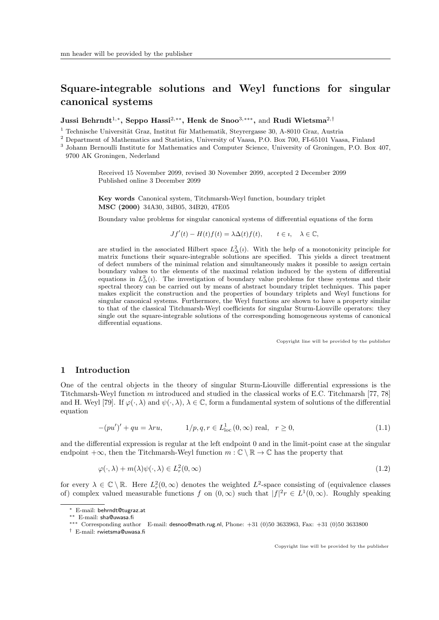# Square-integrable solutions and Weyl functions for singular canonical systems

Jussi Behrndt<sup>1,</sup>\*, Seppo Hassi<sup>2,</sup>\*\*, Henk de Snoo<sup>3,</sup>\*\*\*, and Rudi Wietsma<sup>2,†</sup>

<sup>1</sup> Technische Universität Graz, Institut für Mathematik, Steyrergasse 30, A-8010 Graz, Austria

<sup>2</sup> Department of Mathematics and Statistics, University of Vaasa, P.O. Box 700, FI-65101 Vaasa, Finland

3 Johann Bernoulli Institute for Mathematics and Computer Science, University of Groningen, P.O. Box 407,

9700 AK Groningen, Nederland

Received 15 November 2099, revised 30 November 2099, accepted 2 December 2099 Published online 3 December 2099

Key words Canonical system, Titchmarsh-Weyl function, boundary triplet MSC (2000) 34A30, 34B05, 34B20, 47E05

Boundary value problems for singular canonical systems of differential equations of the form

$$
Jf'(t) - H(t)f(t) = \lambda \Delta(t)f(t), \qquad t \in \mathfrak{t}, \quad \lambda \in \mathbb{C},
$$

are studied in the associated Hilbert space  $L^2_{\Delta}(i)$ . With the help of a monotonicity principle for matrix functions their square-integrable solutions are specified. This yields a direct treatment of defect numbers of the minimal relation and simultaneously makes it possible to assign certain boundary values to the elements of the maximal relation induced by the system of differential equations in  $L^2(\lambda)$ . The investigation of boundary value problems for these systems and their spectral theory can be carried out by means of abstract boundary triplet techniques. This paper makes explicit the construction and the properties of boundary triplets and Weyl functions for singular canonical systems. Furthermore, the Weyl functions are shown to have a property similar to that of the classical Titchmarsh-Weyl coefficients for singular Sturm-Liouville operators: they single out the square-integrable solutions of the corresponding homogeneous systems of canonical differential equations.

Copyright line will be provided by the publisher

# 1 Introduction

One of the central objects in the theory of singular Sturm-Liouville differential expressions is the Titchmarsh-Weyl function m introduced and studied in the classical works of E.C. Titchmarsh [77, 78] and H. Weyl [79]. If  $\varphi(\cdot,\lambda)$  and  $\psi(\cdot,\lambda), \lambda \in \mathbb{C}$ , form a fundamental system of solutions of the differential equation

$$
-(pu')' + qu = \lambda ru, \qquad 1/p, q, r \in L^{1}_{loc}(0, \infty) \text{ real}, \quad r \ge 0,
$$
\n(1.1)

and the differential expression is regular at the left endpoint 0 and in the limit-point case at the singular endpoint  $+\infty$ , then the Titchmarsh-Weyl function  $m : \mathbb{C} \setminus \mathbb{R} \to \mathbb{C}$  has the property that

$$
\varphi(\cdot,\lambda) + m(\lambda)\psi(\cdot,\lambda) \in L^2_r(0,\infty)
$$
\n(1.2)

for every  $\lambda \in \mathbb{C} \setminus \mathbb{R}$ . Here  $L^2_r(0,\infty)$  denotes the weighted  $L^2$ -space consisting of (equivalence classes of) complex valued measurable functions f on  $(0, \infty)$  such that  $|f|^2 r \in L^1(0, \infty)$ . Roughly speaking

<sup>∗</sup> E-mail: behrndt@tugraz.at

<sup>∗∗</sup> E-mail: sha@uwasa.fi

<sup>∗∗∗</sup> Corresponding author E-mail: desnoo@math.rug.nl, Phone: +31 (0)50 3633963, Fax: +31 (0)50 3633800

<sup>†</sup> E-mail: rwietsma@uwasa.fi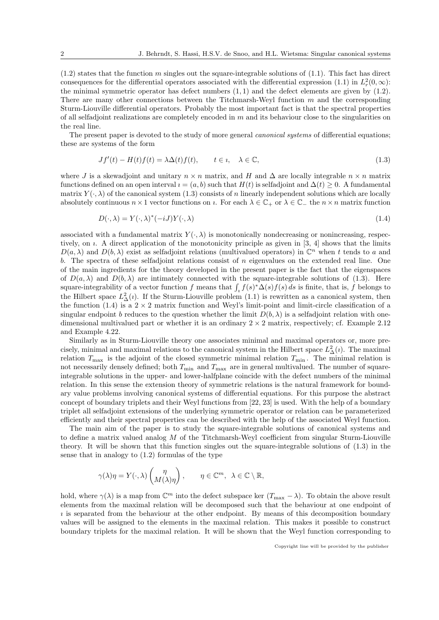$(1.2)$  states that the function m singles out the square-integrable solutions of  $(1.1)$ . This fact has direct consequences for the differential operators associated with the differential expression (1.1) in  $L_r^2(0,\infty)$ : the minimal symmetric operator has defect numbers  $(1, 1)$  and the defect elements are given by  $(1.2)$ . There are many other connections between the Titchmarsh-Weyl function  $m$  and the corresponding Sturm-Liouville differential operators. Probably the most important fact is that the spectral properties of all selfadjoint realizations are completely encoded in  $m$  and its behaviour close to the singularities on the real line.

The present paper is devoted to the study of more general *canonical systems* of differential equations; these are systems of the form

$$
Jf'(t) - H(t)f(t) = \lambda \Delta(t)f(t), \qquad t \in \mathfrak{e}, \quad \lambda \in \mathbb{C}, \tag{1.3}
$$

where J is a skewadjoint and unitary  $n \times n$  matrix, and H and  $\Delta$  are locally integrable  $n \times n$  matrix functions defined on an open interval  $i = (a, b)$  such that  $H(t)$  is selfadjoint and  $\Delta(t) \geq 0$ . A fundamental matrix  $Y(\cdot, \lambda)$  of the canonical system (1.3) consists of n linearly independent solutions which are locally absolutely continuous  $n \times 1$  vector functions on *i*. For each  $\lambda \in \mathbb{C}_+$  or  $\lambda \in \mathbb{C}_-$  the  $n \times n$  matrix function

$$
D(\cdot, \lambda) = Y(\cdot, \lambda)^*(-iJ)Y(\cdot, \lambda)
$$
\n(1.4)

associated with a fundamental matrix  $Y(\cdot, \lambda)$  is monotonically nondecreasing or nonincreasing, respectively, on  $\iota$ . A direct application of the monotonicity principle as given in [3, 4] shows that the limits  $D(a, \lambda)$  and  $D(b, \lambda)$  exist as selfadjoint relations (multivalued operators) in  $\mathbb{C}^n$  when t tends to a and b. The spectra of these selfadjoint relations consist of  $n$  eigenvalues on the extended real line. One of the main ingredients for the theory developed in the present paper is the fact that the eigenspaces of  $D(a, \lambda)$  and  $D(b, \lambda)$  are intimately connected with the square-integrable solutions of (1.3). Here square-integrability of a vector function f means that  $\int_i f(s)^* \Delta(s) f(s) ds$  is finite, that is, f belongs to the Hilbert space  $L^2_{\Delta}(i)$ . If the Sturm-Liouville problem (1.1) is rewritten as a canonical system, then the function (1.4) is a  $2 \times 2$  matrix function and Weyl's limit-point and limit-circle classification of a singular endpoint b reduces to the question whether the limit  $D(b, \lambda)$  is a selfadjoint relation with onedimensional multivalued part or whether it is an ordinary  $2 \times 2$  matrix, respectively; cf. Example 2.12 and Example 4.22.

Similarly as in Sturm-Liouville theory one associates minimal and maximal operators or, more precisely, minimal and maximal relations to the canonical system in the Hilbert space  $L^2_{\Delta}(i)$ . The maximal relation  $T_{\text{max}}$  is the adjoint of the closed symmetric minimal relation  $T_{\text{min}}$ . The minimal relation is not necessarily densely defined; both  $T_{\text{min}}$  and  $T_{\text{max}}$  are in general multivalued. The number of squareintegrable solutions in the upper- and lower-halfplane coincide with the defect numbers of the minimal relation. In this sense the extension theory of symmetric relations is the natural framework for boundary value problems involving canonical systems of differential equations. For this purpose the abstract concept of boundary triplets and their Weyl functions from [22, 23] is used. With the help of a boundary triplet all selfadjoint extensions of the underlying symmetric operator or relation can be parameterized efficiently and their spectral properties can be described with the help of the associated Weyl function.

The main aim of the paper is to study the square-integrable solutions of canonical systems and to define a matrix valued analog M of the Titchmarsh-Weyl coefficient from singular Sturm-Liouville theory. It will be shown that this function singles out the square-integrable solutions of (1.3) in the sense that in analogy to (1.2) formulas of the type

$$
\gamma(\lambda)\eta = Y(\cdot, \lambda) \begin{pmatrix} \eta \\ M(\lambda)\eta \end{pmatrix}, \qquad \eta \in \mathbb{C}^m, \ \lambda \in \mathbb{C} \setminus \mathbb{R},
$$

hold, where  $\gamma(\lambda)$  is a map from  $\mathbb{C}^m$  into the defect subspace ker  $(T_{\text{max}} - \lambda)$ . To obtain the above result elements from the maximal relation will be decomposed such that the behaviour at one endpoint of ı is separated from the behaviour at the other endpoint. By means of this decomposition boundary values will be assigned to the elements in the maximal relation. This makes it possible to construct boundary triplets for the maximal relation. It will be shown that the Weyl function corresponding to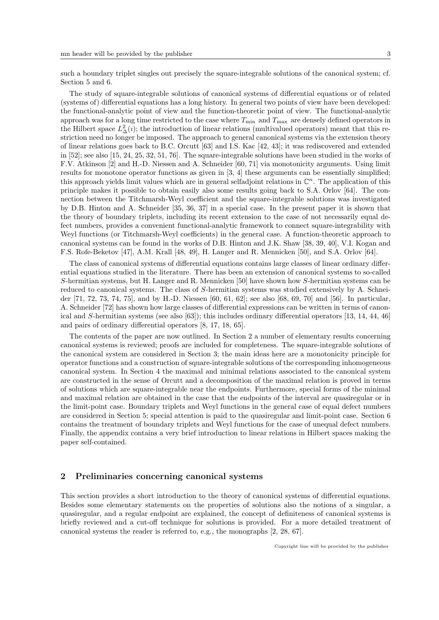such a boundary triplet singles out precisely the square-integrable solutions of the canonical system; cf. Section 5 and 6.

The study of square-integrable solutions of canonical systems of differential equations or of related (systems of) differential equations has a long history. In general two points of view have been developed: the functional-analytic point of view and the function-theoretic point of view. The functional-analytic approach was for a long time restricted to the case where  $T_{\min}$  and  $T_{\max}$  are densely defined operators in the Hilbert space  $L^2(\lambda)$ ; the introduction of linear relations (multivalued operators) meant that this restriction need no longer be imposed. The approach to general canonical systems via the extension theory of linear relations goes back to B.C. Orcutt [63] and I.S. Kac [42, 43]; it was rediscovered and extended in [52]; see also [15, 24, 25, 32, 51, 76]. The square-integrable solutions have been studied in the works of F.V. Atkinson [2] and H.-D. Niessen and A. Schneider [60, 71] via monotonicity arguments. Using limit results for monotone operator functions as given in [3, 4] these arguments can be essentially simplified; this approach yields limit values which are in general selfadjoint relations in  $\mathbb{C}^n$ . The application of this principle makes it possible to obtain easily also some results going back to S.A. Orlov [64]. The connection between the Titchmarsh-Weyl coefficient and the square-integrable solutions was investigated by D.B. Hinton and A. Schneider [35, 36, 37] in a special case. In the present paper it is shown that the theory of boundary triplets, including its recent extension to the case of not necessarily equal defect numbers, provides a convenient functional-analytic framework to connect square-integrability with Weyl functions (or Titchmarsh-Weyl coefficients) in the general case. A function-theoretic approach to canonical systems can be found in the works of D.B. Hinton and J.K. Shaw [38, 39, 40], V.I. Kogan and F.S. Rofe-Beketov [47], A.M. Krall [48, 49], H. Langer and R. Mennicken [50], and S.A. Orlov [64].

The class of canonical systems of differential equations contains large classes of linear ordinary differential equations studied in the literature. There has been an extension of canonical systems to so-called S-hermitian systems, but H. Langer and R. Mennicken [50] have shown how S-hermitian systems can be reduced to canonical systems. The class of S-hermitian systems was studied extensively by A. Schneider [71, 72, 73, 74, 75], and by H.-D. Niessen [60, 61, 62]; see also [68, 69, 70] and [56]. In particular, A. Schneider [72] has shown how large classes of differential expressions can be written in terms of canonical and S-hermitian systems (see also [63]); this includes ordinary differential operators [13, 14, 44, 46] and pairs of ordinary differential operators [8, 17, 18, 65].

The contents of the paper are now outlined. In Section 2 a number of elementary results concerning canonical systems is reviewed; proofs are included for completeness. The square-integrable solutions of the canonical system are considered in Section 3; the main ideas here are a monotonicity principle for operator functions and a construction of square-integrable solutions of the corresponding inhomogeneous canonical system. In Section 4 the maximal and minimal relations associated to the canonical system are constructed in the sense of Orcutt and a decomposition of the maximal relation is proved in terms of solutions which are square-integrable near the endpoints. Furthermore, special forms of the minimal and maximal relation are obtained in the case that the endpoints of the interval are quasiregular or in the limit-point case. Boundary triplets and Weyl functions in the general case of equal defect numbers are considered in Section 5; special attention is paid to the quasiregular and limit-point case. Section 6 contains the treatment of boundary triplets and Weyl functions for the case of unequal defect numbers. Finally, the appendix contains a very brief introduction to linear relations in Hilbert spaces making the paper self-contained.

# 2 Preliminaries concerning canonical systems

This section provides a short introduction to the theory of canonical systems of differential equations. Besides some elementary statements on the properties of solutions also the notions of a singular, a quasiregular, and a regular endpoint are explained, the concept of definiteness of canonical systems is briefly reviewed and a cut-off technique for solutions is provided. For a more detailed treatment of canonical systems the reader is referred to, e.g., the monographs [2, 28, 67].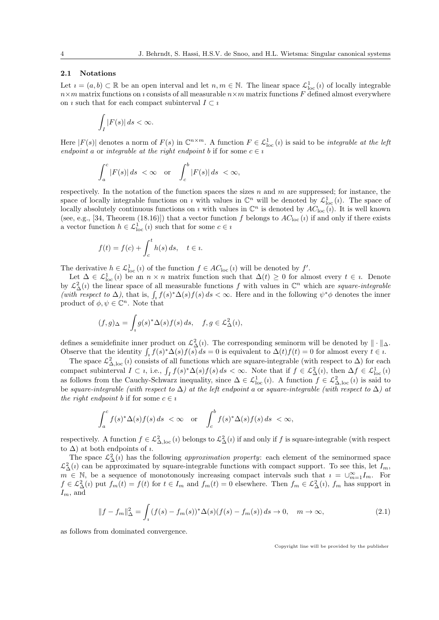# 2.1 Notations

Let  $i = (a, b) \subset \mathbb{R}$  be an open interval and let  $n, m \in \mathbb{N}$ . The linear space  $\mathcal{L}^1_{loc}(i)$  of locally integrable  $n \times m$  matrix functions on *i* consists of all measurable  $n \times m$  matrix functions F defined almost everywhere on *i* such that for each compact subinterval  $I \subset i$ 

$$
\int_I |F(s)| ds < \infty.
$$

Here  $|F(s)|$  denotes a norm of  $F(s)$  in  $\mathbb{C}^{n \times m}$ . A function  $F \in \mathcal{L}^1_{loc}(i)$  is said to be *integrable at the left* endpoint a or integrable at the right endpoint b if for some  $c \in i$ 

$$
\int_{a}^{c} |F(s)| ds < \infty \quad \text{or} \quad \int_{c}^{b} |F(s)| ds < \infty,
$$

respectively. In the notation of the function spaces the sizes  $n$  and  $m$  are suppressed; for instance, the space of locally integrable functions on *i* with values in  $\mathbb{C}^n$  will be denoted by  $\mathcal{L}^1_{loc}(i)$ . The space of locally absolutely continuous functions on  $\imath$  with values in  $\mathbb{C}^n$  is denoted by  $AC_{\text{loc}}(\imath)$ . It is well known (see, e.g., [34, Theorem (18.16)]) that a vector function f belongs to  $AC_{loc}(i)$  if and only if there exists a vector function  $h \in \mathcal{L}^1_{loc}(i)$  such that for some  $c \in i$ 

$$
f(t) = f(c) + \int_c^t h(s) \, ds, \quad t \in \mathfrak{u}.
$$

The derivative  $h \in \mathcal{L}^1_{loc}(i)$  of the function  $f \in AC_{loc}(i)$  will be denoted by  $f'$ .

Let  $\Delta \in \mathcal{L}^1_{loc}(i)$  be an  $n \times n$  matrix function such that  $\Delta(t) \geq 0$  for almost every  $t \in i$ . Denote by  $\mathcal{L}^2_\Delta(i)$  the linear space of all measurable functions f with values in  $\mathbb{C}^n$  which are *square-integrable* (with respect to  $\Delta$ ), that is,  $\int_i f(s)^* \Delta(s) f(s) ds < \infty$ . Here and in the following  $\psi^* \phi$  denotes the inner product of  $\phi, \psi \in \mathbb{C}^n$ . Note that

$$
(f,g)_{\Delta} = \int_{i} g(s)^{*} \Delta(s) f(s) ds, \quad f, g \in \mathcal{L}^{2}_{\Delta}(i),
$$

defines a semidefinite inner product on  $\mathcal{L}^2_{\Delta}(i)$ . The corresponding seminorm will be denoted by  $\|\cdot\|_{\Delta}$ . Observe that the identity  $\int_i f(s)^* \Delta(s) f(s) ds = 0$  is equivalent to  $\Delta(t) f(t) = 0$  for almost every  $t \in \mathbb{R}$ .

The space  $\mathcal{L}^2_{\Delta,\text{loc}}(i)$  consists of all functions which are square-integrable (with respect to  $\Delta$ ) for each compact subinterval  $I \subset i$ , i.e.,  $\int_I f(s)^* \Delta(s) f(s) ds < \infty$ . Note that if  $f \in \mathcal{L}^2_{\Delta}(i)$ , then  $\Delta f \in \mathcal{L}^1_{\text{loc}}(i)$ as follows from the Cauchy-Schwarz inequality, since  $\Delta \in \mathcal{L}^1_{loc}(i)$ . A function  $f \in \mathcal{L}^2_{\Delta,loc}(i)$  is said to be square-integrable (with respect to  $\Delta$ ) at the left endpoint a or square-integrable (with respect to  $\Delta$ ) at the right endpoint b if for some  $c \in i$ 

$$
\int_a^c f(s)^* \Delta(s) f(s) ds < \infty \quad \text{or} \quad \int_c^b f(s)^* \Delta(s) f(s) ds < \infty,
$$

respectively. A function  $f \in \mathcal{L}^2_{\Delta,\text{loc}}(i)$  belongs to  $\mathcal{L}^2_{\Delta}(i)$  if and only if f is square-integrable (with respect to  $\Delta$ ) at both endpoints of *u*.

The space  $\mathcal{L}^2_{\Delta}(i)$  has the following *approximation property*: each element of the seminormed space  $\mathcal{L}^2_{\Delta}(i)$  can be approximated by square-integrable functions with compact support. To see this, let  $I_m$ ,  $m \in \mathbb{N}$ , be a sequence of monotonously increasing compact intervals such that  $i = \bigcup_{m=1}^{\infty} I_m$ . For  $f \in \mathcal{L}^2_{\Delta}(i)$  put  $f_m(t) = f(t)$  for  $t \in I_m$  and  $f_m(t) = 0$  elsewhere. Then  $f_m \in \mathcal{L}^2_{\Delta}(i)$ ,  $f_m$  has support in  $I_m$ , and

$$
||f - f_m||_{\Delta}^2 = \int_i (f(s) - f_m(s))^* \Delta(s) (f(s) - f_m(s)) ds \to 0, \quad m \to \infty,
$$
\n(2.1)

as follows from dominated convergence.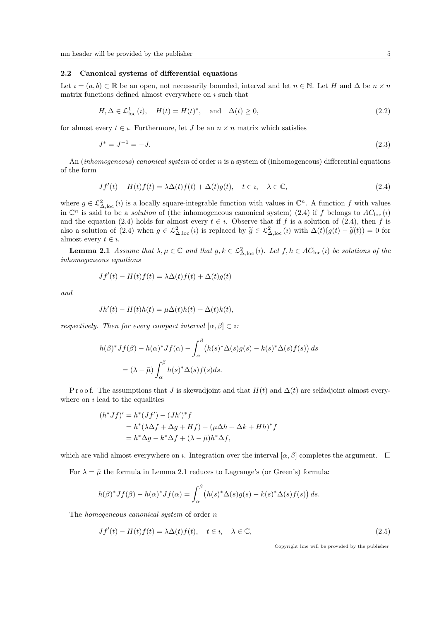### 2.2 Canonical systems of differential equations

Let  $i = (a, b) \subset \mathbb{R}$  be an open, not necessarily bounded, interval and let  $n \in \mathbb{N}$ . Let H and  $\Delta$  be  $n \times n$ matrix functions defined almost everywhere on  $\imath$  such that

$$
H, \Delta \in \mathcal{L}^1_{loc}(i), \quad H(t) = H(t)^*, \quad \text{and} \quad \Delta(t) \ge 0,
$$
\n
$$
(2.2)
$$

for almost every  $t \in i$ . Furthermore, let J be an  $n \times n$  matrix which satisfies

$$
J^* = J^{-1} = -J.\tag{2.3}
$$

An (*inhomogeneous*) canonical system of order n is a system of (*inhomogeneous*) differential equations of the form

$$
Jf'(t) - H(t)f(t) = \lambda \Delta(t)f(t) + \Delta(t)g(t), \quad t \in \mathbb{I}, \quad \lambda \in \mathbb{C}, \tag{2.4}
$$

where  $g \in \mathcal{L}^2_{\Delta,\text{loc}}(i)$  is a locally square-integrable function with values in  $\mathbb{C}^n$ . A function f with values in  $\mathbb{C}^n$  is said to be a *solution* of (the inhomogeneous canonical system) (2.4) if f belongs to  $AC_{\text{loc}}(i)$ and the equation (2.4) holds for almost every  $t \in i$ . Observe that if f is a solution of (2.4), then f is also a solution of (2.4) when  $g \in \mathcal{L}^2_{\Delta,loc}(i)$  is replaced by  $\widetilde{g} \in \mathcal{L}^2_{\Delta,loc}(i)$  with  $\Delta(t)(g(t) - \widetilde{g}(t)) = 0$  for almost every  $t \in \iota$ .

**Lemma 2.1** Assume that  $\lambda, \mu \in \mathbb{C}$  and that  $g, k \in \mathcal{L}^2_{\Delta, \text{loc}}(i)$ . Let  $f, h \in AC_{\text{loc}}(i)$  be solutions of the inhomogeneous equations

$$
Jf'(t) - H(t)f(t) = \lambda \Delta(t)f(t) + \Delta(t)g(t)
$$

and

$$
Jh'(t) - H(t)h(t) = \mu \Delta(t)h(t) + \Delta(t)k(t),
$$

respectively. Then for every compact interval  $[\alpha, \beta] \subset \iota$ :

$$
h(\beta)^* Jf(\beta) - h(\alpha)^* Jf(\alpha) - \int_{\alpha}^{\beta} (h(s)^* \Delta(s)g(s) - k(s)^* \Delta(s)f(s)) ds
$$
  
=  $(\lambda - \bar{\mu}) \int_{\alpha}^{\beta} h(s)^* \Delta(s)f(s) ds.$ 

P r o o f. The assumptions that J is skewadjoint and that  $H(t)$  and  $\Delta(t)$  are selfadjoint almost everywhere on  $\imath$  lead to the equalities

$$
(h^*Jf)' = h^*(Jf') - (Jh')^*f
$$
  
=  $h^*(\lambda \Delta f + \Delta g + Hf) - (\mu \Delta h + \Delta k + Hh)^*f$   
=  $h^* \Delta g - k^* \Delta f + (\lambda - \bar{\mu})h^* \Delta f$ ,

which are valid almost everywhere on *i*. Integration over the interval  $[\alpha, \beta]$  completes the argument.  $\square$ 

For  $\lambda = \bar{\mu}$  the formula in Lemma 2.1 reduces to Lagrange's (or Green's) formula:

$$
h(\beta)^* Jf(\beta) - h(\alpha)^* Jf(\alpha) = \int_{\alpha}^{\beta} \left( h(s)^* \Delta(s)g(s) - k(s)^* \Delta(s)f(s) \right) ds.
$$

The *homogeneous canonical system* of order  $n$ 

$$
Jf'(t) - H(t)f(t) = \lambda \Delta(t)f(t), \quad t \in \mathbb{I}, \quad \lambda \in \mathbb{C}, \tag{2.5}
$$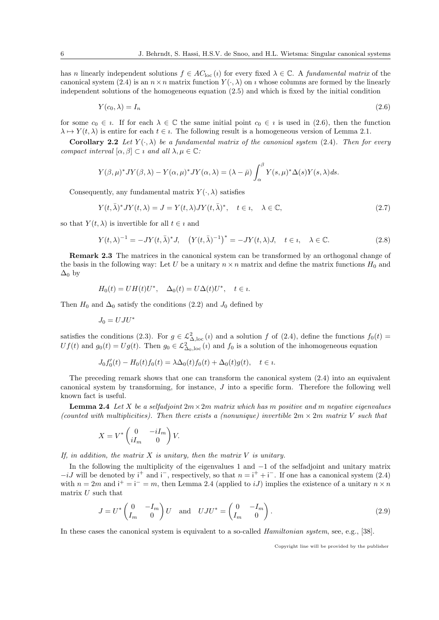has n linearly independent solutions  $f \in AC_{\text{loc}}(i)$  for every fixed  $\lambda \in \mathbb{C}$ . A fundamental matrix of the canonical system (2.4) is an  $n \times n$  matrix function  $Y(\cdot, \lambda)$  on *i* whose columns are formed by the linearly independent solutions of the homogeneous equation (2.5) and which is fixed by the initial condition

$$
Y(c_0, \lambda) = I_n \tag{2.6}
$$

for some  $c_0 \in i$ . If for each  $\lambda \in \mathbb{C}$  the same initial point  $c_0 \in i$  is used in (2.6), then the function  $\lambda \mapsto Y(t, \lambda)$  is entire for each  $t \in \iota$ . The following result is a homogeneous version of Lemma 2.1.

**Corollary 2.2** Let  $Y(\cdot, \lambda)$  be a fundamental matrix of the canonical system (2.4). Then for every compact interval  $[\alpha, \beta] \subset i$  and all  $\lambda, \mu \in \mathbb{C}$ :

$$
Y(\beta,\mu)^* JY(\beta,\lambda) - Y(\alpha,\mu)^* JY(\alpha,\lambda) = (\lambda - \bar{\mu}) \int_{\alpha}^{\beta} Y(s,\mu)^* \Delta(s) Y(s,\lambda) ds.
$$

Consequently, any fundamental matrix  $Y(\cdot, \lambda)$  satisfies

$$
Y(t,\bar{\lambda})^* JY(t,\lambda) = J = Y(t,\lambda)JY(t,\bar{\lambda})^*, \quad t \in \mathfrak{u}, \quad \lambda \in \mathbb{C},
$$
\n(2.7)

so that  $Y(t, \lambda)$  is invertible for all  $t \in i$  and

$$
Y(t,\lambda)^{-1} = -JY(t,\bar{\lambda})^*J, \quad \left(Y(t,\bar{\lambda})^{-1}\right)^* = -JY(t,\lambda)J, \quad t \in \mathfrak{e}, \quad \lambda \in \mathbb{C}.
$$

Remark 2.3 The matrices in the canonical system can be transformed by an orthogonal change of the basis in the following way: Let U be a unitary  $n \times n$  matrix and define the matrix functions  $H_0$  and  $\Delta_0$  by

$$
H_0(t) = UH(t)U^*, \quad \Delta_0(t) = U\Delta(t)U^*, \quad t \in \mathfrak{u}.
$$

Then  $H_0$  and  $\Delta_0$  satisfy the conditions (2.2) and  $J_0$  defined by

$$
J_0=UJU^{\ast}
$$

satisfies the conditions (2.3). For  $g \in \mathcal{L}^2_{\Delta,\text{loc}}(i)$  and a solution f of (2.4), define the functions  $f_0(t)$  $Uf(t)$  and  $g_0(t) = Ug(t)$ . Then  $g_0 \in \mathcal{L}^2_{\Delta_0,\text{loc}}(t)$  and  $f_0$  is a solution of the inhomogeneous equation

$$
J_0 f'_0(t) - H_0(t) f_0(t) = \lambda \Delta_0(t) f_0(t) + \Delta_0(t) g(t), \quad t \in \mathcal{U}.
$$

The preceding remark shows that one can transform the canonical system  $(2.4)$  into an equivalent canonical system by transforming, for instance,  $J$  into a specific form. Therefore the following well known fact is useful.

**Lemma 2.4** Let X be a selfadjoint  $2m \times 2m$  matrix which has m positive and m negative eigenvalues (counted with multiplicities). Then there exists a (nonunique) invertible  $2m \times 2m$  matrix V such that

$$
X = V^* \begin{pmatrix} 0 & -iI_m \\ iI_m & 0 \end{pmatrix} V.
$$

If, in addition, the matrix  $X$  is unitary, then the matrix  $V$  is unitary.

In the following the multiplicity of the eigenvalues 1 and −1 of the selfadjoint and unitary matrix  $-iJ$  will be denoted by i<sup>+</sup> and i<sup>-</sup>, respectively, so that  $n = i^+ + i^-$ . If one has a canonical system (2.4) with  $n = 2m$  and  $i^+ = i^- = m$ , then Lemma 2.4 (applied to *iJ*) implies the existence of a unitary  $n \times n$ matrix  $U$  such that

$$
J = U^* \begin{pmatrix} 0 & -I_m \\ I_m & 0 \end{pmatrix} U \quad \text{and} \quad UJU^* = \begin{pmatrix} 0 & -I_m \\ I_m & 0 \end{pmatrix}.
$$
 (2.9)

In these cases the canonical system is equivalent to a so-called *Hamiltonian system*, see, e.g., [38].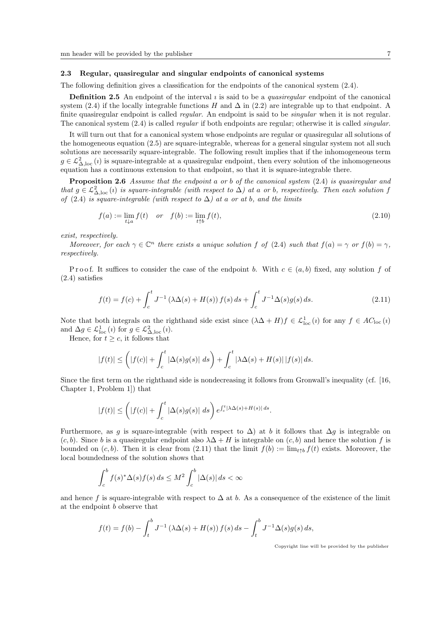# 2.3 Regular, quasiregular and singular endpoints of canonical systems

The following definition gives a classification for the endpoints of the canonical system  $(2.4)$ .

**Definition 2.5** An endpoint of the interval  $\imath$  is said to be a *quasiregular* endpoint of the canonical system (2.4) if the locally integrable functions H and  $\Delta$  in (2.2) are integrable up to that endpoint. A finite quasiregular endpoint is called *regular*. An endpoint is said to be *singular* when it is not regular. The canonical system  $(2.4)$  is called *regular* if both endpoints are regular; otherwise it is called *singular*.

It will turn out that for a canonical system whose endpoints are regular or quasiregular all solutions of the homogeneous equation (2.5) are square-integrable, whereas for a general singular system not all such solutions are necessarily square-integrable. The following result implies that if the inhomogeneous term  $g \in L^2_{\Delta,\text{loc}}(i)$  is square-integrable at a quasiregular endpoint, then every solution of the inhomogeneous equation has a continuous extension to that endpoint, so that it is square-integrable there.

Proposition 2.6 Assume that the endpoint a or b of the canonical system (2.4) is quasiregular and that  $g \in \mathcal{L}^2_{\Delta,\text{loc}}(i)$  is square-integrable (with respect to  $\Delta$ ) at a or b, respectively. Then each solution f of (2.4) is square-integrable (with respect to  $\Delta$ ) at a or at b, and the limits

$$
f(a) := \lim_{t \downarrow a} f(t) \quad \text{or} \quad f(b) := \lim_{t \uparrow b} f(t), \tag{2.10}
$$

exist, respectively.

Moreover, for each  $\gamma \in \mathbb{C}^n$  there exists a unique solution f of (2.4) such that  $f(a) = \gamma$  or  $f(b) = \gamma$ , respectively.

Proof. It suffices to consider the case of the endpoint b. With  $c \in (a, b)$  fixed, any solution f of (2.4) satisfies

$$
f(t) = f(c) + \int_{c}^{t} J^{-1} \left(\lambda \Delta(s) + H(s)\right) f(s) \, ds + \int_{c}^{t} J^{-1} \Delta(s) g(s) \, ds. \tag{2.11}
$$

Note that both integrals on the righthand side exist since  $(\lambda \Delta + H) f \in \mathcal{L}^1_{loc}(i)$  for any  $f \in AC_{loc}(i)$ and  $\Delta g \in \mathcal{L}_{\text{loc}}^1(i)$  for  $g \in \mathcal{L}_{\Delta,\text{loc}}^2(i)$ .

Hence, for  $t \geq c$ , it follows that

$$
|f(t)| \le \left(|f(c)| + \int_c^t |\Delta(s)g(s)| \ ds\right) + \int_c^t |\lambda \Delta(s) + H(s)| \, |f(s)| \ ds.
$$

Since the first term on the righthand side is nondecreasing it follows from Gronwall's inequality (cf. [16, Chapter 1, Problem 1]) that

$$
|f(t)| \le \left(|f(c)| + \int_c^t |\Delta(s)g(s)| \ ds\right) e^{\int_c^t |\lambda \Delta(s) + H(s)| \ ds}.
$$

Furthermore, as q is square-integrable (with respect to  $\Delta$ ) at b it follows that  $\Delta q$  is integrable on  $(c, b)$ . Since b is a quasiregular endpoint also  $\lambda \Delta + H$  is integrable on  $(c, b)$  and hence the solution f is bounded on  $(c, b)$ . Then it is clear from (2.11) that the limit  $f(b) := \lim_{t \uparrow b} f(t)$  exists. Moreover, the local boundedness of the solution shows that

$$
\int_{c}^{b} f(s)^{*} \Delta(s) f(s) ds \leq M^{2} \int_{c}^{b} |\Delta(s)| ds < \infty
$$

and hence f is square-integrable with respect to  $\Delta$  at b. As a consequence of the existence of the limit at the endpoint b observe that

$$
f(t) = f(b) - \int_{t}^{b} J^{-1} (\lambda \Delta(s) + H(s)) f(s) ds - \int_{t}^{b} J^{-1} \Delta(s) g(s) ds,
$$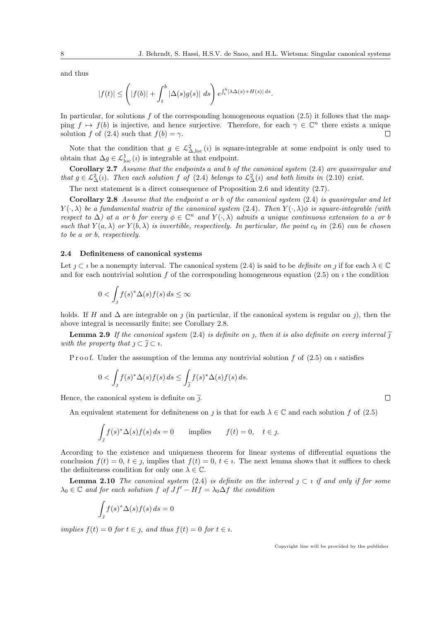and thus

$$
|f(t)| \le \left(|f(b)| + \int_t^b |\Delta(s)g(s)| \ ds\right) e^{\int_t^b |\lambda \Delta(s) + H(s)| \ ds}.
$$

In particular, for solutions  $f$  of the corresponding homogeneous equation (2.5) it follows that the mapping  $f \mapsto f(b)$  is injective, and hence surjective. Therefore, for each  $\gamma \in \mathbb{C}^n$  there exists a unique solution f of (2.4) such that  $f(b) = \gamma$ .  $\Box$ 

Note that the condition that  $g \in L^2_{\Delta,\text{loc}}(i)$  is square-integrable at some endpoint is only used to obtain that  $\Delta g \in \mathcal{L}^1_{loc}(i)$  is integrable at that endpoint.

Corollary 2.7 Assume that the endpoints a and b of the canonical system (2.4) are quasiregular and that  $g \in \mathcal{L}^2_{\Delta}(i)$ . Then each solution f of (2.4) belongs to  $\mathcal{L}^2_{\Delta}(i)$  and both limits in (2.10) exist.

The next statement is a direct consequence of Proposition 2.6 and identity (2.7).

**Corollary 2.8** Assume that the endpoint a or b of the canonical system  $(2.4)$  is quasiregular and let  $Y(\cdot, \lambda)$  be a fundamental matrix of the canonical system (2.4). Then  $Y(\cdot, \lambda)\phi$  is square-integrable (with respect to  $\Delta$ ) at a or b for every  $\phi \in \mathbb{C}^n$  and  $Y(\cdot, \lambda)$  admits a unique continuous extension to a or b such that  $Y(a, \lambda)$  or  $Y(b, \lambda)$  is invertible, respectively. In particular, the point  $c_0$  in (2.6) can be chosen to be a or b, respectively.

#### 2.4 Definiteness of canonical systems

Let  $j \subset i$  be a nonempty interval. The canonical system (2.4) is said to be *definite on* j if for each  $\lambda \in \mathbb{C}$ and for each nontrivial solution f of the corresponding homogeneous equation (2.5) on  $\imath$  the condition

$$
0 < \int_{\mathfrak{I}} f(s)^* \Delta(s) f(s) \, ds \leq \infty
$$

holds. If H and  $\Delta$  are integrable on j (in particular, if the canonical system is regular on j), then the above integral is necessarily finite; see Corollary 2.8.

**Lemma 2.9** If the canonical system (2.4) is definite on  $\eta$ , then it is also definite on every interval  $\tilde{\eta}$ with the property that  $\eta \subset \tilde{\eta} \subset \tilde{\iota}$ .

P r o o f. Under the assumption of the lemma any nontrivial solution f of  $(2.5)$  on  $\imath$  satisfies

$$
0 < \int_{\mathcal{J}} f(s)^* \Delta(s) f(s) \, ds \le \int_{\widetilde{\mathcal{J}}} f(s)^* \Delta(s) f(s) \, ds.
$$

Hence, the canonical system is definite on  $\tilde{j}$ .

An equivalent statement for definiteness on  $\gamma$  is that for each  $\lambda \in \mathbb{C}$  and each solution f of (2.5)

$$
\int_{\mathcal{I}} f(s)^{*} \Delta(s) f(s) ds = 0 \quad \text{implies} \quad f(t) = 0, \quad t \in \mathcal{I}.
$$

According to the existence and uniqueness theorem for linear systems of differential equations the conclusion  $f(t) = 0, t \in j$ , implies that  $f(t) = 0, t \in i$ . The next lemma shows that it suffices to check the definiteness condition for only one  $\lambda \in \mathbb{C}$ .

**Lemma 2.10** The canonical system (2.4) is definite on the interval  $j \,\subset i$  if and only if for some  $\lambda_0 \in \mathbb{C}$  and for each solution f of  $Jf' - Hf = \lambda_0 \Delta f$  the condition

$$
\int_J f(s)^*\Delta(s)f(s)\,ds=0
$$

implies  $f(t) = 0$  for  $t \in j$ , and thus  $f(t) = 0$  for  $t \in i$ .

$$
\Box
$$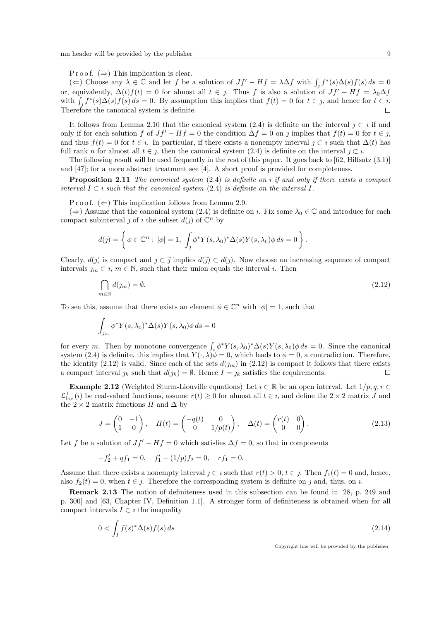P r o o f.  $(\Rightarrow)$  This implication is clear.

(←) Choose any  $\lambda \in \mathbb{C}$  and let f be a solution of  $Jf' - Hf = \lambda \Delta f$  with  $\int_{\mathcal{J}} f^*(s) \Delta(s) f(s) ds = 0$ or, equivalently,  $\Delta(t)f(t) = 0$  for almost all  $t \in j$ . Thus f is also a solution of  $Jf' - Hf = \lambda_0 \Delta f$ with  $\int_{\mathcal{J}} f^*(s) \Delta(s) f(s) ds = 0$ . By assumption this implies that  $f(t) = 0$  for  $t \in \mathcal{J}$ , and hence for  $t \in \mathcal{J}$ . Therefore the canonical system is definite.  $\Box$ 

It follows from Lemma 2.10 that the canonical system (2.4) is definite on the interval  $j \,\subset i$  if and only if for each solution f of  $Jf' - Hf = 0$  the condition  $\Delta f = 0$  on j implies that  $f(t) = 0$  for  $t \in j$ , and thus  $f(t) = 0$  for  $t \in i$ . In particular, if there exists a nonempty interval  $\gamma \subset i$  such that  $\Delta(t)$  has full rank n for almost all  $t \in j$ , then the canonical system (2.4) is definite on the interval  $j \subset i$ .

The following result will be used frequently in the rest of this paper. It goes back to  $[62, H\text{ll}52, 1]$ ] and [47]; for a more abstract treatment see [4]. A short proof is provided for completeness.

**Proposition 2.11** The canonical system  $(2.4)$  is definite on  $\iota$  if and only if there exists a compact interval  $I \subset i$  such that the canonical system (2.4) is definite on the interval  $I$ .

P r o o f.  $(\Leftarrow)$  This implication follows from Lemma 2.9.

(⇒) Assume that the canonical system (2.4) is definite on  $\iota$ . Fix some  $\lambda_0 \in \mathbb{C}$  and introduce for each compact subinterval  $\jmath$  of  $\iota$  the subset  $d(\jmath)$  of  $\mathbb{C}^n$  by

$$
d(j) = \left\{ \phi \in \mathbb{C}^n : |\phi| = 1, \int_j \phi^* Y(s, \lambda_0)^* \Delta(s) Y(s, \lambda_0) \phi \, ds = 0 \right\}.
$$

Clearly,  $d(j)$  is compact and  $j \,\subset \,\widetilde{j}$  implies  $d(\widetilde{j}) \subset d(j)$ . Now choose an increasing sequence of compact intervals  $j_m \subset i, m \in \mathbb{N}$ , such that their union equals the interval *i*. Then

$$
\bigcap_{m \in \mathbb{N}} d(j_m) = \emptyset. \tag{2.12}
$$

To see this, assume that there exists an element  $\phi \in \mathbb{C}^n$  with  $|\phi|=1$ , such that

$$
\int_{\jmath_m} \phi^* Y(s, \lambda_0)^* \Delta(s) Y(s, \lambda_0) \phi \, ds = 0
$$

for every m. Then by monotone convergence  $\int_{i} \phi^* Y(s, \lambda_0)^* \Delta(s) Y(s, \lambda_0) \phi ds = 0$ . Since the canonical system (2.4) is definite, this implies that  $Y(\cdot, \lambda)\phi = 0$ , which leads to  $\phi = 0$ , a contradiction. Therefore, the identity (2.12) is valid. Since each of the sets  $d(j_m)$  in (2.12) is compact it follows that there exists a compact interval  $j_k$  such that  $d(j_k) = \emptyset$ . Hence  $I = j_k$  satisfies the requirements.  $\Box$ 

Example 2.12 (Weighted Sturm-Liouville equations) Let  $\imath \subset \mathbb{R}$  be an open interval. Let  $1/p, q, r \in$  $\mathcal{L}^1_{\text{loc}}(i)$  be real-valued functions, assume  $r(t) \geq 0$  for almost all  $t \in i$ , and define the  $2 \times 2$  matrix J and the 2 × 2 matrix functions H and  $\Delta$  by

$$
J = \begin{pmatrix} 0 & -1 \\ 1 & 0 \end{pmatrix}, \quad H(t) = \begin{pmatrix} -q(t) & 0 \\ 0 & 1/p(t) \end{pmatrix}, \quad \Delta(t) = \begin{pmatrix} r(t) & 0 \\ 0 & 0 \end{pmatrix}.
$$
 (2.13)

Let f be a solution of  $Jf' - Hf = 0$  which satisfies  $\Delta f = 0$ , so that in components

$$
-f_2' + qf_1 = 0, \quad f_1' - (1/p)f_2 = 0, \quad rf_1 = 0.
$$

Assume that there exists a nonempty interval  $j \subset i$  such that  $r(t) > 0, t \in j$ . Then  $f_1(t) = 0$  and, hence, also  $f_2(t) = 0$ , when  $t \in \mathcal{I}$ . Therefore the corresponding system is definite on  $\mathcal{I}$  and, thus, on  $\mathcal{I}$ .

Remark 2.13 The notion of definiteness used in this subsection can be found in [28, p. 249 and p. 300] and [63, Chapter IV, Definition 1.1]. A stronger form of definiteness is obtained when for all compact intervals  $I \subset i$  the inequality

$$
0 < \int_{I} f(s)^{*} \Delta(s) f(s) \, ds \tag{2.14}
$$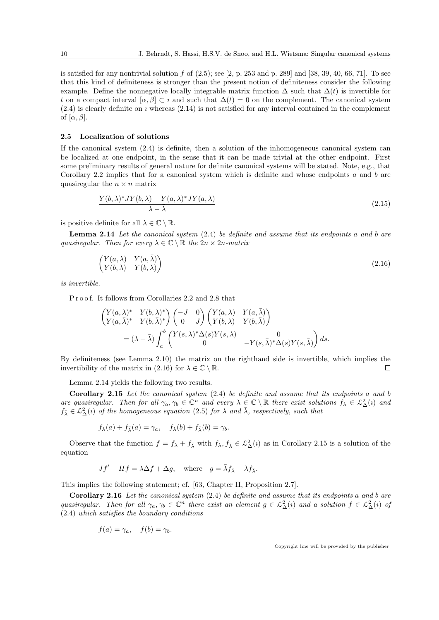is satisfied for any nontrivial solution f of  $(2.5)$ ; see  $[2, p. 253$  and p. 289 and  $[38, 39, 40, 66, 71]$ . To see that this kind of definiteness is stronger than the present notion of definiteness consider the following example. Define the nonnegative locally integrable matrix function  $\Delta$  such that  $\Delta(t)$  is invertible for t on a compact interval  $[\alpha, \beta] \subset i$  and such that  $\Delta(t) = 0$  on the complement. The canonical system  $(2.4)$  is clearly definite on *i* whereas  $(2.14)$  is not satisfied for any interval contained in the complement of  $[\alpha, \beta]$ .

#### 2.5 Localization of solutions

If the canonical system  $(2.4)$  is definite, then a solution of the inhomogeneous canonical system can be localized at one endpoint, in the sense that it can be made trivial at the other endpoint. First some preliminary results of general nature for definite canonical systems will be stated. Note, e.g., that Corollary 2.2 implies that for a canonical system which is definite and whose endpoints a and b are quasiregular the  $n \times n$  matrix

$$
\frac{Y(b,\lambda)^*JY(b,\lambda) - Y(a,\lambda)^*JY(a,\lambda)}{\lambda - \bar{\lambda}}\tag{2.15}
$$

is positive definite for all  $\lambda \in \mathbb{C} \setminus \mathbb{R}$ .

**Lemma 2.14** Let the canonical system  $(2.4)$  be definite and assume that its endpoints a and b are quasiregular. Then for every  $\lambda \in \mathbb{C} \setminus \mathbb{R}$  the  $2n \times 2n$ -matrix

$$
\begin{pmatrix} Y(a,\lambda) & Y(a,\bar{\lambda}) \\ Y(b,\lambda) & Y(b,\bar{\lambda}) \end{pmatrix}
$$
\n(2.16)

is invertible.

Proof. It follows from Corollaries 2.2 and 2.8 that

$$
\begin{aligned}\n\begin{pmatrix}\nY(a,\lambda)^* & Y(b,\lambda)^* \\
Y(a,\bar{\lambda})^* & Y(b,\bar{\lambda})^*\n\end{pmatrix}\n\begin{pmatrix}\n-J & 0 \\
0 & J\n\end{pmatrix}\n\begin{pmatrix}\nY(a,\lambda) & Y(a,\bar{\lambda}) \\
Y(b,\lambda) & Y(b,\bar{\lambda})\n\end{pmatrix} \\
&= (\lambda - \bar{\lambda}) \int_a^b \begin{pmatrix}\nY(s,\lambda)^* \Delta(s) Y(s,\lambda) & 0 \\
0 & -Y(s,\bar{\lambda})^* \Delta(s) Y(s,\bar{\lambda})\n\end{pmatrix} ds.\n\end{aligned}
$$

By definiteness (see Lemma 2.10) the matrix on the righthand side is invertible, which implies the invertibility of the matrix in (2.16) for  $\lambda \in \mathbb{C} \setminus \mathbb{R}$ .  $\Box$ 

Lemma 2.14 yields the following two results.

Corollary 2.15 Let the canonical system (2.4) be definite and assume that its endpoints a and b are quasiregular. Then for all  $\gamma_a, \gamma_b \in \mathbb{C}^n$  and every  $\lambda \in \mathbb{C} \setminus \mathbb{R}$  there exist solutions  $f_{\lambda} \in L^2_{\Delta}(i)$  and  $f_{\bar{\lambda}} \in \mathcal{L}^2_{\Delta}(i)$  of the homogeneous equation (2.5) for  $\lambda$  and  $\bar{\lambda}$ , respectively, such that

$$
f_{\lambda}(a) + f_{\overline{\lambda}}(a) = \gamma_a, \quad f_{\lambda}(b) + f_{\overline{\lambda}}(b) = \gamma_b.
$$

Observe that the function  $f = f_{\lambda} + f_{\overline{\lambda}}$  with  $f_{\lambda}, f_{\overline{\lambda}} \in \mathcal{L}^2_{\Delta}(i)$  as in Corollary 2.15 is a solution of the equation

$$
Jf' - Hf = \lambda \Delta f + \Delta g
$$
, where  $g = \bar{\lambda} f_{\bar{\lambda}} - \lambda f_{\bar{\lambda}}$ .

This implies the following statement; cf. [63, Chapter II, Proposition 2.7].

Corollary 2.16 Let the canonical system  $(2.4)$  be definite and assume that its endpoints a and b are quasiregular. Then for all  $\gamma_a, \gamma_b \in \mathbb{C}^n$  there exist an element  $g \in \mathcal{L}^2_\Delta(i)$  and a solution  $f \in \mathcal{L}^2_\Delta(i)$  of (2.4) which satisfies the boundary conditions

$$
f(a) = \gamma_a, \quad f(b) = \gamma_b.
$$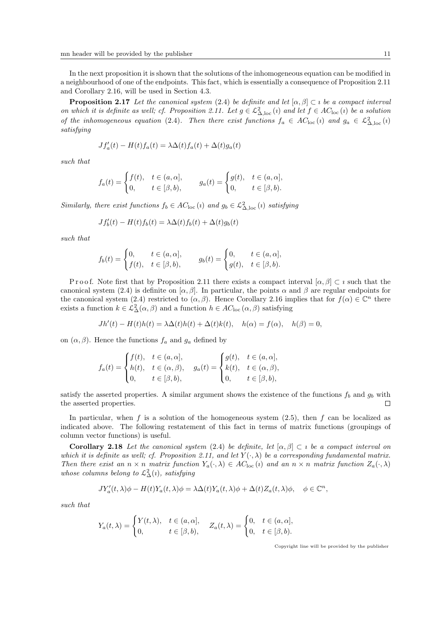In the next proposition it is shown that the solutions of the inhomogeneous equation can be modified in a neighbourhood of one of the endpoints. This fact, which is essentially a consequence of Proposition 2.11 and Corollary 2.16, will be used in Section 4.3.

**Proposition 2.17** Let the canonical system (2.4) be definite and let  $[\alpha, \beta] \subset i$  be a compact interval on which it is definite as well; cf. Proposition 2.11. Let  $g \in L^2_{\Delta,loc}(i)$  and let  $f \in AC_{loc}(i)$  be a solution of the inhomogeneous equation (2.4). Then there exist functions  $f_a \in AC_{\text{loc}}(i)$  and  $g_a \in \mathcal{L}^2_{\Delta,\text{loc}}(i)$ satisfying

$$
Jf'_a(t) - H(t)f_a(t) = \lambda \Delta(t) f_a(t) + \Delta(t) g_a(t)
$$

such that

$$
f_a(t) = \begin{cases} f(t), & t \in (a, \alpha], \\ 0, & t \in [\beta, b), \end{cases} \qquad g_a(t) = \begin{cases} g(t), & t \in (a, \alpha], \\ 0, & t \in [\beta, b). \end{cases}
$$

Similarly, there exist functions  $f_b \in AC_{loc}(i)$  and  $g_b \in \mathcal{L}^2_{\Delta,loc}(i)$  satisfying

$$
Jf'_{b}(t) - H(t)f_{b}(t) = \lambda \Delta(t)f_{b}(t) + \Delta(t)g_{b}(t)
$$

such that

$$
f_b(t) = \begin{cases} 0, & t \in (a, \alpha], \\ f(t), & t \in [\beta, b), \end{cases} \qquad g_b(t) = \begin{cases} 0, & t \in (a, \alpha], \\ g(t), & t \in [\beta, b). \end{cases}
$$

P r o o f. Note first that by P roposition 2.11 there exists a compact interval  $[\alpha, \beta] \subset i$  such that the canonical system (2.4) is definite on  $[\alpha, \beta]$ . In particular, the points  $\alpha$  and  $\beta$  are regular endpoints for the canonical system (2.4) restricted to  $(\alpha, \beta)$ . Hence Corollary 2.16 implies that for  $f(\alpha) \in \mathbb{C}^n$  there exists a function  $k \in \mathcal{L}^2_{\Delta}(\alpha, \beta)$  and a function  $h \in AC_{\text{loc}}(\alpha, \beta)$  satisfying

$$
Jh'(t) - H(t)h(t) = \lambda \Delta(t)h(t) + \Delta(t)k(t), \quad h(\alpha) = f(\alpha), \quad h(\beta) = 0,
$$

on  $(\alpha, \beta)$ . Hence the functions  $f_a$  and  $g_a$  defined by

$$
f_a(t) = \begin{cases} f(t), & t \in (a, \alpha], \\ h(t), & t \in (\alpha, \beta), \\ 0, & t \in [\beta, b), \end{cases} \quad g_a(t) = \begin{cases} g(t), & t \in (a, \alpha], \\ k(t), & t \in (\alpha, \beta), \\ 0, & t \in [\beta, b), \end{cases}
$$

satisfy the asserted properties. A similar argument shows the existence of the functions  $f_b$  and  $g_b$  with the asserted properties. П

In particular, when f is a solution of the homogeneous system  $(2.5)$ , then f can be localized as indicated above. The following restatement of this fact in terms of matrix functions (groupings of column vector functions) is useful.

**Corollary 2.18** Let the canonical system (2.4) be definite, let  $[\alpha, \beta] \subset i$  be a compact interval on which it is definite as well; cf. Proposition 2.11, and let  $Y(\cdot, \lambda)$  be a corresponding fundamental matrix. Then there exist an  $n \times n$  matrix function  $Y_a(\cdot, \lambda) \in AC_{\text{loc}}(i)$  and an  $n \times n$  matrix function  $Z_a(\cdot, \lambda)$ whose columns belong to  $\mathcal{L}^2_{\Delta}(i)$ , satisfying

$$
JY'_a(t,\lambda)\phi - H(t)Y_a(t,\lambda)\phi = \lambda \Delta(t)Y_a(t,\lambda)\phi + \Delta(t)Z_a(t,\lambda)\phi, \quad \phi \in \mathbb{C}^n,
$$

such that

$$
Y_a(t,\lambda) = \begin{cases} Y(t,\lambda), & t \in (a,\alpha], \\ 0, & t \in [\beta,b), \end{cases} \quad Z_a(t,\lambda) = \begin{cases} 0, & t \in (a,\alpha], \\ 0, & t \in [\beta,b). \end{cases}
$$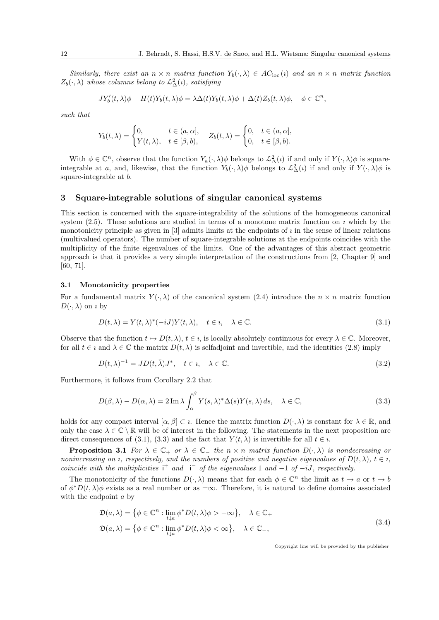Similarly, there exist an  $n \times n$  matrix function  $Y_b(\cdot, \lambda) \in AC_{loc}(i)$  and an  $n \times n$  matrix function  $Z_b(\cdot, \lambda)$  whose columns belong to  $\mathcal{L}^2_{\Delta}(i)$ , satisfying

$$
JY'_b(t,\lambda)\phi - H(t)Y_b(t,\lambda)\phi = \lambda \Delta(t)Y_b(t,\lambda)\phi + \Delta(t)Z_b(t,\lambda)\phi, \quad \phi \in \mathbb{C}^n,
$$

such that

$$
Y_b(t,\lambda) = \begin{cases} 0, & t \in (a,\alpha], \\ Y(t,\lambda), & t \in [\beta,b), \end{cases} \quad Z_b(t,\lambda) = \begin{cases} 0, & t \in (a,\alpha], \\ 0, & t \in [\beta,b). \end{cases}
$$

With  $\phi \in \mathbb{C}^n$ , observe that the function  $Y_a(\cdot, \lambda)\phi$  belongs to  $\mathcal{L}^2_{\Delta}(i)$  if and only if  $Y(\cdot, \lambda)\phi$  is squareintegrable at a, and, likewise, that the function  $Y_b(\cdot, \lambda)\phi$  belongs to  $\mathcal{L}^2_{\Delta}(i)$  if and only if  $Y(\cdot, \lambda)\phi$  is square-integrable at b.

# 3 Square-integrable solutions of singular canonical systems

This section is concerned with the square-integrability of the solutions of the homogeneous canonical system  $(2.5)$ . These solutions are studied in terms of a monotone matrix function on *i* which by the monotonicity principle as given in  $[3]$  admits limits at the endpoints of  $\imath$  in the sense of linear relations (multivalued operators). The number of square-integrable solutions at the endpoints coincides with the multiplicity of the finite eigenvalues of the limits. One of the advantages of this abstract geometric approach is that it provides a very simple interpretation of the constructions from [2, Chapter 9] and [60, 71].

# 3.1 Monotonicity properties

For a fundamental matrix  $Y(\cdot, \lambda)$  of the canonical system (2.4) introduce the  $n \times n$  matrix function  $D(\cdot, \lambda)$  on *i* by

$$
D(t,\lambda) = Y(t,\lambda)^*(-iJ)Y(t,\lambda), \quad t \in \mathfrak{e}, \quad \lambda \in \mathbb{C}.
$$
\n(3.1)

Observe that the function  $t \mapsto D(t, \lambda)$ ,  $t \in \iota$ , is locally absolutely continuous for every  $\lambda \in \mathbb{C}$ . Moreover, for all  $t \in i$  and  $\lambda \in \mathbb{C}$  the matrix  $D(t, \lambda)$  is selfadjoint and invertible, and the identities (2.8) imply

$$
D(t,\lambda)^{-1} = JD(t,\bar{\lambda})J^*, \quad t \in \mathfrak{v}, \quad \lambda \in \mathbb{C}.\tag{3.2}
$$

Furthermore, it follows from Corollary 2.2 that

$$
D(\beta,\lambda) - D(\alpha,\lambda) = 2 \operatorname{Im} \lambda \int_{\alpha}^{\beta} Y(s,\lambda)^* \Delta(s) Y(s,\lambda) ds, \quad \lambda \in \mathbb{C},
$$
\n(3.3)

holds for any compact interval  $[\alpha, \beta] \subset \iota$ . Hence the matrix function  $D(\cdot, \lambda)$  is constant for  $\lambda \in \mathbb{R}$ , and only the case  $\lambda \in \mathbb{C} \setminus \mathbb{R}$  will be of interest in the following. The statements in the next proposition are direct consequences of (3.1), (3.3) and the fact that  $Y(t, \lambda)$  is invertible for all  $t \in \iota$ .

**Proposition 3.1** For  $\lambda \in \mathbb{C}_+$  or  $\lambda \in \mathbb{C}_-$  the  $n \times n$  matrix function  $D(\cdot, \lambda)$  is nondecreasing or nonincreasing on *i*, respectively, and the numbers of positive and negative eigenvalues of  $D(t, \lambda)$ ,  $t \in \iota$ , coincide with the multiplicities  $i^+$  and  $i^-$  of the eigenvalues 1 and  $-1$  of  $-iJ$ , respectively.

The monotonicity of the functions  $D(\cdot, \lambda)$  means that for each  $\phi \in \mathbb{C}^n$  the limit as  $t \to a$  or  $t \to b$ of  $\phi^*D(t,\lambda)\phi$  exists as a real number or as  $\pm\infty$ . Therefore, it is natural to define domains associated with the endpoint  $a$  by

$$
\mathfrak{D}(a,\lambda) = \{ \phi \in \mathbb{C}^n : \lim_{t \downarrow a} \phi^* D(t,\lambda) \phi > -\infty \}, \quad \lambda \in \mathbb{C}_+
$$
  

$$
\mathfrak{D}(a,\lambda) = \{ \phi \in \mathbb{C}^n : \lim_{t \downarrow a} \phi^* D(t,\lambda) \phi < \infty \}, \quad \lambda \in \mathbb{C}_-,
$$
  
(3.4)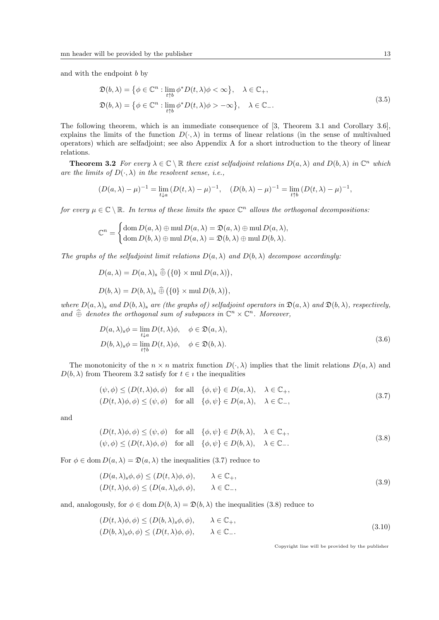and with the endpoint  $b$  by

$$
\mathfrak{D}(b,\lambda) = \{ \phi \in \mathbb{C}^n : \lim_{t \uparrow b} \phi^* D(t,\lambda) \phi < \infty \}, \quad \lambda \in \mathbb{C}_+,
$$
\n
$$
\mathfrak{D}(b,\lambda) = \{ \phi \in \mathbb{C}^n : \lim_{t \uparrow b} \phi^* D(t,\lambda) \phi > -\infty \}, \quad \lambda \in \mathbb{C}_-.
$$
\n
$$
(3.5)
$$

The following theorem, which is an immediate consequence of [3, Theorem 3.1 and Corollary 3.6], explains the limits of the function  $D(\cdot, \lambda)$  in terms of linear relations (in the sense of multivalued operators) which are selfadjoint; see also Appendix A for a short introduction to the theory of linear relations.

**Theorem 3.2** For every  $\lambda \in \mathbb{C} \setminus \mathbb{R}$  there exist selfadjoint relations  $D(a, \lambda)$  and  $D(b, \lambda)$  in  $\mathbb{C}^n$  which are the limits of  $D(\cdot, \lambda)$  in the resolvent sense, i.e.,

$$
(D(a,\lambda) - \mu)^{-1} = \lim_{t \downarrow a} (D(t,\lambda) - \mu)^{-1}, \quad (D(b,\lambda) - \mu)^{-1} = \lim_{t \uparrow b} (D(t,\lambda) - \mu)^{-1},
$$

for every  $\mu \in \mathbb{C} \setminus \mathbb{R}$ . In terms of these limits the space  $\mathbb{C}^n$  allows the orthogonal decompositions.

$$
\mathbb{C}^n = \begin{cases} \text{dom } D(a, \lambda) \oplus \text{mul } D(a, \lambda) = \mathfrak{D}(a, \lambda) \oplus \text{mul } D(a, \lambda), \\ \text{dom } D(b, \lambda) \oplus \text{mul } D(a, \lambda) = \mathfrak{D}(b, \lambda) \oplus \text{mul } D(b, \lambda). \end{cases}
$$

The graphs of the selfadjoint limit relations  $D(a, \lambda)$  and  $D(b, \lambda)$  decompose accordingly:

$$
D(a,\lambda) = D(a,\lambda)_{s} \widehat{\oplus} (\{0\} \times \text{mul } D(a,\lambda)),
$$
  

$$
D(b,\lambda) = D(b,\lambda)_{s} \widehat{\oplus} (\{0\} \times \text{mul } D(b,\lambda)),
$$

where  $D(a, \lambda)$ <sub>s</sub> and  $D(b, \lambda)$ <sub>s</sub> are (the graphs of) selfadjoint operators in  $\mathfrak{D}(a, \lambda)$  and  $\mathfrak{D}(b, \lambda)$ , respectively, and  $\widehat{\oplus}$  denotes the orthogonal sum of subspaces in  $\mathbb{C}^n \times \mathbb{C}^n$ . Moreover,

$$
D(a,\lambda)_s \phi = \lim_{t \downarrow a} D(t,\lambda)\phi, \quad \phi \in \mathfrak{D}(a,\lambda),
$$
  
\n
$$
D(b,\lambda)_s \phi = \lim_{t \uparrow b} D(t,\lambda)\phi, \quad \phi \in \mathfrak{D}(b,\lambda).
$$
\n(3.6)

The monotonicity of the  $n \times n$  matrix function  $D(\cdot, \lambda)$  implies that the limit relations  $D(a, \lambda)$  and  $D(b, \lambda)$  from Theorem 3.2 satisfy for  $t \in i$  the inequalities

$$
(\psi, \phi) \le (D(t, \lambda)\phi, \phi) \quad \text{for all} \quad \{\phi, \psi\} \in D(a, \lambda), \quad \lambda \in \mathbb{C}_+,
$$
  

$$
(D(t, \lambda)\phi, \phi) \le (\psi, \phi) \quad \text{for all} \quad \{\phi, \psi\} \in D(a, \lambda), \quad \lambda \in \mathbb{C}_-,
$$
 (3.7)

and

$$
(D(t,\lambda)\phi,\phi) \le (\psi,\phi) \quad \text{for all} \quad \{\phi,\psi\} \in D(b,\lambda), \quad \lambda \in \mathbb{C}_+,
$$
  

$$
(\psi,\phi) \le (D(t,\lambda)\phi,\phi) \quad \text{for all} \quad \{\phi,\psi\} \in D(b,\lambda), \quad \lambda \in \mathbb{C}_-.
$$
 (3.8)

For  $\phi \in \text{dom } D(a, \lambda) = \mathfrak{D}(a, \lambda)$  the inequalities (3.7) reduce to

$$
(D(a,\lambda)_s \phi, \phi) \le (D(t,\lambda)\phi, \phi), \qquad \lambda \in \mathbb{C}_+,
$$
  
\n
$$
(D(t,\lambda)\phi, \phi) \le (D(a,\lambda)_s \phi, \phi), \qquad \lambda \in \mathbb{C}_-,
$$
\n(3.9)

and, analogously, for  $\phi \in \text{dom } D(b, \lambda) = \mathfrak{D}(b, \lambda)$  the inequalities (3.8) reduce to

$$
(D(t,\lambda)\phi,\phi) \le (D(b,\lambda)_s\phi,\phi), \qquad \lambda \in \mathbb{C}_+,
$$
  
\n
$$
(D(b,\lambda)_s\phi,\phi) \le (D(t,\lambda)\phi,\phi), \qquad \lambda \in \mathbb{C}_-.
$$
\n
$$
(3.10)
$$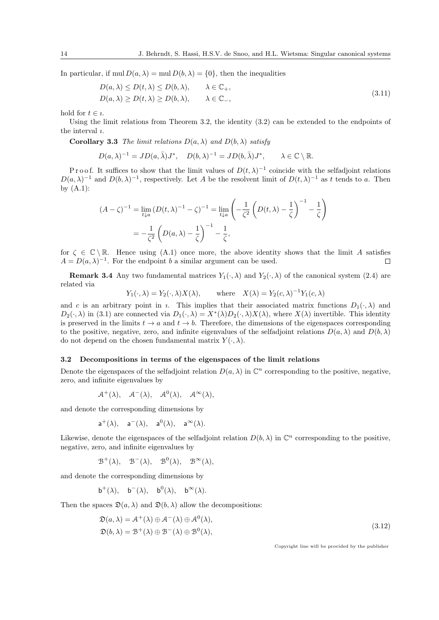In particular, if mul  $D(a, \lambda) = \text{mul } D(b, \lambda) = \{0\}$ , then the inequalities

$$
D(a,\lambda) \le D(t,\lambda) \le D(b,\lambda), \qquad \lambda \in \mathbb{C}_+,
$$
  
\n
$$
D(a,\lambda) \ge D(t,\lambda) \ge D(b,\lambda), \qquad \lambda \in \mathbb{C}_-,
$$
\n(3.11)

hold for  $t \in \iota$ .

Using the limit relations from Theorem 3.2, the identity (3.2) can be extended to the endpoints of the interval  $\iota$ .

**Corollary 3.3** The limit relations  $D(a, \lambda)$  and  $D(b, \lambda)$  satisfy

$$
D(a,\lambda)^{-1}=JD(a,\bar{\lambda})J^*,\quad D(b,\lambda)^{-1}=JD(b,\bar{\lambda})J^*,\qquad\lambda\in\mathbb{C}\setminus\mathbb{R}.
$$

P r o o f. It suffices to show that the limit values of  $D(t, \lambda)^{-1}$  coincide with the selfadjoint relations  $D(a,\lambda)^{-1}$  and  $D(b,\lambda)^{-1}$ , respectively. Let A be the resolvent limit of  $D(t,\lambda)^{-1}$  as t tends to a. Then by  $(A.1)$ :

$$
(A - \zeta)^{-1} = \lim_{t \downarrow a} (D(t, \lambda)^{-1} - \zeta)^{-1} = \lim_{t \downarrow a} \left( -\frac{1}{\zeta^2} \left( D(t, \lambda) - \frac{1}{\zeta} \right)^{-1} - \frac{1}{\zeta} \right)
$$
  
=  $-\frac{1}{\zeta^2} \left( D(a, \lambda) - \frac{1}{\zeta} \right)^{-1} - \frac{1}{\zeta},$ 

for  $\zeta \in \mathbb{C} \setminus \mathbb{R}$ . Hence using (A.1) once more, the above identity shows that the limit A satisfies  $A = D(a, \lambda)^{-1}$ . For the endpoint b a similar argument can be used.  $\Box$ 

**Remark 3.4** Any two fundamental matrices  $Y_1(\cdot, \lambda)$  and  $Y_2(\cdot, \lambda)$  of the canonical system (2.4) are related via

$$
Y_1(\cdot, \lambda) = Y_2(\cdot, \lambda)X(\lambda)
$$
, where  $X(\lambda) = Y_2(c, \lambda)^{-1}Y_1(c, \lambda)$ 

and c is an arbitrary point in *i*. This implies that their associated matrix functions  $D_1(\cdot, \lambda)$  and  $D_2(\cdot, \lambda)$  in (3.1) are connected via  $D_1(\cdot, \lambda) = X^*(\lambda)D_2(\cdot, \lambda)X(\lambda)$ , where  $X(\lambda)$  invertible. This identity is preserved in the limits  $t \to a$  and  $t \to b$ . Therefore, the dimensions of the eigenspaces corresponding to the positive, negative, zero, and infinite eigenvalues of the selfadjoint relations  $D(a, \lambda)$  and  $D(b, \lambda)$ do not depend on the chosen fundamental matrix  $Y(\cdot, \lambda)$ .

### 3.2 Decompositions in terms of the eigenspaces of the limit relations

Denote the eigenspaces of the selfadjoint relation  $D(a, \lambda)$  in  $\mathbb{C}^n$  corresponding to the positive, negative, zero, and infinite eigenvalues by

$$
\mathcal{A}^+(\lambda), \quad \mathcal{A}^-(\lambda), \quad \mathcal{A}^0(\lambda), \quad \mathcal{A}^\infty(\lambda),
$$

and denote the corresponding dimensions by

$$
\mathsf{a}^+(\lambda), \quad \mathsf{a}^-(\lambda), \quad \mathsf{a}^0(\lambda), \quad \mathsf{a}^\infty(\lambda).
$$

Likewise, denote the eigenspaces of the selfadjoint relation  $D(b, \lambda)$  in  $\mathbb{C}^n$  corresponding to the positive, negative, zero, and infinite eigenvalues by

$$
\mathcal{B}^+(\lambda), \quad \mathcal{B}^-(\lambda), \quad \mathcal{B}^0(\lambda), \quad \mathcal{B}^\infty(\lambda),
$$

and denote the corresponding dimensions by

$$
b^+(\lambda)
$$
,  $b^-(\lambda)$ ,  $b^0(\lambda)$ ,  $b^\infty(\lambda)$ .

Then the spaces  $\mathfrak{D}(a, \lambda)$  and  $\mathfrak{D}(b, \lambda)$  allow the decompositions:

$$
\mathfrak{D}(a,\lambda) = \mathcal{A}^+(\lambda) \oplus \mathcal{A}^-(\lambda) \oplus \mathcal{A}^0(\lambda),
$$
  
\n
$$
\mathfrak{D}(b,\lambda) = \mathcal{B}^+(\lambda) \oplus \mathcal{B}^-(\lambda) \oplus \mathcal{B}^0(\lambda),
$$
\n(3.12)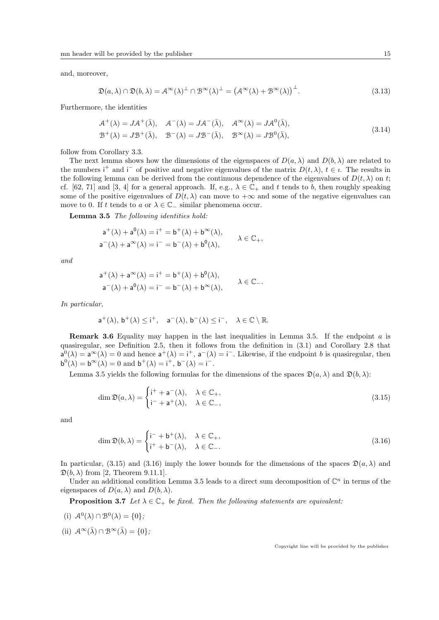and, moreover,

$$
\mathfrak{D}(a,\lambda) \cap \mathfrak{D}(b,\lambda) = \mathcal{A}^{\infty}(\lambda)^{\perp} \cap \mathcal{B}^{\infty}(\lambda)^{\perp} = (\mathcal{A}^{\infty}(\lambda) + \mathcal{B}^{\infty}(\lambda))^{\perp}.
$$
\n(3.13)

Furthermore, the identities

$$
\mathcal{A}^+(\lambda) = J\mathcal{A}^+(\bar{\lambda}), \quad \mathcal{A}^-(\lambda) = J\mathcal{A}^-(\bar{\lambda}), \quad \mathcal{A}^\infty(\lambda) = J\mathcal{A}^0(\bar{\lambda}), \mathcal{B}^+(\lambda) = J\mathcal{B}^+(\bar{\lambda}), \quad \mathcal{B}^-(\lambda) = J\mathcal{B}^-(\bar{\lambda}), \quad \mathcal{B}^\infty(\lambda) = J\mathcal{B}^0(\bar{\lambda}),
$$
\n(3.14)

follow from Corollary 3.3.

The next lemma shows how the dimensions of the eigenspaces of  $D(a, \lambda)$  and  $D(b, \lambda)$  are related to the numbers i<sup>+</sup> and i<sup>-</sup> of positive and negative eigenvalues of the matrix  $D(t, \lambda)$ ,  $t \in \iota$ . The results in the following lemma can be derived from the continuous dependence of the eigenvalues of  $D(t, \lambda)$  on t; cf. [62, 71] and [3, 4] for a general approach. If, e.g.,  $\lambda \in \mathbb{C}_+$  and t tends to b, then roughly speaking some of the positive eigenvalues of  $D(t, \lambda)$  can move to  $+\infty$  and some of the negative eigenvalues can move to 0. If t tends to a or  $\lambda \in \mathbb{C}_-$  similar phenomena occur.

Lemma 3.5 The following identities hold:

$$
a^+(\lambda) + a^0(\lambda) = i^+ = b^+(\lambda) + b^\infty(\lambda),
$$
  
\n
$$
a^-(\lambda) + a^\infty(\lambda) = i^- = b^-(\lambda) + b^0(\lambda),
$$
  
\n
$$
\lambda \in \mathbb{C}_+,
$$

and

$$
\begin{aligned} a^+(\lambda) + a^\infty(\lambda) &= i^+ = b^+(\lambda) + b^0(\lambda), \\ a^-(\lambda) + a^0(\lambda) &= i^- = b^-(\lambda) + b^\infty(\lambda), \end{aligned} \qquad \lambda \in \mathbb{C}_-.
$$

In particular,

$$
a^+(\lambda),\, b^+(\lambda)\leq i^+,\quad a^-(\lambda),\, b^-(\lambda)\leq i^-,\quad \lambda\in\mathbb{C}\setminus\mathbb{R}.
$$

**Remark 3.6** Equality may happen in the last inequalities in Lemma 3.5. If the endpoint a is quasiregular, see Definition 2.5, then it follows from the definition in (3.1) and Corollary 2.8 that  $a^{0}(\lambda) = a^{\infty}(\lambda) = 0$  and hence  $a^{+}(\lambda) = i^{+}$ ,  $a^{-}(\lambda) = i^{-}$ . Likewise, if the endpoint b is quasiregular, then  $\mathsf{b}^0(\lambda) = \mathsf{b}^{\infty}(\lambda) = 0$  and  $\mathsf{b}^+(\lambda) = \mathsf{i}^+, \mathsf{b}^-(\lambda) = \mathsf{i}^-.$ 

Lemma 3.5 yields the following formulas for the dimensions of the spaces  $\mathfrak{D}(a, \lambda)$  and  $\mathfrak{D}(b, \lambda)$ :

$$
\dim \mathfrak{D}(a,\lambda) = \begin{cases} i^+ + a^-(\lambda), & \lambda \in \mathbb{C}_+, \\ i^- + a^+(\lambda), & \lambda \in \mathbb{C}_-, \end{cases}
$$
\n(3.15)

and

$$
\dim \mathfrak{D}(b,\lambda) = \begin{cases} \mathsf{i}^- + \mathsf{b}^+(\lambda), & \lambda \in \mathbb{C}_+, \\ \mathsf{i}^+ + \mathsf{b}^-(\lambda), & \lambda \in \mathbb{C}_-. \end{cases} \tag{3.16}
$$

In particular, (3.15) and (3.16) imply the lower bounds for the dimensions of the spaces  $\mathfrak{D}(a, \lambda)$  and  $\mathfrak{D}(b, \lambda)$  from [2, Theorem 9.11.1].

Under an additional condition Lemma 3.5 leads to a direct sum decomposition of  $\mathbb{C}^n$  in terms of the eigenspaces of  $D(a, \lambda)$  and  $D(b, \lambda)$ .

**Proposition 3.7** Let  $\lambda \in \mathbb{C}_+$  be fixed. Then the following statements are equivalent:

(i) 
$$
\mathcal{A}^0(\lambda) \cap \mathcal{B}^0(\lambda) = \{0\};
$$

(ii)  $\mathcal{A}^{\infty}(\bar{\lambda}) \cap \mathcal{B}^{\infty}(\bar{\lambda}) = \{0\};$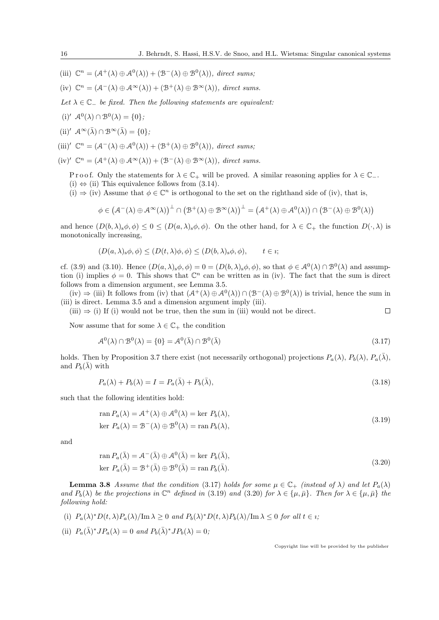- (iii)  $\mathbb{C}^n = (\mathcal{A}^+(\lambda) \oplus \mathcal{A}^0(\lambda)) + (\mathcal{B}^-(\lambda) \oplus \mathcal{B}^0(\lambda)),$  direct sums;
- (iv)  $\mathbb{C}^n = (\mathcal{A}^-(\lambda) \oplus \mathcal{A}^{\infty}(\lambda)) + (\mathcal{B}^+(\lambda) \oplus \mathcal{B}^{\infty}(\lambda)),$  direct sums.
- Let  $\lambda \in \mathbb{C}$  be fixed. Then the following statements are equivalent:
- (i)'  $\mathcal{A}^0(\lambda) \cap \mathcal{B}^0(\lambda) = \{0\};$
- (ii)'  $\mathcal{A}^{\infty}(\bar{\lambda}) \cap \mathcal{B}^{\infty}(\bar{\lambda}) = \{0\};$
- (iii)'  $\mathbb{C}^n = (\mathcal{A}^-(\lambda) \oplus \mathcal{A}^0(\lambda)) + (\mathcal{B}^+(\lambda) \oplus \mathcal{B}^0(\lambda)),$  direct sums;
- $(iv)'$   $\mathbb{C}^n = (\mathcal{A}^+(\lambda) \oplus \mathcal{A}^{\infty}(\lambda)) + (\mathcal{B}^-(\lambda) \oplus \mathcal{B}^{\infty}(\lambda)),$  direct sums.

P r o o f. Only the statements for  $\lambda \in \mathbb{C}_+$  will be proved. A similar reasoning applies for  $\lambda \in \mathbb{C}_-$ . (i)  $\Leftrightarrow$  (ii) This equivalence follows from (3.14).

(i)  $\Rightarrow$  (iv) Assume that  $\phi \in \mathbb{C}^n$  is orthogonal to the set on the righthand side of (iv), that is,

$$
\phi \in (\mathcal{A}^{-}(\lambda) \oplus \mathcal{A}^{\infty}(\lambda))^{\perp} \cap (\mathcal{B}^{+}(\lambda) \oplus \mathcal{B}^{\infty}(\lambda))^{\perp} = (\mathcal{A}^{+}(\lambda) \oplus \mathcal{A}^{0}(\lambda)) \cap (\mathcal{B}^{-}(\lambda) \oplus \mathcal{B}^{0}(\lambda))
$$

and hence  $(D(b, \lambda)_s \phi, \phi) \leq 0 \leq (D(a, \lambda)_s \phi, \phi)$ . On the other hand, for  $\lambda \in \mathbb{C}_+$  the function  $D(\cdot, \lambda)$  is monotonically increasing,

$$
(D(a,\lambda)_s \phi, \phi) \le (D(t,\lambda)\phi, \phi) \le (D(b,\lambda)_s \phi, \phi), \qquad t \in \iota;
$$

cf. (3.9) and (3.10). Hence  $(D(a,\lambda)_s\phi,\phi) = 0 = (D(b,\lambda)_s\phi,\phi)$ , so that  $\phi \in \mathcal{A}^0(\lambda) \cap \mathcal{B}^0(\lambda)$  and assumption (i) implies  $\phi = 0$ . This shows that  $\mathbb{C}^n$  can be written as in (iv). The fact that the sum is direct follows from a dimension argument, see Lemma 3.5.

 $(iv) \Rightarrow (iii)$  It follows from (iv) that  $(A^+(\lambda) \oplus A^0(\lambda)) \cap (B^-(\lambda) \oplus B^0(\lambda))$  is trivial, hence the sum in (iii) is direct. Lemma 3.5 and a dimension argument imply (iii).

 $(iii) \Rightarrow (i)$  If (i) would not be true, then the sum in (iii) would not be direct.  $\Box$ 

Now assume that for some  $\lambda \in \mathbb{C}_+$  the condition

$$
\mathcal{A}^0(\lambda) \cap \mathcal{B}^0(\lambda) = \{0\} = \mathcal{A}^0(\bar{\lambda}) \cap \mathcal{B}^0(\bar{\lambda})
$$
\n(3.17)

holds. Then by Proposition 3.7 there exist (not necessarily orthogonal) projections  $P_a(\lambda)$ ,  $P_b(\lambda)$ ,  $P_a(\bar{\lambda})$ , and  $P_b(\bar{\lambda})$  with

$$
P_a(\lambda) + P_b(\lambda) = I = P_a(\bar{\lambda}) + P_b(\bar{\lambda}),\tag{3.18}
$$

such that the following identities hold:

$$
\operatorname{ran} P_a(\lambda) = A^+(\lambda) \oplus A^0(\lambda) = \ker P_b(\lambda),
$$
  
\n
$$
\operatorname{ker} P_a(\lambda) = B^-(\lambda) \oplus B^0(\lambda) = \operatorname{ran} P_b(\lambda),
$$
\n(3.19)

and

$$
\operatorname{ran} P_a(\bar{\lambda}) = \mathcal{A}^-(\bar{\lambda}) \oplus \mathcal{A}^0(\bar{\lambda}) = \ker P_b(\bar{\lambda}),
$$
  
ker  $P_a(\bar{\lambda}) = \mathcal{B}^+(\bar{\lambda}) \oplus \mathcal{B}^0(\bar{\lambda}) = \operatorname{ran} P_b(\bar{\lambda}).$  (3.20)

**Lemma 3.8** Assume that the condition (3.17) holds for some  $\mu \in \mathbb{C}_+$  (instead of  $\lambda$ ) and let  $P_a(\lambda)$ and  $P_b(\lambda)$  be the projections in  $\mathbb{C}^n$  defined in (3.19) and (3.20) for  $\lambda \in {\{\mu, \bar{\mu}\}}$ . Then for  $\lambda \in {\{\mu, \bar{\mu}\}}$  the following hold:

- (i)  $P_a(\lambda)^* D(t, \lambda) P_a(\lambda) / \text{Im }\lambda \ge 0$  and  $P_b(\lambda)^* D(t, \lambda) P_b(\lambda) / \text{Im }\lambda \le 0$  for all  $t \in \iota$ ;
- (ii)  $P_a(\bar{\lambda})^* J P_a(\lambda) = 0$  and  $P_b(\bar{\lambda})^* J P_b(\lambda) = 0$ ;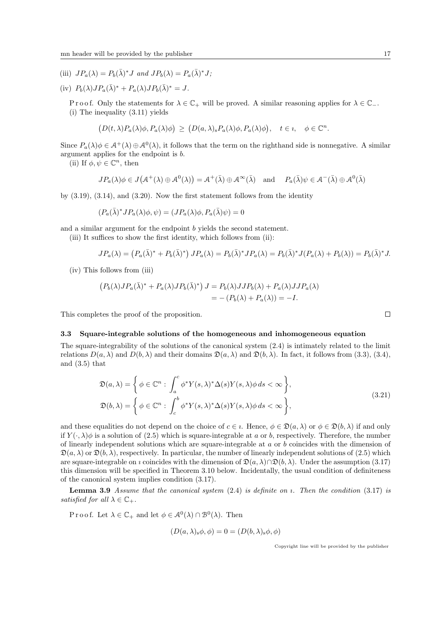- (iii)  $JP_a(\lambda) = P_b(\bar{\lambda})^* J$  and  $JP_b(\lambda) = P_a(\bar{\lambda})^* J;$
- (iv)  $P_b(\lambda)JP_a(\bar{\lambda})^* + P_a(\lambda)JP_b(\bar{\lambda})^* = J.$

Proof. Only the statements for  $\lambda \in \mathbb{C}_+$  will be proved. A similar reasoning applies for  $\lambda \in \mathbb{C}_-$ . (i) The inequality (3.11) yields

$$
(D(t,\lambda)P_a(\lambda)\phi, P_a(\lambda)\phi) \ge (D(a,\lambda)_s P_a(\lambda)\phi, P_a(\lambda)\phi), \quad t \in \mathfrak{e}, \quad \phi \in \mathbb{C}^n.
$$

Since  $P_a(\lambda)\phi \in \mathcal{A}^+(\lambda) \oplus \mathcal{A}^0(\lambda)$ , it follows that the term on the righthand side is nonnegative. A similar argument applies for the endpoint is b.

(ii) If  $\phi, \psi \in \mathbb{C}^n$ , then

$$
JP_a(\lambda)\phi \in J(\mathcal{A}^+(\lambda) \oplus \mathcal{A}^0(\lambda)) = \mathcal{A}^+(\bar{\lambda}) \oplus \mathcal{A}^{\infty}(\bar{\lambda}) \quad \text{and} \quad P_a(\bar{\lambda})\psi \in \mathcal{A}^-(\bar{\lambda}) \oplus \mathcal{A}^0(\bar{\lambda})
$$

by  $(3.19)$ ,  $(3.14)$ , and  $(3.20)$ . Now the first statement follows from the identity

$$
(P_a(\bar{\lambda})^* J P_a(\lambda) \phi, \psi) = (J P_a(\lambda) \phi, P_a(\bar{\lambda}) \psi) = 0
$$

and a similar argument for the endpoint b yields the second statement.

(iii) It suffices to show the first identity, which follows from (ii):

$$
JP_a(\lambda) = \left(P_a(\bar{\lambda})^* + P_b(\bar{\lambda})^*\right)JP_a(\lambda) = P_b(\bar{\lambda})^*JP_a(\lambda) = P_b(\bar{\lambda})^*J(P_a(\lambda) + P_b(\lambda)) = P_b(\bar{\lambda})^*J.
$$

(iv) This follows from (iii)

$$
(P_b(\lambda)JP_a(\bar{\lambda})^* + P_a(\lambda)JP_b(\bar{\lambda})^*) J = P_b(\lambda)JJP_b(\lambda) + P_a(\lambda)JJP_a(\lambda)
$$
  
= 
$$
-(P_b(\lambda) + P_a(\lambda)) = -I.
$$

This completes the proof of the proposition.

#### 3.3 Square-integrable solutions of the homogeneous and inhomogeneous equation

The square-integrability of the solutions of the canonical system (2.4) is intimately related to the limit relations  $D(a, \lambda)$  and  $D(b, \lambda)$  and their domains  $\mathfrak{D}(a, \lambda)$  and  $\mathfrak{D}(b, \lambda)$ . In fact, it follows from (3.3), (3.4), and (3.5) that

$$
\mathfrak{D}(a,\lambda) = \left\{ \phi \in \mathbb{C}^n : \int_a^c \phi^* Y(s,\lambda)^* \Delta(s) Y(s,\lambda) \phi \, ds < \infty \right\},\
$$
\n
$$
\mathfrak{D}(b,\lambda) = \left\{ \phi \in \mathbb{C}^n : \int_c^b \phi^* Y(s,\lambda)^* \Delta(s) Y(s,\lambda) \phi \, ds < \infty \right\},\
$$
\n
$$
(3.21)
$$

and these equalities do not depend on the choice of  $c \in i$ . Hence,  $\phi \in \mathfrak{D}(a, \lambda)$  or  $\phi \in \mathfrak{D}(b, \lambda)$  if and only if  $Y(\cdot, \lambda)\phi$  is a solution of (2.5) which is square-integrable at a or b, respectively. Therefore, the number of linearly independent solutions which are square-integrable at  $a$  or  $b$  coincides with the dimension of  $\mathfrak{D}(a, \lambda)$  or  $\mathfrak{D}(b, \lambda)$ , respectively. In particular, the number of linearly independent solutions of (2.5) which are square-integrable on *i* coincides with the dimension of  $\mathfrak{D}(a, \lambda) \cap \mathfrak{D}(b, \lambda)$ . Under the assumption (3.17) this dimension will be specified in Theorem 3.10 below. Incidentally, the usual condition of definiteness of the canonical system implies condition (3.17).

**Lemma 3.9** Assume that the canonical system  $(2.4)$  is definite on  $\imath$ . Then the condition  $(3.17)$  is satisfied for all  $\lambda \in \mathbb{C}_+$ .

P r o o f. Let  $\lambda \in \mathbb{C}_+$  and let  $\phi \in \mathcal{A}^0(\lambda) \cap \mathcal{B}^0(\lambda)$ . Then

$$
(D(a,\lambda)_s \phi, \phi) = 0 = (D(b,\lambda)_s \phi, \phi)
$$

Copyright line will be provided by the publisher

 $\Box$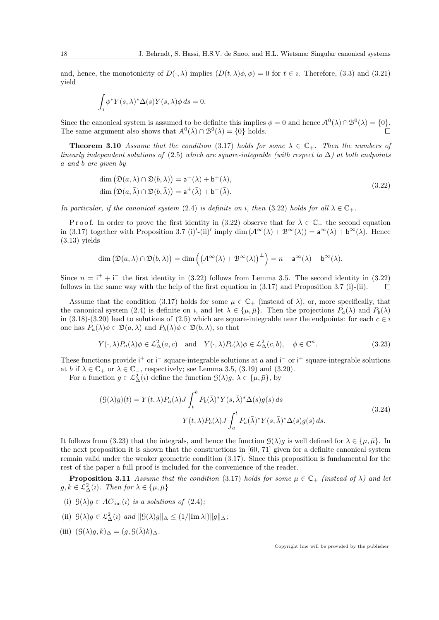and, hence, the monotonicity of  $D(\cdot, \lambda)$  implies  $(D(t, \lambda), \phi) = 0$  for  $t \in \iota$ . Therefore, (3.3) and (3.21) yield

$$
\int_{i} \phi^* Y(s, \lambda)^* \Delta(s) Y(s, \lambda) \phi \, ds = 0.
$$

Since the canonical system is assumed to be definite this implies  $\phi = 0$  and hence  $\mathcal{A}^0(\lambda) \cap \mathcal{B}^0(\lambda) = \{0\}.$ The same argument also shows that  $\mathcal{A}^0(\bar{\lambda}) \cap \mathcal{B}^0(\bar{\lambda}) = \{0\}$  holds.

**Theorem 3.10** Assume that the condition (3.17) holds for some  $\lambda \in \mathbb{C}_+$ . Then the numbers of linearly independent solutions of (2.5) which are square-integrable (with respect to  $\Delta$ ) at both endpoints a and b are given by

$$
\dim (\mathfrak{D}(a,\lambda) \cap \mathfrak{D}(b,\lambda)) = \mathsf{a}^-(\lambda) + \mathsf{b}^+(\lambda),
$$
  

$$
\dim (\mathfrak{D}(a,\bar{\lambda}) \cap \mathfrak{D}(b,\bar{\lambda})) = \mathsf{a}^+(\bar{\lambda}) + \mathsf{b}^-(\bar{\lambda}).
$$
 (3.22)

In particular, if the canonical system (2.4) is definite on *i*, then (3.22) holds for all  $\lambda \in \mathbb{C}_+$ .

P r o o f. In order to prove the first identity in (3.22) observe that for  $\bar{\lambda} \in \mathbb{C}$  the second equation in (3.17) together with Proposition 3.7 (i)'-(ii)' imply dim  $(A^{\infty}(\lambda) + B^{\infty}(\lambda)) = a^{\infty}(\lambda) + b^{\infty}(\lambda)$ . Hence  $(3.13)$  yields

$$
\dim (\mathfrak{D}(a,\lambda) \cap \mathfrak{D}(b,\lambda)) = \dim \left( \left( \mathcal{A}^{\infty}(\lambda) + \mathcal{B}^{\infty}(\lambda) \right)^{\perp} \right) = n - \mathsf{a}^{\infty}(\lambda) - \mathsf{b}^{\infty}(\lambda).
$$

Since  $n = i^+ + i^-$  the first identity in (3.22) follows from Lemma 3.5. The second identity in (3.22) follows in the same way with the help of the first equation in  $(3.17)$  and Proposition 3.7 (i)-(ii).  $\Box$ 

Assume that the condition (3.17) holds for some  $\mu \in \mathbb{C}_+$  (instead of  $\lambda$ ), or, more specifically, that the canonical system (2.4) is definite on *i*, and let  $\lambda \in {\{\mu, \bar{\mu}\}}$ . Then the projections  $P_a(\lambda)$  and  $P_b(\lambda)$ in (3.18)-(3.20) lead to solutions of (2.5) which are square-integrable near the endpoints: for each  $c \in i$ one has  $P_a(\lambda)\phi \in \mathfrak{D}(a,\lambda)$  and  $P_b(\lambda)\phi \in \mathfrak{D}(b,\lambda)$ , so that

$$
Y(\cdot,\lambda)P_a(\lambda)\phi \in \mathcal{L}^2_{\Delta}(a,c) \quad \text{and} \quad Y(\cdot,\lambda)P_b(\lambda)\phi \in \mathcal{L}^2_{\Delta}(c,b), \quad \phi \in \mathbb{C}^n. \tag{3.23}
$$

These functions provide  $i^+$  or  $i^-$  square-integrable solutions at a and  $i^-$  or  $i^+$  square-integrable solutions at b if  $\lambda \in \mathbb{C}_+$  or  $\lambda \in \mathbb{C}_-$ , respectively; see Lemma 3.5, (3.19) and (3.20).

For a function  $g \in \mathcal{L}^2_{\Delta}(i)$  define the function  $\mathcal{G}(\lambda)g, \lambda \in {\{\mu, \bar{\mu}\}},$  by

$$
(S(\lambda)g)(t) = Y(t,\lambda)P_a(\lambda)J\int_t^b P_b(\bar{\lambda})^*Y(s,\bar{\lambda})^*\Delta(s)g(s) ds
$$
  

$$
-Y(t,\lambda)P_b(\lambda)J\int_a^t P_a(\bar{\lambda})^*Y(s,\bar{\lambda})^*\Delta(s)g(s) ds.
$$
 (3.24)

It follows from (3.23) that the integrals, and hence the function  $\mathcal{G}(\lambda)g$  is well defined for  $\lambda \in {\{\mu, \bar{\mu}\}}$ . In the next proposition it is shown that the constructions in [60, 71] given for a definite canonical system remain valid under the weaker geometric condition (3.17). Since this proposition is fundamental for the rest of the paper a full proof is included for the convenience of the reader.

**Proposition 3.11** Assume that the condition (3.17) holds for some  $\mu \in \mathbb{C}_+$  (instead of  $\lambda$ ) and let  $g, k \in \mathcal{L}^2_{\Delta}(i)$ . Then for  $\lambda \in {\{\mu, \bar{\mu}\}}$ 

- (i)  $\mathcal{G}(\lambda)g \in AC_{\text{loc}}(i)$  is a solutions of (2.4);
- (ii)  $\mathcal{G}(\lambda)g \in \mathcal{L}^2_{\Delta}(i)$  and  $\|\mathcal{G}(\lambda)g\|_{\Delta} \leq (1/|\text{Im }\lambda|)\|g\|_{\Delta};$
- (iii)  $(\mathcal{G}(\lambda)g, k)_{\Delta} = (g, \mathcal{G}(\bar{\lambda})k)_{\Delta}$ .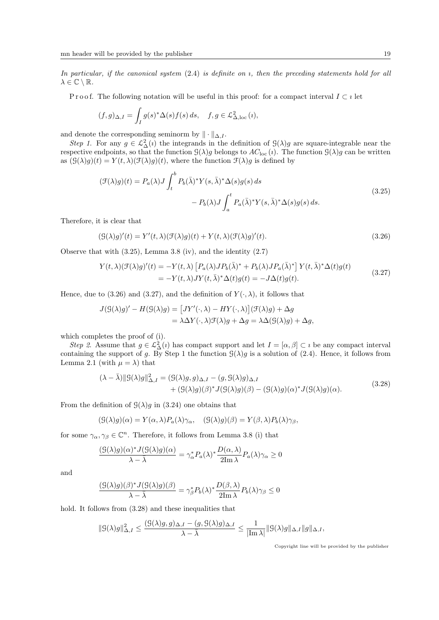In particular, if the canonical system  $(2.4)$  is definite on *i*, then the preceding statements hold for all  $\lambda \in \mathbb{C} \setminus \mathbb{R}$ .

P r o o f. The following notation will be useful in this proof: for a compact interval  $I \subset i$  let

$$
(f,g)_{\Delta,I} = \int_I g(s)^* \Delta(s) f(s) \, ds, \quad f, g \in \mathcal{L}^2_{\Delta, \text{loc}}(i),
$$

and denote the corresponding seminorm by  $\|\cdot\|_{\Delta,I}$ .

Step 1. For any  $g \in L^2_{\Delta}(i)$  the integrands in the definition of  $\mathcal{G}(\lambda)g$  are square-integrable near the respective endpoints, so that the function  $\mathcal{G}(\lambda)g$  belongs to  $AC_{\text{loc}}(i)$ . The function  $\mathcal{G}(\lambda)g$  can be written as  $(\mathcal{G}(\lambda)g)(t) = Y(t,\lambda)(\mathcal{F}(\lambda)g)(t)$ , where the function  $\mathcal{F}(\lambda)g$  is defined by

$$
(\mathcal{F}(\lambda)g)(t) = P_a(\lambda)J \int_t^b P_b(\bar{\lambda})^* Y(s, \bar{\lambda})^* \Delta(s)g(s) ds
$$
  

$$
- P_b(\lambda)J \int_a^t P_a(\bar{\lambda})^* Y(s, \bar{\lambda})^* \Delta(s)g(s) ds.
$$
 (3.25)

Therefore, it is clear that

$$
(\mathcal{G}(\lambda)g)'(t) = Y'(t,\lambda)(\mathcal{F}(\lambda)g)(t) + Y(t,\lambda)(\mathcal{F}(\lambda)g)'(t).
$$
\n(3.26)

Observe that with (3.25), Lemma 3.8 (iv), and the identity (2.7)

$$
Y(t,\lambda)(\mathcal{F}(\lambda)g)'(t) = -Y(t,\lambda)\left[P_a(\lambda)JP_b(\bar{\lambda})^* + P_b(\lambda)JP_a(\bar{\lambda})^*\right]Y(t,\bar{\lambda})^*\Delta(t)g(t)
$$
  
= 
$$
-Y(t,\lambda)JY(t,\bar{\lambda})^*\Delta(t)g(t) = -J\Delta(t)g(t).
$$
 (3.27)

Hence, due to (3.26) and (3.27), and the definition of  $Y(\cdot, \lambda)$ , it follows that

$$
J(\mathcal{G}(\lambda)g)' - H(\mathcal{G}(\lambda)g) = [JY'(\cdot,\lambda) - HY(\cdot,\lambda)](\mathcal{F}(\lambda)g) + \Delta g
$$
  
=  $\lambda \Delta Y(\cdot,\lambda)\mathcal{F}(\lambda)g + \Delta g = \lambda \Delta(\mathcal{G}(\lambda)g) + \Delta g$ ,

which completes the proof of (i).

Step 2. Assume that  $g \in \mathcal{L}^2_{\Delta}(i)$  has compact support and let  $I = [\alpha, \beta] \subset i$  be any compact interval containing the support of g. By Step 1 the function  $\mathcal{G}(\lambda)g$  is a solution of (2.4). Hence, it follows from Lemma 2.1 (with  $\mu = \lambda$ ) that

$$
(\lambda - \bar{\lambda})\|g(\lambda)g\|_{\Delta,I}^2 = (g(\lambda)g, g)_{\Delta,I} - (g, \bar{g}(\lambda)g)_{\Delta,I} + (g(\lambda)g)(\beta)^* J(g(\lambda)g)(\beta) - (g(\lambda)g)(\alpha)^* J(g(\lambda)g)(\alpha).
$$
\n(3.28)

From the definition of  $\mathcal{G}(\lambda)g$  in (3.24) one obtains that

$$
(\mathcal{G}(\lambda)g)(\alpha) = Y(\alpha,\lambda)P_a(\lambda)\gamma_\alpha, \quad (\mathcal{G}(\lambda)g)(\beta) = Y(\beta,\lambda)P_b(\lambda)\gamma_\beta,
$$

for some  $\gamma_{\alpha}, \gamma_{\beta} \in \mathbb{C}^n$ . Therefore, it follows from Lemma 3.8 (i) that

$$
\frac{(\mathcal{G}(\lambda)g)(\alpha)^* J(\mathcal{G}(\lambda)g)(\alpha)}{\lambda - \bar{\lambda}} = \gamma_\alpha^* P_a(\lambda)^* \frac{D(\alpha, \lambda)}{2\mathrm{Im}\,\lambda} P_a(\lambda)\gamma_\alpha \ge 0
$$

and

$$
\frac{(\mathcal{G}(\lambda)g)(\beta)^* J(\mathcal{G}(\lambda)g)(\beta)}{\lambda - \bar{\lambda}} = \gamma_{\beta}^* P_b(\lambda)^* \frac{D(\beta, \lambda)}{2\text{Im }\lambda} P_b(\lambda)\gamma_{\beta} \le 0
$$

hold. It follows from  $(3.28)$  and these inequalities that

$$
\|{\mathcal G}(\lambda)g\|_{{\Delta},I}^2\leq \frac{({\mathcal G}(\lambda)g,g)_{{\Delta},I}-(g,{\mathcal G}(\lambda)g)_{{\Delta},I}}{\lambda-\bar{\lambda}}\leq \frac{1}{|{\rm Im}\,\lambda|}\|{\mathcal G}(\lambda)g\|_{{\Delta},I}\|g\|_{{\Delta},I},
$$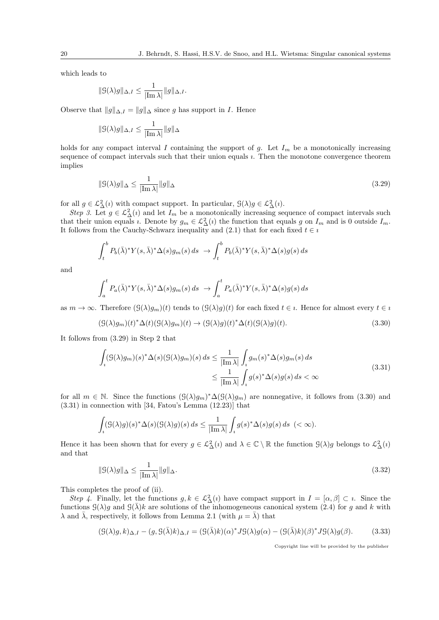which leads to

$$
\| \mathcal{G}(\lambda)g \|_{\Delta,I} \leq \frac{1}{|\mathrm{Im}\,\lambda|} \| g \|_{\Delta,I}.
$$

Observe that  $||g||_{\Delta,I} = ||g||_{\Delta}$  since g has support in I. Hence

$$
\| \mathcal{G}(\lambda) g \|_{\Delta,I} \leq \frac{1}{| \mathrm{Im} \, \lambda |} \| g \|_{\Delta}
$$

holds for any compact interval I containing the support of g. Let  $I_m$  be a monotonically increasing sequence of compact intervals such that their union equals  $\imath$ . Then the monotone convergence theorem implies

$$
\| \mathcal{G}(\lambda)g \|_{\Delta} \le \frac{1}{|\text{Im }\lambda|} \| g \|_{\Delta} \tag{3.29}
$$

for all  $g \in \mathcal{L}^2_{\Delta}(i)$  with compact support. In particular,  $\mathcal{G}(\lambda)g \in \mathcal{L}^2_{\Delta}(i)$ .

Step 3. Let  $g \in \mathcal{L}^2_{\Delta}(i)$  and let  $I_m$  be a monotonically increasing sequence of compact intervals such that their union equals *i*. Denote by  $g_m \in L^2_{\Delta}(i)$  the function that equals g on  $I_m$  and is 0 outside  $I_m$ . It follows from the Cauchy-Schwarz inequality and (2.1) that for each fixed  $t \in i$ 

$$
\int_t^b P_b(\bar{\lambda})^* Y(s, \bar{\lambda})^* \Delta(s) g_m(s) ds \rightarrow \int_t^b P_b(\bar{\lambda})^* Y(s, \bar{\lambda})^* \Delta(s) g(s) ds
$$

and

$$
\int_a^t P_a(\bar{\lambda})^* Y(s,\bar{\lambda})^* \Delta(s) g_m(s) ds \rightarrow \int_a^t P_a(\bar{\lambda})^* Y(s,\bar{\lambda})^* \Delta(s) g(s) ds
$$

as  $m \to \infty$ . Therefore  $(\mathcal{G}(\lambda)g_m)(t)$  tends to  $(\mathcal{G}(\lambda)g)(t)$  for each fixed  $t \in \iota$ . Hence for almost every  $t \in \iota$ 

$$
(\mathcal{G}(\lambda)g_m)(t)^*\Delta(t)(\mathcal{G}(\lambda)g_m)(t) \to (\mathcal{G}(\lambda)g)(t)^*\Delta(t)(\mathcal{G}(\lambda)g)(t).
$$
\n(3.30)

It follows from (3.29) in Step 2 that

$$
\int_{i} (G(\lambda)g_m)(s)^* \Delta(s) (G(\lambda)g_m)(s) ds \leq \frac{1}{|\text{Im }\lambda|} \int_{i} g_m(s)^* \Delta(s) g_m(s) ds
$$
\n
$$
\leq \frac{1}{|\text{Im }\lambda|} \int_{i} g(s)^* \Delta(s) g(s) ds < \infty
$$
\n(3.31)

for all  $m \in \mathbb{N}$ . Since the functions  $(\mathcal{G}(\lambda)g_m)^*\Delta(\mathcal{G}(\lambda)g_m)$  are nonnegative, it follows from  $(3.30)$  and (3.31) in connection with [34, Fatou's Lemma (12.23)] that

$$
\int_{i} (\mathcal{G}(\lambda)g)(s)^{*} \Delta(s) (\mathcal{G}(\lambda)g)(s) ds \leq \frac{1}{|\text{Im }\lambda|} \int_{i} g(s)^{*} \Delta(s)g(s) ds \ (< \infty).
$$

Hence it has been shown that for every  $g \in \mathcal{L}^2_{\Delta}(i)$  and  $\lambda \in \mathbb{C} \setminus \mathbb{R}$  the function  $\mathcal{G}(\lambda)g$  belongs to  $\mathcal{L}^2_{\Delta}(i)$ and that

$$
\|G(\lambda)g\|_{\Delta} \le \frac{1}{|\text{Im }\lambda|} \|g\|_{\Delta}.
$$
\n(3.32)

This completes the proof of (ii).

Step 4. Finally, let the functions  $g, k \in \mathcal{L}^2_{\Delta}(i)$  have compact support in  $I = [\alpha, \beta] \subset i$ . Since the functions  $\mathcal{G}(\lambda)g$  and  $\mathcal{G}(\overline{\lambda})k$  are solutions of the inhomogeneous canonical system (2.4) for g and k with  $\lambda$  and  $\bar{\lambda}$ , respectively, it follows from Lemma 2.1 (with  $\mu = \bar{\lambda}$ ) that

$$
(\mathcal{G}(\lambda)g, k)_{\Delta, I} - (g, \mathcal{G}(\bar{\lambda})k)_{\Delta, I} = (\mathcal{G}(\bar{\lambda})k)(\alpha)^* J \mathcal{G}(\lambda)g(\alpha) - (\mathcal{G}(\bar{\lambda})k)(\beta)^* J \mathcal{G}(\lambda)g(\beta).
$$
(3.33)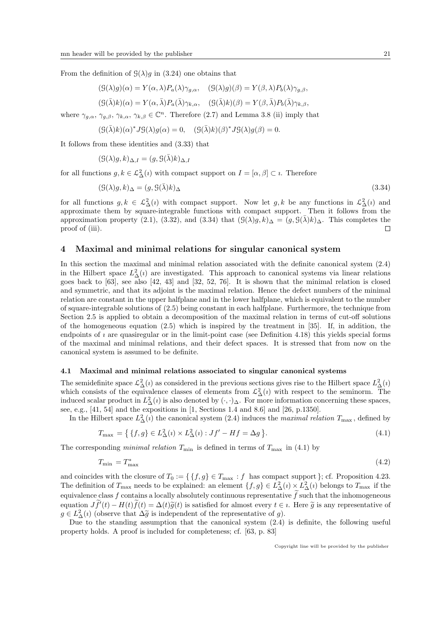From the definition of  $\mathcal{G}(\lambda)g$  in (3.24) one obtains that

$$
(\mathcal{G}(\lambda)g)(\alpha) = Y(\alpha,\lambda)P_a(\lambda)\gamma_{g,\alpha}, \quad (\mathcal{G}(\lambda)g)(\beta) = Y(\beta,\lambda)P_b(\lambda)\gamma_{g,\beta},
$$

$$
(\mathcal{G}(\bar{\lambda})k)(\alpha) = Y(\alpha, \bar{\lambda})P_a(\bar{\lambda})\gamma_{k,\alpha}, \quad (\mathcal{G}(\bar{\lambda})k)(\beta) = Y(\beta, \bar{\lambda})P_b(\bar{\lambda})\gamma_{k,\beta},
$$

where  $\gamma_{g,\alpha}, \gamma_{g,\beta}, \gamma_{k,\alpha}, \gamma_{k,\beta} \in \mathbb{C}^n$ . Therefore (2.7) and Lemma 3.8 (ii) imply that

$$
(\mathcal{G}(\bar{\lambda})k)(\alpha)^* J\mathcal{G}(\lambda)g(\alpha) = 0, \quad (\mathcal{G}(\bar{\lambda})k)(\beta)^* J\mathcal{G}(\lambda)g(\beta) = 0.
$$

It follows from these identities and (3.33) that

$$
(\mathcal{G}(\lambda)g, k)_{\Delta, I} = (g, \mathcal{G}(\bar{\lambda})k)_{\Delta, I}
$$

for all functions  $g, k \in \mathcal{L}^2_{\Delta}(i)$  with compact support on  $I = [\alpha, \beta] \subset i$ . Therefore

$$
(\mathcal{G}(\lambda)g, k)_{\Delta} = (g, \mathcal{G}(\bar{\lambda})k)_{\Delta} \tag{3.34}
$$

for all functions  $g, k \in \mathcal{L}^2_\Delta(i)$  with compact support. Now let  $g, k$  be any functions in  $\mathcal{L}^2_\Delta(i)$  and approximate them by square-integrable functions with compact support. Then it follows from the approximation property (2.1), (3.32), and (3.34) that  $(\mathcal{G}(\lambda)g, k)_{\Delta} = (g, \mathcal{G}(\lambda)k)_{\Delta}$ . This completes the proof of (iii).  $\Box$ 

# 4 Maximal and minimal relations for singular canonical system

In this section the maximal and minimal relation associated with the definite canonical system (2.4) in the Hilbert space  $L^2_{\Delta}(i)$  are investigated. This approach to canonical systems via linear relations goes back to [63], see also [42, 43] and [32, 52, 76]. It is shown that the minimal relation is closed and symmetric, and that its adjoint is the maximal relation. Hence the defect numbers of the minimal relation are constant in the upper halfplane and in the lower halfplane, which is equivalent to the number of square-integrable solutions of (2.5) being constant in each halfplane. Furthermore, the technique from Section 2.5 is applied to obtain a decomposition of the maximal relation in terms of cut-off solutions of the homogeneous equation (2.5) which is inspired by the treatment in [35]. If, in addition, the endpoints of  $\imath$  are quasiregular or in the limit-point case (see Definition 4.18) this yields special forms of the maximal and minimal relations, and their defect spaces. It is stressed that from now on the canonical system is assumed to be definite.

#### 4.1 Maximal and minimal relations associated to singular canonical systems

The semidefinite space  $\mathcal{L}^2_{\Delta}(i)$  as considered in the previous sections gives rise to the Hilbert space  $L^2_{\Delta}(i)$ which consists of the equivalence classes of elements from  $\mathcal{L}^2_{\Delta}(i)$  with respect to the seminorm. The induced scalar product in  $L^2_{\Delta}(i)$  is also denoted by  $(\cdot, \cdot)_{\Delta}$ . For more information concerning these spaces, see, e.g., [41, 54] and the expositions in [1, Sections 1.4 and 8.6] and [26, p.1350].

In the Hilbert space  $L^2_{\Delta}(i)$  the canonical system (2.4) induces the *maximal relation*  $T_{\text{max}}$ , defined by

$$
T_{\text{max}} = \left\{ \left\{ f, g \right\} \in L^2_{\Delta}(i) \times L^2_{\Delta}(i) : Jf' - Hf = \Delta g \right\}.
$$
\n
$$
(4.1)
$$

The corresponding minimal relation  $T_{\min}$  is defined in terms of  $T_{\max}$  in (4.1) by

$$
T_{\min} = T_{\max}^* \tag{4.2}
$$

and coincides with the closure of  $T_0 := \{ \{f, g\} \in T_{\text{max}} : f \text{ has compact support } \};$  cf. Proposition 4.23. The definition of  $T_{\text{max}}$  needs to be explained: an element  $\{f, g\} \in L^2_{\Delta}(i) \times L^2_{\Delta}(i)$  belongs to  $T_{\text{max}}$  if the equivalence class f contains a locally absolutely continuous representative  $\tilde{f}$  such that the inhomogeneous equation  $J\tilde{f}'(t) - H(t)\tilde{f}(t) = \Delta(t)\tilde{g}(t)$  is satisfied for almost every  $t \in i$ . Here  $\tilde{g}$  is any representative of  $g \in L^2(\epsilon)$  (observe that  $\Delta \tilde{\epsilon}$  is independent of the representative of  $g$ )  $g \in L^2_{\Delta}(i)$  (observe that  $\Delta \tilde{g}$  is independent of the representative of g).<br>Due to the standing assumption that the canonical system (2.4)

Due to the standing assumption that the canonical system (2.4) is definite, the following useful property holds. A proof is included for completeness; cf. [63, p. 83]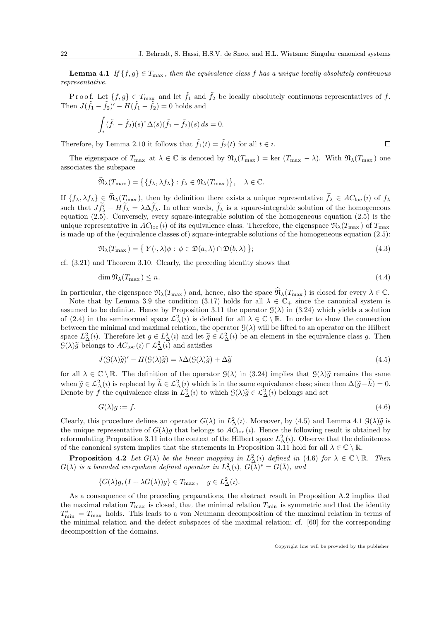**Lemma 4.1** If  $\{f, g\} \in T_{\text{max}}$ , then the equivalence class f has a unique locally absolutely continuous representative.

Proof. Let  $\{f, g\} \in T_{\text{max}}$  and let  $\hat{f}_1$  and  $\hat{f}_2$  be locally absolutely continuous representatives of f. Then  $J(\tilde{f}_1 - \tilde{f}_2)' - H(\tilde{f}_1 - \tilde{f}_2) = 0$  holds and

$$
\int_{i} (\tilde{f}_1 - \tilde{f}_2)(s)^{*} \Delta(s) (\tilde{f}_1 - \tilde{f}_2)(s) ds = 0.
$$

Therefore, by Lemma 2.10 it follows that  $\tilde{f}_1(t) = \tilde{f}_2(t)$  for all  $t \in \iota$ .

The eigenspace of  $T_{\text{max}}$  at  $\lambda \in \mathbb{C}$  is denoted by  $\mathfrak{N}_{\lambda}(T_{\text{max}}) = \text{ker } (T_{\text{max}} - \lambda)$ . With  $\mathfrak{N}_{\lambda}(T_{\text{max}})$  one associates the subspace

$$
\widehat{\mathfrak{N}}_{\lambda}(T_{\max}) = \big\{ \{ f_{\lambda}, \lambda f_{\lambda} \} : f_{\lambda} \in \mathfrak{N}_{\lambda}(T_{\max}) \big\}, \quad \lambda \in \mathbb{C}.
$$

If  $\{f_\lambda, \lambda f_\lambda\} \in \widehat{\mathfrak{N}}_{\lambda}(T_{\text{max}})$ , then by definition there exists a unique representative  $\widetilde{f}_\lambda \in AC_{\text{loc}}(i)$  of  $f_\lambda$ such that  $Jf'_{\lambda} - Hf_{\lambda} = \lambda \Delta f_{\lambda}$ . In other words,  $f_{\lambda}$  is a square-integrable solution of the homogeneous equation (2.5). Conversely, every square-integrable solution of the homogeneous equation (2.5) is the unique representative in  $AC_{\text{loc}}(i)$  of its equivalence class. Therefore, the eigenspace  $\mathfrak{N}_{\lambda}(T_{\text{max}})$  of  $T_{\text{max}}$ is made up of the (equivalence classes of) square-integrable solutions of the homogeneous equation (2.5):

$$
\mathfrak{N}_{\lambda}(T_{\max}) = \{ Y(\cdot, \lambda)\phi : \phi \in \mathfrak{D}(a, \lambda) \cap \mathfrak{D}(b, \lambda) \};\tag{4.3}
$$

cf. (3.21) and Theorem 3.10. Clearly, the preceding identity shows that

$$
\dim \mathfrak{N}_\lambda(T_{\max}) \le n. \tag{4.4}
$$

In particular, the eigenspace  $\mathfrak{N}_{\lambda}(T_{\max})$  and, hence, also the space  $\mathfrak{N}_{\lambda}(T_{\max})$  is closed for every  $\lambda \in \mathbb{C}$ .

Note that by Lemma 3.9 the condition (3.17) holds for all  $\lambda \in \mathbb{C}_+$  since the canonical system is assumed to be definite. Hence by Proposition 3.11 the operator  $\mathcal{G}(\lambda)$  in (3.24) which yields a solution of (2.4) in the seminormed space  $\mathcal{L}^2_{\Delta}(i)$  is defined for all  $\lambda \in \mathbb{C} \setminus \mathbb{R}$ . In order to show the connection between the minimal and maximal relation, the operator  $\mathcal{G}(\lambda)$  will be lifted to an operator on the Hilbert space  $L^2_{\Delta}(i)$ . Therefore let  $g \in L^2_{\Delta}(i)$  and let  $\tilde{g} \in L^2_{\Delta}(i)$  be an element in the equivalence class g. Then  $\mathcal{C}(\lambda)$  is belongs to  $AC_{\Delta}(i) \cap C^2_{\Delta}(i)$  and estights  $\mathcal{G}(\lambda)\tilde{g}$  belongs to  $AC_{\text{loc}}(i) \cap \mathcal{L}^2_{\Delta}(i)$  and satisfies

$$
J(\mathcal{G}(\lambda)\tilde{g})' - H(\mathcal{G}(\lambda)\tilde{g}) = \lambda \Delta(\mathcal{G}(\lambda)\tilde{g}) + \Delta\tilde{g}
$$
\n(4.5)

for all  $\lambda \in \mathbb{C} \setminus \mathbb{R}$ . The definition of the operator  $\mathcal{G}(\lambda)$  in  $(3.24)$  implies that  $\mathcal{G}(\lambda)\tilde{g}$  remains the same when  $\widetilde{g} \in \mathcal{L}^2_{\Delta}(i)$  is replaced by  $\widetilde{h} \in \mathcal{L}^2_{\Delta}(i)$  which is in the same equivalence class; since then  $\Delta(\widetilde{g}-\widetilde{h})=0$ . Denote by f the equivalence class in  $L^2_{\Delta}(i)$  to which  $\mathcal{G}(\lambda)\tilde{g} \in \mathcal{L}^2_{\Delta}(i)$  belongs and set

$$
G(\lambda)g := f.\tag{4.6}
$$

Clearly, this procedure defines an operator  $G(\lambda)$  in  $L^2_{\Delta}(i)$ . Moreover, by (4.5) and Lemma 4.1  $\mathcal{G}(\lambda)\tilde{g}$  is<br>the unique representative of  $G(\lambda)g$  that belongs to  $AC_{\Delta}(i)$ . Hence the following result is obtaine the unique representative of  $G(\lambda)g$  that belongs to  $A\overline{C}_{loc}(i)$ . Hence the following result is obtained by reformulating Proposition 3.11 into the context of the Hilbert space  $L^2_{\Delta}(i)$ . Observe that the definiteness of the canonical system implies that the statements in Proposition 3.11 hold for all  $\lambda \in \mathbb{C} \setminus \mathbb{R}$ .

**Proposition 4.2** Let  $G(\lambda)$  be the linear mapping in  $L^2_{\Delta}(i)$  defined in (4.6) for  $\lambda \in \mathbb{C} \setminus \mathbb{R}$ . Then  $G(\lambda)$  is a bounded everywhere defined operator in  $L^2_{\Delta}(i)$ ,  $G(\lambda)^* = G(\overline{\lambda})$ , and

$$
\{G(\lambda)g, (I + \lambda G(\lambda))g\} \in T_{\max}, \quad g \in L^2_{\Delta}(i).
$$

As a consequence of the preceding preparations, the abstract result in Proposition A.2 implies that the maximal relation  $T_{\text{max}}$  is closed, that the minimal relation  $T_{\text{min}}$  is symmetric and that the identity  $T_{\min}^* = T_{\max}$  holds. This leads to a von Neumann decomposition of the maximal relation in terms of the minimal relation and the defect subspaces of the maximal relation; cf. [60] for the corresponding decomposition of the domains.

Copyright line will be provided by the publisher

 $\Box$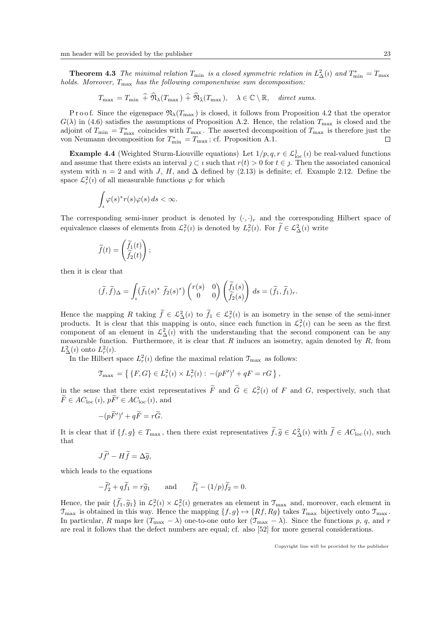**Theorem 4.3** The minimal relation  $T_{\min}$  is a closed symmetric relation in  $L^2_{\Delta}(i)$  and  $T_{\min}^* = T_{\max}$ holds. Moreover,  $T_{\text{max}}$  has the following componentwise sum decomposition:

 $T_{\text{max}} = T_{\text{min}} \hat{+} \hat{\mathfrak{N}}_{\lambda}(T_{\text{max}}) \hat{+} \hat{\mathfrak{N}}_{\bar{\lambda}}(T_{\text{max}}), \quad \lambda \in \mathbb{C} \setminus \mathbb{R}, \quad \text{direct sums.}$ 

P r o o f. Since the eigenspace  $\mathfrak{N}_{\lambda}(T_{\text{max}})$  is closed, it follows from Proposition 4.2 that the operator  $G(\lambda)$  in (4.6) satisfies the assumptions of Proposition A.2. Hence, the relation  $T_{\text{max}}$  is closed and the adjoint of  $T_{\min} = T_{\max}^*$  coincides with  $T_{\max}$ . The asserted decomposition of  $T_{\max}$  is therefore just the von Neumann decomposition for  $T^*_{\min} = T_{\max}$ ; cf. Proposition A.1.  $\Box$ 

**Example 4.4** (Weighted Sturm-Liouville equations) Let  $1/p, q, r \in \mathcal{L}^1_{loc}(i)$  be real-valued functions and assume that there exists an interval  $\jmath \subset \iota$  such that  $r(t) > 0$  for  $t \in \jmath$ . Then the associated canonical system with  $n = 2$  and with J, H, and  $\Delta$  defined by (2.13) is definite; cf. Example 2.12. Define the space  $\mathcal{L}_r^2(i)$  of all measurable functions  $\varphi$  for which

$$
\int_{i} \varphi(s)^* r(s) \varphi(s) \, ds < \infty.
$$

The corresponding semi-inner product is denoted by  $(\cdot, \cdot)_r$  and the corresponding Hilbert space of equivalence classes of elements from  $\mathcal{L}_r^2(i)$  is denoted by  $L_r^2(i)$ . For  $\tilde{f} \in \mathcal{L}_\Delta^2(i)$  write

$$
\widetilde{f}(t) = \begin{pmatrix} \widetilde{f}_1(t) \\ \widetilde{f}_2(t) \end{pmatrix};
$$

then it is clear that

$$
(\widetilde{f},\widetilde{f})_{\Delta} = \int_{i} (\widetilde{f}_{1}(s)^{*} \ \widetilde{f}_{2}(s)^{*}) \begin{pmatrix} r(s) & 0 \\ 0 & 0 \end{pmatrix} \begin{pmatrix} \widetilde{f}_{1}(s) \\ \widetilde{f}_{2}(s) \end{pmatrix} ds = (\widetilde{f}_{1},\widetilde{f}_{1})_{r}.
$$

Hence the mapping R taking  $\tilde{f} \in \mathcal{L}^2_{\Delta}(i)$  to  $\tilde{f}_1 \in \mathcal{L}^2_r(i)$  is an isometry in the sense of the semi-inner products. It is clear that this mapping is onto, since each function in  $\mathcal{L}_r^2(i)$  can be seen as the first component of an element in  $\mathcal{L}_{\Delta}^2(i)$  with the understanding that the second component can be any measurable function. Furthermore, it is clear that  $R$  induces an isometry, again denoted by  $R$ , from  $L^2_{\Delta}(i)$  onto  $L^2_{r}(i)$ .

In the Hilbert space  $L_r^2(i)$  define the maximal relation  $\mathcal{T}_{\text{max}}$  as follows:

$$
\mathfrak{T}_{\max} = \{ \{ F, G \} \in L_r^2(\mathfrak{d}) \times L_r^2(\mathfrak{d}) : -(pF')' + qF = rG \},
$$

in the sense that there exist representatives  $\overline{F}$  and  $\overline{G} \in \mathcal{L}_r^2(i)$  of  $F$  and  $G$ , respectively, such that  $\widetilde{F} \in AC_{\text{loc}}(i), p\widetilde{F}' \in AC_{\text{loc}}(i), \text{ and}$ 

$$
-(p\widetilde{F}')' + q\widetilde{F} = r\widetilde{G}.
$$

It is clear that if  $\{f, g\} \in T_{\text{max}}$ , then there exist representatives  $\tilde{f}, \tilde{g} \in \mathcal{L}^2_{\Delta}(i)$  with  $\tilde{f} \in AC_{\text{loc}}(i)$ , such that that

$$
J\widetilde{f}' - H\widetilde{f} = \Delta \widetilde{g},
$$

which leads to the equations

$$
-\widetilde{f}_2' + q\widetilde{f}_1 = r\widetilde{g}_1 \quad \text{and} \quad \widetilde{f}_1' - (1/p)\widetilde{f}_2 = 0.
$$

Hence, the pair  $\{\tilde{f}_1, \tilde{g}_1\}$  in  $\mathcal{L}_r^2(i) \times \mathcal{L}_r^2(i)$  generates an element in  $\mathcal{T}_{\text{max}}$  and, moreover, each element in  $\mathcal{T}_{\text{max}}$  is obtained in this way. Hence the manning  $\{f, g\} \setminus \{Pf, Pg\}$  takes  $T$  $\mathcal{T}_{\text{max}}$  is obtained in this way. Hence the mapping  $\{f, g\} \mapsto \{Rf, Rg\}$  takes  $T_{\text{max}}$  bijectively onto  $\mathcal{T}_{\text{max}}$ . In particular, R maps ker  $(T_{\text{max}} - \lambda)$  one-to-one onto ker  $(\mathcal{T}_{\text{max}} - \lambda)$ . Since the functions p, q, and r are real it follows that the defect numbers are equal; cf. also [52] for more general considerations.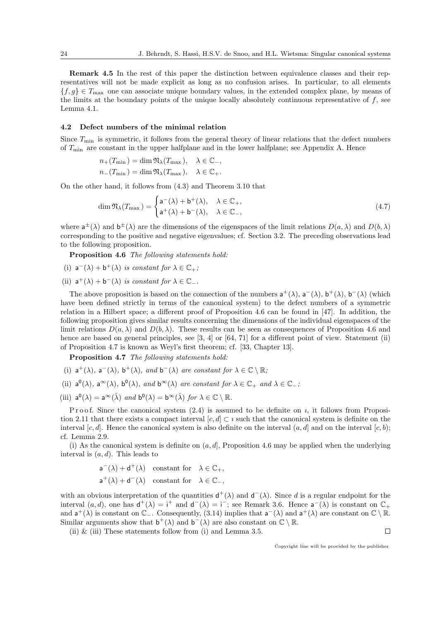Remark 4.5 In the rest of this paper the distinction between equivalence classes and their representatives will not be made explicit as long as no confusion arises. In particular, to all elements  ${f, g} \in T_{\text{max}}$  one can associate unique boundary values, in the extended complex plane, by means of the limits at the boundary points of the unique locally absolutely continuous representative of  $f$ , see Lemma 4.1.

# 4.2 Defect numbers of the minimal relation

Since  $T_{\min}$  is symmetric, it follows from the general theory of linear relations that the defect numbers of  $T_{\text{min}}$  are constant in the upper halfplane and in the lower halfplane; see Appendix A. Hence

$$
n_+(T_{\min}) = \dim \mathfrak{N}_{\lambda}(T_{\max}), \quad \lambda \in \mathbb{C}_-,
$$
  

$$
n_-(T_{\min}) = \dim \mathfrak{N}_{\lambda}(T_{\max}), \quad \lambda \in \mathbb{C}_+.
$$

On the other hand, it follows from (4.3) and Theorem 3.10 that

$$
\dim \mathfrak{N}_{\lambda}(T_{\max}) = \begin{cases} \mathsf{a}^{-}(\lambda) + \mathsf{b}^{+}(\lambda), & \lambda \in \mathbb{C}_{+}, \\ \mathsf{a}^{+}(\lambda) + \mathsf{b}^{-}(\lambda), & \lambda \in \mathbb{C}_{-}, \end{cases}
$$
\n(4.7)

where  $a^{\pm}(\lambda)$  and  $b^{\pm}(\lambda)$  are the dimensions of the eigenspaces of the limit relations  $D(a,\lambda)$  and  $D(b,\lambda)$ corresponding to the positive and negative eigenvalues; cf. Section 3.2. The preceding observations lead to the following proposition.

Proposition 4.6 The following statements hold:

- (i)  $a^{-}(\lambda) + b^{+}(\lambda)$  is constant for  $\lambda \in \mathbb{C}_{+}$ ;
- (ii)  $a^+(\lambda) + b^-(\lambda)$  is constant for  $\lambda \in \mathbb{C}_-.$

The above proposition is based on the connection of the numbers  $a^+(\lambda)$ ,  $a^-(\lambda)$ ,  $b^+(\lambda)$ ,  $b^-(\lambda)$  (which have been defined strictly in terms of the canonical system) to the defect numbers of a symmetric relation in a Hilbert space; a different proof of Proposition 4.6 can be found in [47]. In addition, the following proposition gives similar results concerning the dimensions of the individual eigenspaces of the limit relations  $D(a, \lambda)$  and  $D(b, \lambda)$ . These results can be seen as consequences of Proposition 4.6 and hence are based on general principles, see [3, 4] or [64, 71] for a different point of view. Statement (ii) of Proposition 4.7 is known as Weyl's first theorem; cf. [33, Chapter 13].

Proposition 4.7 The following statements hold:

- (i)  $a^+(\lambda)$ ,  $a^-(\lambda)$ ,  $b^+(\lambda)$ , and  $b^-(\lambda)$  are constant for  $\lambda \in \mathbb{C} \setminus \mathbb{R}$ ;
- (ii)  $a^0(\lambda)$ ,  $a^{\infty}(\lambda)$ ,  $b^0(\lambda)$ , and  $b^{\infty}(\lambda)$  are constant for  $\lambda \in \mathbb{C}_+$  and  $\lambda \in \mathbb{C}_-$ ,
- (iii)  $a^0(\lambda) = a^{\infty}(\bar{\lambda})$  and  $b^0(\lambda) = b^{\infty}(\bar{\lambda})$  for  $\lambda \in \mathbb{C} \setminus \mathbb{R}$ .

P r o o f. Since the canonical system  $(2.4)$  is assumed to be definite on *i*, it follows from Proposition 2.11 that there exists a compact interval [c, d] ⊂ i such that the canonical system is definite on the interval  $[c, d]$ . Hence the canonical system is also definite on the interval  $(a, d]$  and on the interval  $[c, b)$ ; cf. Lemma 2.9.

(i) As the canonical system is definite on  $(a, d]$ , Proposition 4.6 may be applied when the underlying interval is  $(a, d)$ . This leads to

$$
\begin{aligned} &\mathsf{a}^-(\lambda)+\mathsf{d}^+(\lambda) \quad\text{constant for}\quad \lambda\in\mathbb{C}_+,\\ &\mathsf{a}^+(\lambda)+\mathsf{d}^-(\lambda) \quad\text{constant for}\quad \lambda\in\mathbb{C}_-, \end{aligned}
$$

with an obvious interpretation of the quantities  $d^+(\lambda)$  and  $d^-(\lambda)$ . Since d is a regular endpoint for the interval  $(a, d)$ , one has  $d^+(\lambda) = i^+$  and  $d^-(\lambda) = i^-$ ; see Remark 3.6. Hence  $a^-(\lambda)$  is constant on  $\mathbb{C}_+$ and  $\mathsf{a}^+(\lambda)$  is constant on  $\mathbb{C}_-$ . Consequently, (3.14) implies that  $\mathsf{a}^-(\lambda)$  and  $\mathsf{a}^+(\lambda)$  are constant on  $\mathbb{C}\setminus\mathbb{R}$ . Similar arguments show that  $\mathbf{b}^+(\lambda)$  and  $\mathbf{b}^-(\lambda)$  are also constant on  $\mathbb{C}\setminus\mathbb{R}$ .

(ii)  $\&$  (iii) These statements follow from (i) and Lemma 3.5.

Copyright line will be provided by the publisher

 $\Box$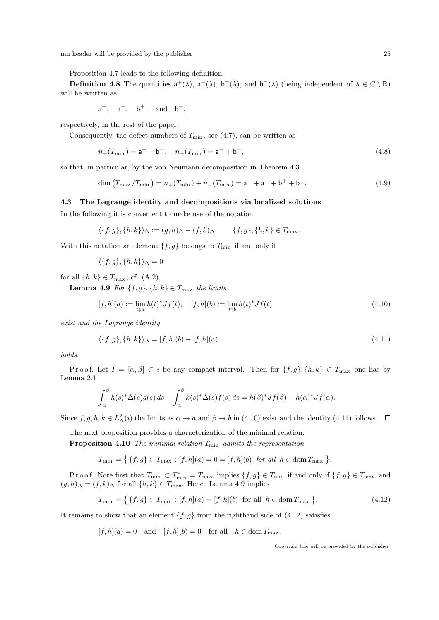Proposition 4.7 leads to the following definition.

**Definition 4.8** The quantities  $a^+(\lambda)$ ,  $a^-(\lambda)$ ,  $b^+(\lambda)$ , and  $b^-(\lambda)$  (being independent of  $\lambda \in \mathbb{C} \setminus \mathbb{R}$ ) will be written as

$$
\mathsf{a}^+,\quad \mathsf{a}^-,\quad \mathsf{b}^+,\quad \text{and}\quad \mathsf{b}^-,\quad
$$

respectively, in the rest of the paper.

Consequently, the defect numbers of  $T_{\min}$ , see (4.7), can be written as

$$
n_{+}(T_{\min}) = \mathsf{a}^{+} + \mathsf{b}^{-}, \quad n_{-}(T_{\min}) = \mathsf{a}^{-} + \mathsf{b}^{+}, \tag{4.8}
$$

so that, in particular, by the von Neumann decomposition in Theorem 4.3

$$
\dim (T_{\max}/T_{\min}) = n_{+}(T_{\min}) + n_{-}(T_{\min}) = \mathsf{a}^{+} + \mathsf{a}^{-} + \mathsf{b}^{+} + \mathsf{b}^{-}.
$$
\n(4.9)

#### 4.3 The Lagrange identity and decompositions via localized solutions

In the following it is convenient to make use of the notation

$$
\langle \{f,g\}, \{h,k\}\rangle_{\Delta} := (g,h)_{\Delta} - (f,k)_{\Delta}, \qquad \{f,g\}, \{h,k\} \in T_{\max}.
$$

With this notation an element  $\{f, g\}$  belongs to  $T_{\min}$  if and only if

$$
\langle \{f,g\}, \{h,k\}\rangle_{\Delta} = 0
$$

for all  $\{h, k\} \in T_{\text{max}}$ ; cf.  $(A.2)$ .

**Lemma 4.9** For  $\{f, g\}, \{h, k\} \in T_{\text{max}}$  the limits

$$
[f,h](a) := \lim_{t \downarrow a} h(t)^* Jf(t), \quad [f,h](b) := \lim_{t \uparrow b} h(t)^* Jf(t)
$$
\n(4.10)

exist and the Lagrange identity

$$
\langle \{f, g\}, \{h, k\} \rangle_{\Delta} = [f, h](b) - [f, h](a) \tag{4.11}
$$

holds.

Proof. Let  $I = [\alpha, \beta] \subset i$  be any compact interval. Then for  $\{f, g\}, \{h, k\} \in T_{\text{max}}$  one has by Lemma 2.1

$$
\int_{\alpha}^{\beta} h(s)^{*} \Delta(s) g(s) ds - \int_{\alpha}^{\beta} k(s)^{*} \Delta(s) f(s) ds = h(\beta)^{*} Jf(\beta) - h(\alpha)^{*} Jf(\alpha).
$$

Since  $f, g, h, k \in L^2_{\Delta}(i)$  the limits as  $\alpha \to a$  and  $\beta \to b$  in (4.10) exist and the identity (4.11) follows.

The next proposition provides a characterization of the minimal relation.

**Proposition 4.10** The minimal relation  $T_{\text{min}}$  admits the representation

 $T_{\min} = \{ \{f, g\} \in T_{\max} : [f, h](a) = 0 = [f, h](b) \text{ for all } h \in \text{dom } T_{\max} \}.$ 

Proof. Note first that  $T_{\min} \subset T_{\min}^* = T_{\max}$  implies  $\{f, g\} \in T_{\min}$  if and only if  $\{f, g\} \in T_{\max}$  and  $(g, h)$ ∆ =  $(f, k)$ ∆ for all  $\{h, k\} \in T_{\text{max}}$ . Hence Lemma 4.9 implies

$$
T_{\min} = \{ \{f, g\} \in T_{\max} : [f, h](a) = [f, h](b) \text{ for all } h \in \text{dom } T_{\max} \}.
$$
\n(4.12)

It remains to show that an element  $\{f, g\}$  from the righthand side of (4.12) satisfies

 $[f, h](a) = 0$  and  $[f, h](b) = 0$  for all  $h \in \text{dom } T_{\text{max}}$ .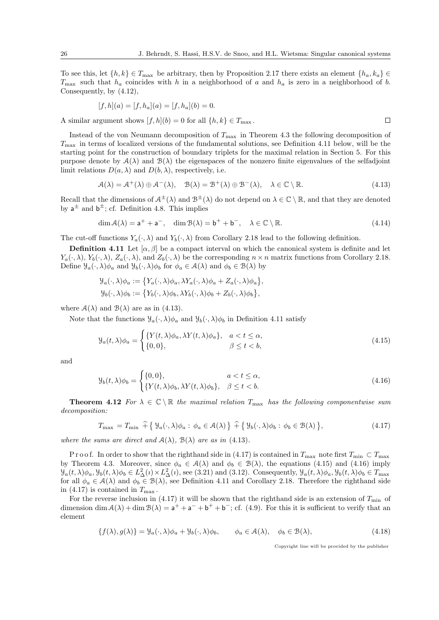$\Box$ 

To see this, let  $\{h, k\} \in T_{\text{max}}$  be arbitrary, then by Proposition 2.17 there exists an element  $\{h_a, k_a\} \in$  $T_{\text{max}}$  such that  $h_a$  coincides with h in a neighborhood of a and  $h_a$  is zero in a neighborhood of b. Consequently, by (4.12),

$$
[f, h](a) = [f, h_a](a) = [f, h_a](b) = 0.
$$

A similar argument shows  $[f, h](b) = 0$  for all  $\{h, k\} \in T_{\text{max}}$ .

Instead of the von Neumann decomposition of  $T_{\text{max}}$  in Theorem 4.3 the following decomposition of  $T_{\text{max}}$  in terms of localized versions of the fundamental solutions, see Definition 4.11 below, will be the starting point for the construction of boundary triplets for the maximal relation in Section 5. For this purpose denote by  $A(\lambda)$  and  $B(\lambda)$  the eigenspaces of the nonzero finite eigenvalues of the selfadjoint limit relations  $D(a, \lambda)$  and  $D(b, \lambda)$ , respectively, i.e.

$$
\mathcal{A}(\lambda) = \mathcal{A}^+(\lambda) \oplus \mathcal{A}^-(\lambda), \quad \mathcal{B}(\lambda) = \mathcal{B}^+(\lambda) \oplus \mathcal{B}^-(\lambda), \quad \lambda \in \mathbb{C} \setminus \mathbb{R}.\tag{4.13}
$$

Recall that the dimensions of  $\mathcal{A}^{\pm}(\lambda)$  and  $\mathcal{B}^{\pm}(\lambda)$  do not depend on  $\lambda \in \mathbb{C} \setminus \mathbb{R}$ , and that they are denoted by  $a^{\pm}$  and  $b^{\pm}$ ; cf. Definition 4.8. This implies

$$
\dim \mathcal{A}(\lambda) = \mathsf{a}^+ + \mathsf{a}^-, \quad \dim \mathcal{B}(\lambda) = \mathsf{b}^+ + \mathsf{b}^-, \quad \lambda \in \mathbb{C} \setminus \mathbb{R}.\tag{4.14}
$$

The cut-off functions  $Y_a(\cdot, \lambda)$  and  $Y_b(\cdot, \lambda)$  from Corollary 2.18 lead to the following definition.

**Definition 4.11** Let  $[\alpha, \beta]$  be a compact interval on which the canonical system is definite and let  $Y_a(\cdot, \lambda), Y_b(\cdot, \lambda), Z_a(\cdot, \lambda)$ , and  $Z_b(\cdot, \lambda)$  be the corresponding  $n \times n$  matrix functions from Corollary 2.18. Define  $\mathcal{Y}_a(\cdot, \lambda)\phi_a$  and  $\mathcal{Y}_b(\cdot, \lambda)\phi_b$  for  $\phi_a \in \mathcal{A}(\lambda)$  and  $\phi_b \in \mathcal{B}(\lambda)$  by

$$
\mathcal{Y}_a(\cdot,\lambda)\phi_a := \{ Y_a(\cdot,\lambda)\phi_a, \lambda Y_a(\cdot,\lambda)\phi_a + Z_a(\cdot,\lambda)\phi_a \},
$$
  

$$
\mathcal{Y}_b(\cdot,\lambda)\phi_b := \{ Y_b(\cdot,\lambda)\phi_b, \lambda Y_b(\cdot,\lambda)\phi_b + Z_b(\cdot,\lambda)\phi_b \},
$$

where  $\mathcal{A}(\lambda)$  and  $\mathcal{B}(\lambda)$  are as in (4.13).

Note that the functions  $\mathcal{Y}_a(\cdot, \lambda)\phi_a$  and  $\mathcal{Y}_b(\cdot, \lambda)\phi_b$  in Definition 4.11 satisfy

$$
\mathcal{Y}_a(t,\lambda)\phi_a = \begin{cases} \{Y(t,\lambda)\phi_a, \lambda Y(t,\lambda)\phi_a\}, & a < t \le \alpha, \\ \{0,0\}, & \beta \le t < b, \end{cases}
$$
\n(4.15)

and

$$
\mathcal{Y}_b(t,\lambda)\phi_b = \begin{cases} \{0,0\}, & a < t \le \alpha, \\ \{Y(t,\lambda)\phi_b, \lambda Y(t,\lambda)\phi_b\}, & \beta \le t < b. \end{cases}
$$
\n(4.16)

**Theorem 4.12** For  $\lambda \in \mathbb{C} \setminus \mathbb{R}$  the maximal relation  $T_{\text{max}}$  has the following componentwise sum decomposition:

$$
T_{\max} = T_{\min} \widehat{+} \{ \mathcal{Y}_a(\cdot, \lambda) \phi_a : \phi_a \in \mathcal{A}(\lambda) \} \widehat{+} \{ \mathcal{Y}_b(\cdot, \lambda) \phi_b : \phi_b \in \mathcal{B}(\lambda) \},\tag{4.17}
$$

where the sums are direct and  $A(\lambda)$ ,  $B(\lambda)$  are as in (4.13).

P r o o f. In order to show that the righthand side in (4.17) is contained in  $T_{\text{max}}$  note first  $T_{\text{min}} \subset T_{\text{max}}$ by Theorem 4.3. Moreover, since  $\phi_a \in \mathcal{A}(\lambda)$  and  $\phi_b \in \mathcal{B}(\lambda)$ , the equations (4.15) and (4.16) imply  $\mathcal{Y}_a(t,\lambda)\phi_a, \mathcal{Y}_b(t,\lambda)\phi_b \in L^2_{\Delta}(i) \times L^2_{\Delta}(i)$ , see (3.21) and (3.12). Consequently,  $\mathcal{Y}_a(t,\lambda)\phi_a, \mathcal{Y}_b(t,\lambda)\phi_b \in T_{\text{max}}$ for all  $\phi_a \in \mathcal{A}(\lambda)$  and  $\phi_b \in \mathcal{B}(\lambda)$ , see Definition 4.11 and Corollary 2.18. Therefore the righthand side in (4.17) is contained in  $T_{\text{max}}$ .

For the reverse inclusion in (4.17) it will be shown that the righthand side is an extension of  $T_{\text{min}}$  of dimension dim  $A(\lambda) + \dim B(\lambda) = a^+ + a^- + b^+ + b^-$ ; cf. (4.9). For this it is sufficient to verify that an element

$$
\{f(\lambda), g(\lambda)\} = \mathcal{Y}_a(\cdot, \lambda)\phi_a + \mathcal{Y}_b(\cdot, \lambda)\phi_b, \qquad \phi_a \in \mathcal{A}(\lambda), \quad \phi_b \in \mathcal{B}(\lambda), \tag{4.18}
$$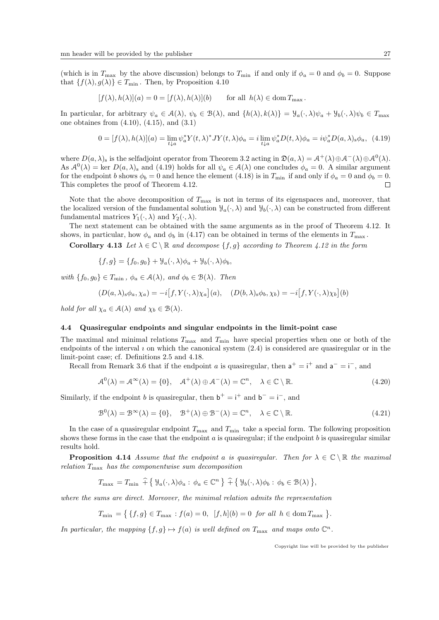(which is in  $T_{\text{max}}$  by the above discussion) belongs to  $T_{\text{min}}$  if and only if  $\phi_a = 0$  and  $\phi_b = 0$ . Suppose that  $\{f(\lambda), g(\lambda)\}\in T_{\min}$ . Then, by Proposition 4.10

$$
[f(\lambda), h(\lambda)](a) = 0 = [f(\lambda), h(\lambda)](b) \quad \text{for all } h(\lambda) \in \text{dom } T_{\text{max}}.
$$

In particular, for arbitrary  $\psi_a \in \mathcal{A}(\lambda)$ ,  $\psi_b \in \mathcal{B}(\lambda)$ , and  $\{h(\lambda), k(\lambda)\} = \mathcal{Y}_a(\cdot, \lambda)\psi_a + \mathcal{Y}_b(\cdot, \lambda)\psi_b \in T_{\text{max}}$ one obtaines from  $(4.10)$ ,  $(4.15)$ , and  $(3.1)$ 

$$
0 = [f(\lambda), h(\lambda)](a) = \lim_{t \downarrow a} \psi_a^* Y(t, \lambda)^* JY(t, \lambda) \phi_a = i \lim_{t \downarrow a} \psi_a^* D(t, \lambda) \phi_a = i \psi_a^* D(a, \lambda)_s \phi_a, \tag{4.19}
$$

where  $D(a,\lambda)$ <sub>s</sub> is the selfadjoint operator from Theorem 3.2 acting in  $\mathfrak{D}(a,\lambda) = \mathcal{A}^+(\lambda) \oplus \mathcal{A}^-(\lambda) \oplus \mathcal{A}^0(\lambda)$ . As  $A^0(\lambda) = \text{ker } D(a, \lambda)$  and (4.19) holds for all  $\psi_a \in A(\lambda)$  one concludes  $\phi_a = 0$ . A similar argument for the endpoint b shows  $\phi_b = 0$  and hence the element (4.18) is in  $T_{\text{min}}$  if and only if  $\phi_a = 0$  and  $\phi_b = 0$ . This completes the proof of Theorem 4.12.  $\Box$ 

Note that the above decomposition of  $T_{\text{max}}$  is not in terms of its eigenspaces and, moreover, that the localized version of the fundamental solution  $\mathcal{Y}_a(\cdot,\lambda)$  and  $\mathcal{Y}_b(\cdot,\lambda)$  can be constructed from different fundamental matrices  $Y_1(\cdot, \lambda)$  and  $Y_2(\cdot, \lambda)$ .

The next statement can be obtained with the same arguments as in the proof of Theorem 4.12. It shows, in particular, how  $\phi_a$  and  $\phi_b$  in (4.17) can be obtained in terms of the elements in  $T_{\text{max}}$ .

Corollary 4.13 Let  $\lambda \in \mathbb{C} \setminus \mathbb{R}$  and decompose  $\{f, g\}$  according to Theorem 4.12 in the form

$$
\{f,g\} = \{f_0,g_0\} + \mathcal{Y}_a(\cdot,\lambda)\phi_a + \mathcal{Y}_b(\cdot,\lambda)\phi_b,
$$

with  $\{f_0, g_0\} \in T_{\min}$ ,  $\phi_a \in \mathcal{A}(\lambda)$ , and  $\phi_b \in \mathcal{B}(\lambda)$ . Then

$$
(D(a,\lambda)_s \phi_a, \chi_a) = -i[f, Y(\cdot, \lambda)\chi_a](a), \quad (D(b,\lambda)_s \phi_b, \chi_b) = -i[f, Y(\cdot, \lambda)\chi_b](b)
$$

hold for all  $\chi_a \in \mathcal{A}(\lambda)$  and  $\chi_b \in \mathcal{B}(\lambda)$ .

#### 4.4 Quasiregular endpoints and singular endpoints in the limit-point case

The maximal and minimal relations  $T_{\text{max}}$  and  $T_{\text{min}}$  have special properties when one or both of the endpoints of the interval  $\iota$  on which the canonical system  $(2.4)$  is considered are quasiregular or in the limit-point case; cf. Definitions 2.5 and 4.18.

Recall from Remark 3.6 that if the endpoint a is quasiregular, then  $a^+ = i^+$  and  $a^- = i^-$ , and

$$
\mathcal{A}^0(\lambda) = \mathcal{A}^{\infty}(\lambda) = \{0\}, \quad \mathcal{A}^+(\lambda) \oplus \mathcal{A}^-(\lambda) = \mathbb{C}^n, \quad \lambda \in \mathbb{C} \setminus \mathbb{R}.
$$
 (4.20)

Similarly, if the endpoint b is quasiregular, then  $\mathbf{b}^+ = \mathbf{i}^+$  and  $\mathbf{b}^- = \mathbf{i}^-$ , and

$$
\mathcal{B}^0(\lambda) = \mathcal{B}^{\infty}(\lambda) = \{0\}, \quad \mathcal{B}^+(\lambda) \oplus \mathcal{B}^-(\lambda) = \mathbb{C}^n, \quad \lambda \in \mathbb{C} \setminus \mathbb{R}.
$$
 (4.21)

In the case of a quasiregular endpoint  $T_{\text{max}}$  and  $T_{\text{min}}$  take a special form. The following proposition shows these forms in the case that the endpoint  $a$  is quasiregular; if the endpoint  $b$  is quasiregular similar results hold.

**Proposition 4.14** Assume that the endpoint a is quasiregular. Then for  $\lambda \in \mathbb{C} \setminus \mathbb{R}$  the maximal relation  $T_{\text{max}}$  has the componentwise sum decomposition

$$
T_{\max} = T_{\min} \widehat{+} \{ \mathcal{Y}_a(\cdot, \lambda) \phi_a : \phi_a \in \mathbb{C}^n \} \widehat{+} \{ \mathcal{Y}_b(\cdot, \lambda) \phi_b : \phi_b \in \mathcal{B}(\lambda) \},
$$

where the sums are direct. Moreover, the minimal relation admits the representation

$$
T_{\min} = \{ \{f, g\} \in T_{\max} : f(a) = 0, \ [f, h](b) = 0 \ \text{for all } h \in \text{dom } T_{\max} \}.
$$

In particular, the mapping  $\{f, g\} \mapsto f(a)$  is well defined on  $T_{\text{max}}$  and maps onto  $\mathbb{C}^n$ .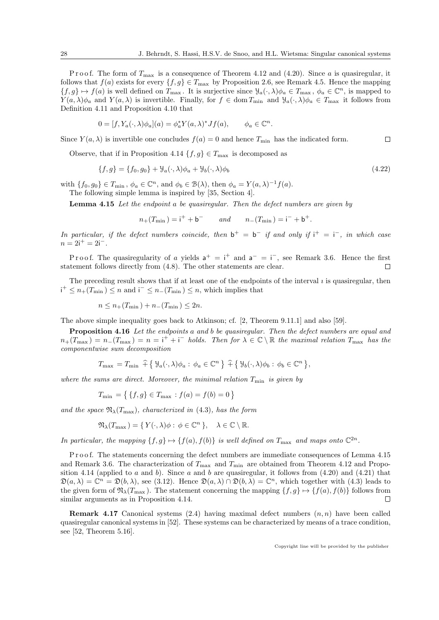.

P r o o f. The form of  $T_{\text{max}}$  is a consequence of Theorem 4.12 and (4.20). Since a is quasiregular, it follows that  $f(a)$  exists for every  $\{f, g\} \in T_{\text{max}}$  by Proposition 2.6, see Remark 4.5. Hence the mapping  $\{f,g\}\mapsto f(a)$  is well defined on  $T_{\max}$ . It is surjective since  $\mathcal{Y}_a(\cdot,\lambda)\phi_a \in T_{\max}$ ,  $\phi_a \in \mathbb{C}^n$ , is mapped to  $Y(a,\lambda)\phi_a$  and  $Y(a,\lambda)$  is invertible. Finally, for  $f \in \text{dom } T_{\text{min}}$  and  $\mathcal{Y}_a(\cdot,\lambda)\phi_a \in T_{\text{max}}$  it follows from Definition 4.11 and Proposition 4.10 that

$$
0 = [f, Y_a(\cdot, \lambda)\phi_a](a) = \phi_a^* Y(a, \lambda)^* Jf(a), \qquad \phi_a \in \mathbb{C}^n
$$

Since  $Y(a, \lambda)$  is invertible one concludes  $f(a) = 0$  and hence  $T_{\min}$  has the indicated form.  $\Box$ 

Observe, that if in Proposition 4.14  $\{f, g\} \in T_{\text{max}}$  is decomposed as

$$
\{f,g\} = \{f_0,g_0\} + \mathcal{Y}_a(\cdot,\lambda)\phi_a + \mathcal{Y}_b(\cdot,\lambda)\phi_b \tag{4.22}
$$

with  $\{f_0, g_0\} \in T_{\min}$ ,  $\phi_a \in \mathbb{C}^n$ , and  $\phi_b \in \mathcal{B}(\lambda)$ , then  $\phi_a = Y(a, \lambda)^{-1} f(a)$ . The following simple lemma is inspired by [35, Section 4].

Lemma 4.15 Let the endpoint a be quasiregular. Then the defect numbers are given by

$$
n_{+}(T_{\min}) = i^{+} + b^{-}
$$
 and  $n_{-}(T_{\min}) = i^{-} + b^{+}$ .

In particular, if the defect numbers coincide, then  $b^+ = b^-$  if and only if  $i^+ = i^-$ , in which case  $n = 2i^+ = 2i^-$ .

Proof. The quasiregularity of a yields  $a^+ = i^+$  and  $a^- = i^-$ , see Remark 3.6. Hence the first statement follows directly from (4.8). The other statements are clear.  $\Box$ 

The preceding result shows that if at least one of the endpoints of the interval  $i$  is quasiregular, then  $i^+ \leq n_+(T_{\min}) \leq n$  and  $i^- \leq n_-(T_{\min}) \leq n$ , which implies that

$$
n \le n_+(T_{\min}) + n_-(T_{\min}) \le 2n.
$$

The above simple inequality goes back to Atkinson; cf. [2, Theorem 9.11.1] and also [59].

Proposition 4.16 Let the endpoints a and b be quasiregular. Then the defect numbers are equal and  $n_{+}(T_{\text{max}}) = n_{-}(T_{\text{max}}) = n = i^{+} + i^{-}$  holds. Then for  $\lambda \in \mathbb{C} \setminus \mathbb{R}$  the maximal relation  $T_{\text{max}}$  has the componentwise sum decomposition

$$
T_{\max} = T_{\min} \widehat{+} \{ \mathcal{Y}_a(\cdot, \lambda) \phi_a : \phi_a \in \mathbb{C}^n \} \widehat{+} \{ \mathcal{Y}_b(\cdot, \lambda) \phi_b : \phi_b \in \mathbb{C}^n \},
$$

where the sums are direct. Moreover, the minimal relation  $T_{\min}$  is given by

$$
T_{\min} = \{ \{f, g\} \in T_{\max} : f(a) = f(b) = 0 \}
$$

and the space  $\mathfrak{N}_{\lambda}(T_{\text{max}})$ , characterized in (4.3), has the form

$$
\mathfrak{N}_{\lambda}(T_{\max}) = \{ Y(\cdot, \lambda)\phi : \phi \in \mathbb{C}^n \}, \quad \lambda \in \mathbb{C} \setminus \mathbb{R}.
$$

In particular, the mapping  $\{f, g\} \mapsto \{f(a), f(b)\}\$ is well defined on  $T_{\text{max}}$  and maps onto  $\mathbb{C}^{2n}$ .

Proof. The statements concerning the defect numbers are immediate consequences of Lemma 4.15 and Remark 3.6. The characterization of  $T_{\text{max}}$  and  $T_{\text{min}}$  are obtained from Theorem 4.12 and Proposition 4.14 (applied to a and b). Since a and b are quasiregular, it follows from  $(4.20)$  and  $(4.21)$  that  $\mathfrak{D}(a,\lambda) = \mathbb{C}^n = \mathfrak{D}(b,\lambda)$ , see (3.12). Hence  $\mathfrak{D}(a,\lambda) \cap \mathfrak{D}(b,\lambda) = \mathbb{C}^n$ , which together with (4.3) leads to the given form of  $\mathfrak{N}_{\lambda}(T_{\text{max}})$ . The statement concerning the mapping  $\{f, g\} \mapsto \{f(a), f(b)\}\$  follows from similar arguments as in Proposition 4.14.  $\Box$ 

**Remark 4.17** Canonical systems (2.4) having maximal defect numbers  $(n, n)$  have been called quasiregular canonical systems in [52]. These systems can be characterized by means of a trace condition, see [52, Theorem 5.16].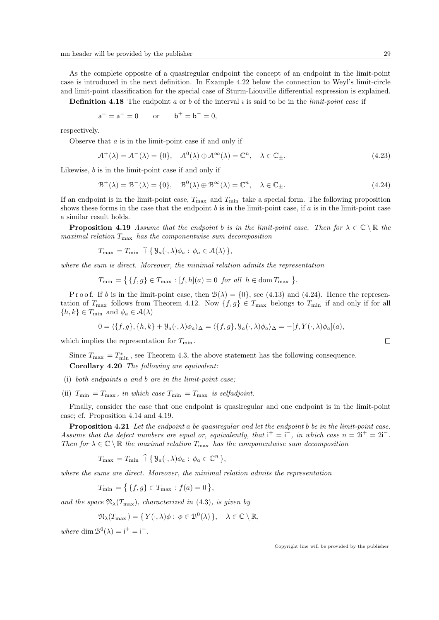As the complete opposite of a quasiregular endpoint the concept of an endpoint in the limit-point case is introduced in the next definition. In Example 4.22 below the connection to Weyl's limit-circle and limit-point classification for the special case of Sturm-Liouville differential expression is explained.

**Definition 4.18** The endpoint a or b of the interval  $\imath$  is said to be in the *limit-point case* if

$$
a^+ = a^- = 0
$$
 or  $b^+ = b^- = 0$ ,

respectively.

Observe that  $a$  is in the limit-point case if and only if

$$
\mathcal{A}^+(\lambda) = \mathcal{A}^-(\lambda) = \{0\}, \quad \mathcal{A}^0(\lambda) \oplus \mathcal{A}^\infty(\lambda) = \mathbb{C}^n, \quad \lambda \in \mathbb{C}_{\pm}.\tag{4.23}
$$

Likewise, b is in the limit-point case if and only if

$$
\mathcal{B}^{+}(\lambda) = \mathcal{B}^{-}(\lambda) = \{0\}, \quad \mathcal{B}^{0}(\lambda) \oplus \mathcal{B}^{\infty}(\lambda) = \mathbb{C}^{n}, \quad \lambda \in \mathbb{C}_{\pm}.
$$
\n
$$
(4.24)
$$

If an endpoint is in the limit-point case,  $T_{\text{max}}$  and  $T_{\text{min}}$  take a special form. The following proposition shows these forms in the case that the endpoint  $b$  is in the limit-point case, if  $a$  is in the limit-point case a similar result holds.

**Proposition 4.19** Assume that the endpoint b is in the limit-point case. Then for  $\lambda \in \mathbb{C} \setminus \mathbb{R}$  the maximal relation  $T_{\text{max}}$  has the componentwise sum decomposition

$$
T_{\max} = T_{\min} + \{ \mathcal{Y}_a(\cdot, \lambda) \phi_a : \phi_a \in \mathcal{A}(\lambda) \},
$$

where the sum is direct. Moreover, the minimal relation admits the representation

 $T_{\min} = \{ \{f, g\} \in T_{\max} : [f, h](a) = 0 \text{ for all } h \in \text{dom } T_{\max} \}.$ 

P r o o f. If b is in the limit-point case, then  $\mathcal{B}(\lambda) = \{0\}$ , see (4.13) and (4.24). Hence the representation of  $T_{\text{max}}$  follows from Theorem 4.12. Now  $\{f, g\} \in T_{\text{max}}$  belongs to  $T_{\text{min}}$  if and only if for all  $\{h, k\} \in T_{\min}$  and  $\phi_a \in \mathcal{A}(\lambda)$ 

$$
0 = \langle \{f, g\}, \{h, k\} + \mathcal{Y}_a(\cdot, \lambda)\phi_a \rangle_{\Delta} = \langle \{f, g\}, \mathcal{Y}_a(\cdot, \lambda)\phi_a \rangle_{\Delta} = -[f, Y(\cdot, \lambda)\phi_a](a),
$$

which implies the representation for  $T_{\min}$ .

Since  $T_{\text{max}} = T_{\text{min}}^*$ , see Theorem 4.3, the above statement has the following consequence. Corollary 4.20 The following are equivalent:

(i) both endpoints a and b are in the limit-point case;

(ii)  $T_{\min} = T_{\max}$ , in which case  $T_{\min} = T_{\max}$  is selfadjoint.

Finally, consider the case that one endpoint is quasiregular and one endpoint is in the limit-point case; cf. Proposition 4.14 and 4.19.

**Proposition 4.21** Let the endpoint a be quasiregular and let the endpoint b be in the limit-point case. Assume that the defect numbers are equal or, equivalently, that  $i^+ = i^-$ , in which case  $n = 2i^+ = 2i^-$ . Then for  $\lambda \in \mathbb{C} \setminus \mathbb{R}$  the maximal relation  $T_{\text{max}}$  has the componentwise sum decomposition

$$
T_{\max} = T_{\min} \widehat{+} \{ \mathcal{Y}_a(\cdot, \lambda) \phi_a : \phi_a \in \mathbb{C}^n \},
$$

where the sums are direct. Moreover, the minimal relation admits the representation

$$
T_{\min} = \{ \{f, g\} \in T_{\max} : f(a) = 0 \},
$$

and the space  $\mathfrak{N}_{\lambda}(T_{\text{max}})$ , characterized in (4.3), is given by

$$
\mathfrak{N}_{\lambda}(T_{\max}) = \{ Y(\cdot, \lambda)\phi : \phi \in \mathcal{B}^{0}(\lambda) \}, \quad \lambda \in \mathbb{C} \setminus \mathbb{R},
$$

where dim  $\mathcal{B}^0(\lambda) = i^+ = i^-$ .

$$
\sqcup
$$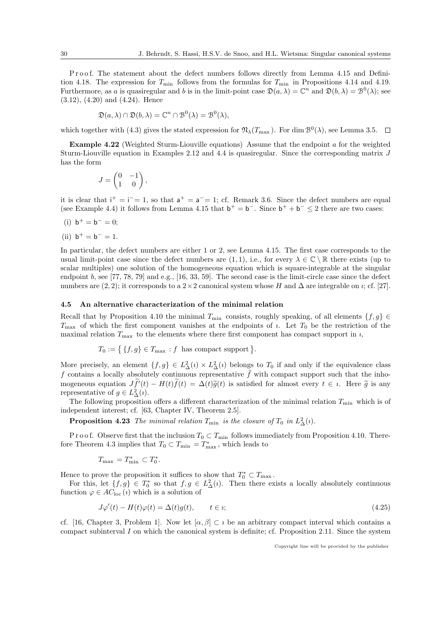Proof. The statement about the defect numbers follows directly from Lemma 4.15 and Definition 4.18. The expression for  $T_{\text{min}}$  follows from the formulas for  $T_{\text{min}}$  in Propositions 4.14 and 4.19. Furthermore, as a is quasiregular and b is in the limit-point case  $\mathfrak{D}(a,\lambda) = \mathbb{C}^n$  and  $\mathfrak{D}(b,\lambda) = \mathfrak{B}^0(\lambda)$ ; see (3.12), (4.20) and (4.24). Hence

$$
\mathfrak{D}(a,\lambda)\cap\mathfrak{D}(b,\lambda)=\mathbb{C}^n\cap\mathfrak{B}^0(\lambda)=\mathfrak{B}^0(\lambda),
$$

which together with (4.3) gives the stated expression for  $\mathfrak{N}_{\lambda}(T_{\max})$ . For dim  $\mathcal{B}^{0}(\lambda)$ , see Lemma 3.5.

**Example 4.22** (Weighted Sturm-Liouville equations) Assume that the endpoint  $\alpha$  for the weighted Sturm-Liouville equation in Examples 2.12 and 4.4 is quasiregular. Since the corresponding matrix J has the form

$$
J = \begin{pmatrix} 0 & -1 \\ 1 & 0 \end{pmatrix},
$$

it is clear that  $i^+ = i^- = 1$ , so that  $a^+ = a^- = 1$ ; cf. Remark 3.6. Since the defect numbers are equal (see Example 4.4) it follows from Lemma 4.15 that  $b^+ = b^-$ . Since  $b^+ + b^- \le 2$  there are two cases:

(i) 
$$
b^+ = b^- = 0;
$$

(ii) 
$$
b^+ = b^- = 1
$$
.

In particular, the defect numbers are either 1 or 2, see Lemma 4.15. The first case corresponds to the usual limit-point case since the defect numbers are  $(1, 1)$ , i.e., for every  $\lambda \in \mathbb{C} \setminus \mathbb{R}$  there exists (up to scalar multiples) one solution of the homogeneous equation which is square-integrable at the singular endpoint b, see [77, 78, 79] and e.g., [16, 33, 59]. The second case is the limit-circle case since the defect numbers are  $(2, 2)$ ; it corresponds to a 2×2 canonical system whose H and  $\Delta$  are integrable on *i*; cf. [27].

#### 4.5 An alternative characterization of the minimal relation

Recall that by Proposition 4.10 the minimal  $T_{\min}$  consists, roughly speaking, of all elements  $\{f, g\} \in$  $T_{\text{max}}$  of which the first component vanishes at the endpoints of *i*. Let  $T_0$  be the restriction of the maximal relation  $T_{\text{max}}$  to the elements where there first component has compact support in  $\imath$ ,

$$
T_0 := \{ \{f, g\} \in T_{\max} : f \text{ has compact support} \}.
$$

More precisely, an element  $\{f, g\} \in L^2_\Delta(\iota) \times L^2_\Delta(\iota)$  belongs to  $T_0$  if and only if the equivalence class f contains a locally absolutely continuous representative  $\tilde{f}$  with compact support such that the inhomogeneous equation  $J\tilde{f}'(t) - H(t)\tilde{f}(t) = \Delta(t)\tilde{g}(t)$  is satisfied for almost every  $t \in i$ . Here  $\tilde{g}$  is any representative of  $g \in L^2(\ell)$ representative of  $g \in L^2_{\Delta}(i)$ .

The following proposition offers a different characterization of the minimal relation  $T_{\min}$  which is of independent interest; cf. [63, Chapter IV, Theorem 2.5].

**Proposition 4.23** The minimal relation  $T_{\min}$  is the closure of  $T_0$  in  $L^2_{\Delta}(i)$ .

P r o o f. Observe first that the inclusion  $T_0 \subset T_{\text{min}}$  follows immediately from Proposition 4.10. Therefore Theorem 4.3 implies that  $T_0 \subset T_{\min} = T_{\max}^*$ , which leads to

$$
T_{\max} = T_{\min}^* \subset T_0^*.
$$

Hence to prove the proposition it suffices to show that  $T_0^* \subset T_{\max}$ .

For this, let  $\{f, g\} \in T_0^*$  so that  $f, g \in L^2_{\Delta}(i)$ . Then there exists a locally absolutely continuous function  $\varphi \in AC_{\text{loc}}(i)$  which is a solution of

$$
J\varphi'(t) - H(t)\varphi(t) = \Delta(t)g(t), \qquad t \in \mathbb{R};
$$
\n(4.25)

cf. [16, Chapter 3, Problem 1]. Now let  $[\alpha, \beta] \subset \iota$  be an arbitrary compact interval which contains a compact subinterval  $I$  on which the canonical system is definite; cf. Proposition 2.11. Since the system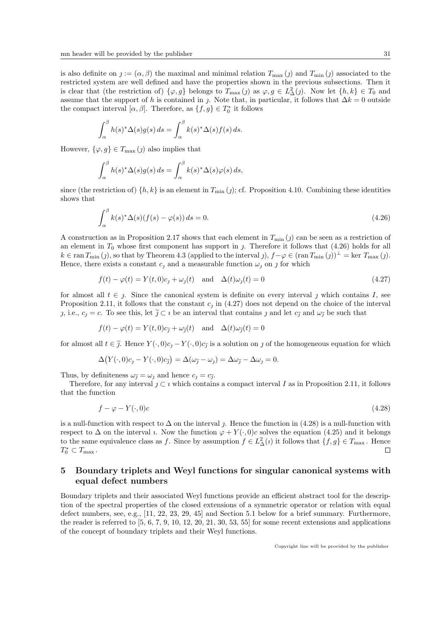is also definite on  $j := (\alpha, \beta)$  the maximal and minimal relation  $T_{\text{max}}(\eta)$  and  $T_{\text{min}}(\eta)$  associated to the restricted system are well defined and have the properties shown in the previous subsections. Then it is clear that (the restriction of)  $\{\varphi, g\}$  belongs to  $T_{\max}(j)$  as  $\varphi, g \in L^2_{\Delta}(j)$ . Now let  $\{h, k\} \in T_0$  and assume that the support of h is contained in j. Note that, in particular, it follows that  $\Delta k = 0$  outside the compact interval  $[\alpha, \beta]$ . Therefore, as  $\{f, g\} \in T_0^*$  it follows

$$
\int_{\alpha}^{\beta} h(s)^{*} \Delta(s) g(s) ds = \int_{\alpha}^{\beta} k(s)^{*} \Delta(s) f(s) ds.
$$

However,  $\{\varphi, g\} \in T_{\max}(j)$  also implies that

$$
\int_{\alpha}^{\beta} h(s)^{*} \Delta(s) g(s) ds = \int_{\alpha}^{\beta} k(s)^{*} \Delta(s) \varphi(s) ds,
$$

since (the restriction of)  $\{h, k\}$  is an element in  $T_{\min}(\eta)$ ; cf. Proposition 4.10. Combining these identities shows that

$$
\int_{\alpha}^{\beta} k(s)^{*} \Delta(s) (f(s) - \varphi(s)) ds = 0.
$$
\n(4.26)

A construction as in Proposition 2.17 shows that each element in  $T_{\min}(j)$  can be seen as a restriction of an element in  $T_0$  whose first component has support in j. Therefore it follows that  $(4.26)$  holds for all  $k \in \text{ran } T_{\text{min}}(j)$ , so that by Theorem 4.3 (applied to the interval  $j$ ),  $f-\varphi \in (\text{ran } T_{\text{min}}(j))^{\perp} = \text{ker } T_{\text{max}}(j)$ . Hence, there exists a constant  $c_1$  and a measurable function  $\omega_1$  on  $\jmath$  for which

$$
f(t) - \varphi(t) = Y(t,0)c_1 + \omega_1(t) \quad \text{and} \quad \Delta(t)\omega_1(t) = 0 \tag{4.27}
$$

for almost all  $t \in \mathcal{I}$ . Since the canonical system is definite on every interval  $\mathcal{I}$  which contains  $I$ , see Proposition 2.11, it follows that the constant  $c_j$  in (4.27) does not depend on the choice of the interval *j*, i.e.,  $c_j = c$ . To see this, let  $\tilde{j} \subset i$  be an interval that contains *j* and let  $c_{\tilde{j}}$  and  $\omega_{\tilde{j}}$  be such that

$$
f(t) - \varphi(t) = Y(t, 0)c_{\tilde{j}} + \omega_{\tilde{j}}(t)
$$
 and  $\Delta(t)\omega_{\tilde{j}}(t) = 0$ 

for almost all  $t \in \tilde{j}$ . Hence  $Y(\cdot, 0)c_j - Y(\cdot, 0)c_{\tilde{j}}$  is a solution on j of the homogeneous equation for which

$$
\Delta(Y(\cdot,0)c_j - Y(\cdot,0)c_{\tilde{j}}) = \Delta(\omega_{\tilde{j}} - \omega_j) = \Delta\omega_{\tilde{j}} - \Delta\omega_j = 0.
$$

Thus, by definiteness  $\omega_{\tilde{J}} = \omega_j$  and hence  $c_j = c_{\tilde{J}}$ .<br>Thus for any internal of explicit explicit

Therefore, for any interval  $j \subset i$  which contains a compact interval I as in Proposition 2.11, it follows that the function

$$
f - \varphi - Y(\cdot, 0)c \tag{4.28}
$$

is a null-function with respect to  $\Delta$  on the interval j. Hence the function in (4.28) is a null-function with respect to  $\Delta$  on the interval *i*. Now the function  $\varphi + Y(\cdot, 0)c$  solves the equation (4.25) and it belongs to the same equivalence class as f. Since by assumption  $f \in L^2_{\Delta}(i)$  it follows that  $\{f, g\} \in T_{\max}$ . Hence  $T_0^* \subset T_{\max}$ . П

# 5 Boundary triplets and Weyl functions for singular canonical systems with equal defect numbers

Boundary triplets and their associated Weyl functions provide an efficient abstract tool for the description of the spectral properties of the closed extensions of a symmetric operator or relation with equal defect numbers, see, e.g., [11, 22, 23, 29, 45] and Section 5.1 below for a brief summary. Furthermore, the reader is referred to [5, 6, 7, 9, 10, 12, 20, 21, 30, 53, 55] for some recent extensions and applications of the concept of boundary triplets and their Weyl functions.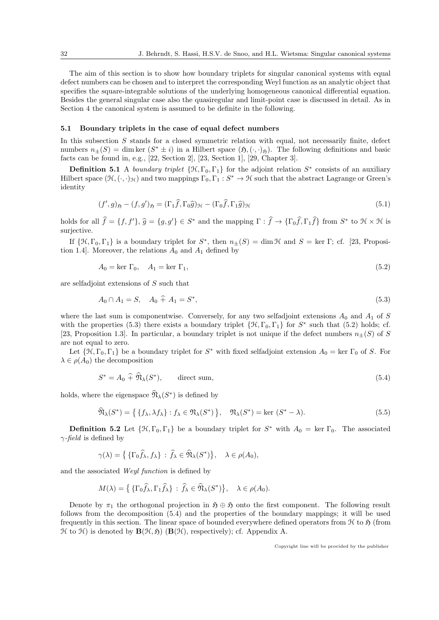The aim of this section is to show how boundary triplets for singular canonical systems with equal defect numbers can be chosen and to interpret the corresponding Weyl function as an analytic object that specifies the square-integrable solutions of the underlying homogeneous canonical differential equation. Besides the general singular case also the quasiregular and limit-point case is discussed in detail. As in Section 4 the canonical system is assumed to be definite in the following.

#### 5.1 Boundary triplets in the case of equal defect numbers

In this subsection  $S$  stands for a closed symmetric relation with equal, not necessarily finite, defect numbers  $n_{\pm}(S) = \dim \ker (S^* \pm i)$  in a Hilbert space  $(\mathfrak{H}, (\cdot, \cdot)_{\mathfrak{H}})$ . The following definitions and basic facts can be found in, e.g., [22, Section 2], [23, Section 1], [29, Chapter 3].

**Definition 5.1** A boundary triplet  $\{\mathcal{H}, \Gamma_0, \Gamma_1\}$  for the adjoint relation  $S^*$  consists of an auxiliary Hilbert space  $(\mathcal{H}, (\cdot, \cdot)_{\mathcal{H}})$  and two mappings  $\Gamma_0, \Gamma_1 : S^* \to \mathcal{H}$  such that the abstract Lagrange or Green's identity

$$
(f', g)_{\mathfrak{H}} - (f, g')_{\mathfrak{H}} = (\Gamma_1 \widehat{f}, \Gamma_0 \widehat{g})_{\mathfrak{H}} - (\Gamma_0 \widehat{f}, \Gamma_1 \widehat{g})_{\mathfrak{H}} \tag{5.1}
$$

holds for all  $\hat{f} = \{f, f'\}, \hat{g} = \{g, g'\} \in S^*$  and the mapping  $\Gamma : \hat{f} \to \{\Gamma_0 \hat{f}, \Gamma_1 \hat{f}\}$  from  $S^*$  to  $\mathcal{H} \times \mathcal{H}$  is surjective.

If  $\{\mathcal{H}, \Gamma_0, \Gamma_1\}$  is a boundary triplet for  $S^*$ , then  $n_{\pm}(S) = \dim \mathcal{H}$  and  $S = \text{ker } \Gamma$ ; cf. [23, Proposition 1.4]. Moreover, the relations  $A_0$  and  $A_1$  defined by

$$
A_0 = \ker \Gamma_0, \quad A_1 = \ker \Gamma_1,\tag{5.2}
$$

are selfadjoint extensions of S such that

$$
A_0 \cap A_1 = S, \quad A_0 \hat{+} A_1 = S^*, \tag{5.3}
$$

where the last sum is componentwise. Conversely, for any two selfadjoint extensions  $A_0$  and  $A_1$  of S with the properties (5.3) there exists a boundary triplet  $\{\mathcal{H}, \Gamma_0, \Gamma_1\}$  for  $S^*$  such that (5.2) holds; cf. [23, Proposition 1.3]. In particular, a boundary triplet is not unique if the defect numbers  $n_{\pm}(S)$  of S are not equal to zero.

Let  $\{\mathcal{H}, \Gamma_0, \Gamma_1\}$  be a boundary triplet for  $S^*$  with fixed selfadjoint extension  $A_0 = \text{ker } \Gamma_0$  of S. For  $\lambda \in \rho(A_0)$  the decomposition

$$
S^* = A_0 \widehat{+} \widehat{\mathfrak{N}}_{\lambda}(S^*), \qquad \text{direct sum}, \tag{5.4}
$$

holds, where the eigenspace  $\widehat{\mathfrak{N}}_{\lambda}(S^*)$  is defined by

$$
\widehat{\mathfrak{N}}_{\lambda}(S^*) = \left\{ \{ f_{\lambda}, \lambda f_{\lambda} \} : f_{\lambda} \in \mathfrak{N}_{\lambda}(S^*) \right\}, \quad \mathfrak{N}_{\lambda}(S^*) = \text{ker } (S^* - \lambda). \tag{5.5}
$$

**Definition 5.2** Let  $\{\mathcal{H}, \Gamma_0, \Gamma_1\}$  be a boundary triplet for  $S^*$  with  $A_0 = \text{ker } \Gamma_0$ . The associated  $\gamma$ -field is defined by

$$
\gamma(\lambda) = \left\{ \{ \Gamma_0 \widehat{f}_\lambda, f_\lambda \} : \widehat{f}_\lambda \in \widehat{\mathfrak{N}}_\lambda(S^*) \right\}, \quad \lambda \in \rho(A_0),
$$

and the associated Weyl function is defined by

$$
M(\lambda) = \left\{ \{\Gamma_0 \widehat{f}_{\lambda}, \Gamma_1 \widehat{f}_{\lambda}\} : \widehat{f}_{\lambda} \in \widehat{\mathfrak{N}}_{\lambda}(S^*) \right\}, \quad \lambda \in \rho(A_0).
$$

Denote by  $\pi_1$  the orthogonal projection in  $\mathfrak{H} \oplus \mathfrak{H}$  onto the first component. The following result follows from the decomposition (5.4) and the properties of the boundary mappings; it will be used frequently in this section. The linear space of bounded everywhere defined operators from  $\mathcal H$  to  $\mathfrak H$  (from  $\mathcal H$  to  $\mathcal H$ ) is denoted by  $\mathbf B(\mathcal H,\mathfrak H)$  ( $\mathbf B(\mathcal H)$ , respectively); cf. Appendix A.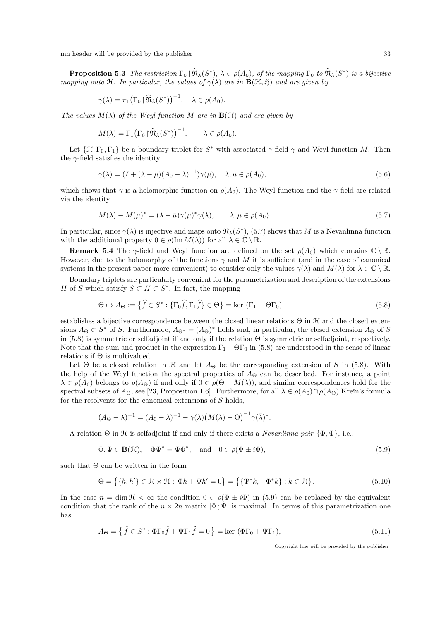**Proposition 5.3** The restriction  $\Gamma_0 \upharpoonright \widehat{\mathfrak{N}}_{\lambda}(S^*)$ ,  $\lambda \in \rho(A_0)$ , of the mapping  $\Gamma_0$  to  $\widehat{\mathfrak{N}}_{\lambda}(S^*)$  is a bijective mapping onto H. In particular, the values of  $\gamma(\lambda)$  are in  $\mathbf{B}(\mathcal{H},\mathfrak{H})$  and are given by

$$
\gamma(\lambda) = \pi_1 \big( \Gamma_0 \upharpoonright \widehat{\mathfrak{N}}_{\lambda}(S^*) \big)^{-1}, \quad \lambda \in \rho(A_0).
$$

The values  $M(\lambda)$  of the Weyl function M are in  $\mathbf{B}(\mathcal{H})$  and are given by

$$
M(\lambda) = \Gamma_1 (\Gamma_0 \upharpoonright \widehat{\mathfrak{N}}_{\lambda}(S^*))^{-1}, \qquad \lambda \in \rho(A_0).
$$

Let  $\{\mathcal{H}, \Gamma_0, \Gamma_1\}$  be a boundary triplet for  $S^*$  with associated  $\gamma$ -field  $\gamma$  and Weyl function M. Then the  $\gamma$ -field satisfies the identity

$$
\gamma(\lambda) = (I + (\lambda - \mu)(A_0 - \lambda)^{-1})\gamma(\mu), \quad \lambda, \mu \in \rho(A_0),
$$
\n(5.6)

which shows that  $\gamma$  is a holomorphic function on  $\rho(A_0)$ . The Weyl function and the  $\gamma$ -field are related via the identity

$$
M(\lambda) - M(\mu)^* = (\lambda - \bar{\mu})\gamma(\mu)^*\gamma(\lambda), \qquad \lambda, \mu \in \rho(A_0).
$$
\n(5.7)

In particular, since  $\gamma(\lambda)$  is injective and maps onto  $\mathfrak{N}_{\lambda}(S^*)$ , (5.7) shows that M is a Nevanlinna function with the additional property  $0 \in \rho(\operatorname{Im} M(\lambda))$  for all  $\lambda \in \mathbb{C} \setminus \mathbb{R}$ .

**Remark 5.4** The  $\gamma$ -field and Weyl function are defined on the set  $\rho(A_0)$  which contains  $\mathbb{C} \setminus \mathbb{R}$ . However, due to the holomorphy of the functions  $\gamma$  and M it is sufficient (and in the case of canonical systems in the present paper more convenient) to consider only the values  $\gamma(\lambda)$  and  $M(\lambda)$  for  $\lambda \in \mathbb{C} \setminus \mathbb{R}$ .

Boundary triplets are particularly convenient for the parametrization and description of the extensions H of S which satisfy  $S \subset H \subset S^*$ . In fact, the mapping

$$
\Theta \mapsto A_{\Theta} := \left\{ \widehat{f} \in S^* : \{ \Gamma_0 \widehat{f}, \Gamma_1 \widehat{f} \} \in \Theta \right\} = \ker \left( \Gamma_1 - \Theta \Gamma_0 \right) \tag{5.8}
$$

establishes a bijective correspondence between the closed linear relations  $\Theta$  in  $\mathcal H$  and the closed extensions  $A_{\Theta} \subset S^*$  of S. Furthermore,  $A_{\Theta^*} = (A_{\Theta})^*$  holds and, in particular, the closed extension  $A_{\Theta}$  of S in (5.8) is symmetric or selfadjoint if and only if the relation  $\Theta$  is symmetric or selfadjoint, respectively. Note that the sum and product in the expression  $\Gamma_1 - \Theta \Gamma_0$  in (5.8) are understood in the sense of linear relations if  $\Theta$  is multivalued.

Let  $\Theta$  be a closed relation in  $\mathcal H$  and let  $A_{\Theta}$  be the corresponding extension of S in (5.8). With the help of the Weyl function the spectral properties of  $A_{\Theta}$  can be described. For instance, a point  $\lambda \in \rho(A_0)$  belongs to  $\rho(A_\Theta)$  if and only if  $0 \in \rho(\Theta - M(\lambda))$ , and similar correspondences hold for the spectral subsets of  $A_{\Theta}$ ; see [23, Proposition 1.6]. Furthermore, for all  $\lambda \in \rho(A_0) \cap \rho(A_{\Theta})$  Kreĭn's formula for the resolvents for the canonical extensions of S holds,

$$
(A_{\Theta} - \lambda)^{-1} = (A_0 - \lambda)^{-1} - \gamma(\lambda) (M(\lambda) - \Theta)^{-1} \gamma(\overline{\lambda})^*.
$$

A relation  $\Theta$  in  $\mathcal H$  is selfadjoint if and only if there exists a *Nevanlinna pair*  $\{\Phi, \Psi\}$ , i.e.,

$$
\Phi, \Psi \in \mathbf{B}(\mathcal{H}), \quad \Phi \Psi^* = \Psi \Phi^*, \quad \text{and} \quad 0 \in \rho(\Psi \pm i\Phi), \tag{5.9}
$$

such that  $\Theta$  can be written in the form

$$
\Theta = \{ \{h, h'\} \in \mathcal{H} \times \mathcal{H} : \Phi h + \Psi h' = 0 \} = \{ \{\Psi^* k, -\Phi^* k\} : k \in \mathcal{H} \}. \tag{5.10}
$$

In the case  $n = \dim \mathcal{H} < \infty$  the condition  $0 \in \rho(\Psi \pm i\Phi)$  in (5.9) can be replaced by the equivalent condition that the rank of the  $n \times 2n$  matrix  $[\Phi; \Psi]$  is maximal. In terms of this parametrization one has

$$
A_{\Theta} = \left\{ \hat{f} \in S^* : \Phi \Gamma_0 \hat{f} + \Psi \Gamma_1 \hat{f} = 0 \right\} = \ker \left( \Phi \Gamma_0 + \Psi \Gamma_1 \right),\tag{5.11}
$$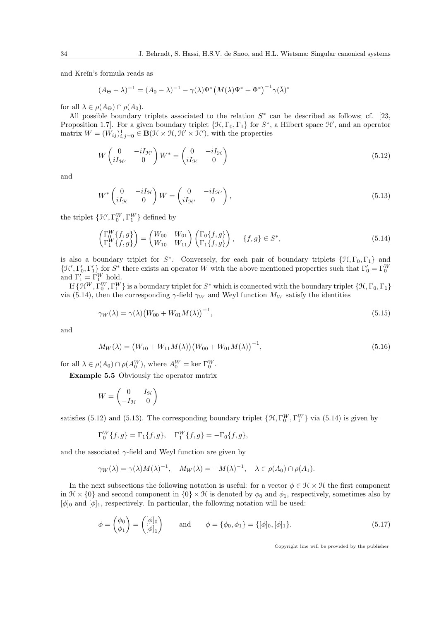and Kreĭn's formula reads as

$$
(A_{\Theta} - \lambda)^{-1} = (A_0 - \lambda)^{-1} - \gamma(\lambda)\Psi^*(M(\lambda)\Psi^* + \Phi^*)^{-1}\gamma(\bar{\lambda})^*
$$

for all  $\lambda \in \rho(A_{\Theta}) \cap \rho(A_0)$ .

All possible boundary triplets associated to the relation  $S^*$  can be described as follows; cf. [23, Proposition 1.7. For a given boundary triplet  $\{\mathcal{H}, \Gamma_0, \Gamma_1\}$  for  $S^*$ , a Hilbert space  $\mathcal{H}'$ , and an operator matrix  $W = (W_{ij})_{i,j=0}^1 \in \mathbf{B}(\mathcal{H} \times \mathcal{H}, \mathcal{H}' \times \mathcal{H}')$ , with the properties

$$
W \begin{pmatrix} 0 & -iI_{\mathcal{H}'} \\ iI_{\mathcal{H}'} & 0 \end{pmatrix} W^* = \begin{pmatrix} 0 & -iI_{\mathcal{H}} \\ iI_{\mathcal{H}} & 0 \end{pmatrix}
$$
(5.12)

and

$$
W^* \begin{pmatrix} 0 & -iI_{\mathcal{H}} \\ iI_{\mathcal{H}} & 0 \end{pmatrix} W = \begin{pmatrix} 0 & -iI_{\mathcal{H}'} \\ iI_{\mathcal{H}'} & 0 \end{pmatrix},\tag{5.13}
$$

the triplet  $\{\mathcal{H}', \Gamma_0^W, \Gamma_1^W\}$  defined by

$$
\begin{pmatrix} \Gamma_0^W \{f, g\} \\ \Gamma_1^W \{f, g\} \end{pmatrix} = \begin{pmatrix} W_{00} & W_{01} \\ W_{10} & W_{11} \end{pmatrix} \begin{pmatrix} \Gamma_0 \{f, g\} \\ \Gamma_1 \{f, g\} \end{pmatrix}, \quad \{f, g\} \in S^*,
$$
\n(5.14)

is also a boundary triplet for  $S^*$ . Conversely, for each pair of boundary triplets  $\{\mathcal{H}, \Gamma_0, \Gamma_1\}$  and  $\{\mathcal{H}', \Gamma'_0, \Gamma'_1\}$  for  $S^*$  there exists an operator W with the above mentioned properties such that  $\Gamma'_0 = \Gamma_0^W$  and  $\Gamma'_1 = \Gamma_1^W$  hold.

If  $\{\mathcal{H}^W, \Gamma_0^W, \Gamma_1^W\}$  is a boundary triplet for  $S^*$  which is connected with the boundary triplet  $\{\mathcal{H}, \Gamma_0, \Gamma_1\}$ via (5.14), then the corresponding  $\gamma$ -field  $\gamma_W$  and Weyl function  $M_W$  satisfy the identities

$$
\gamma_W(\lambda) = \gamma(\lambda) (W_{00} + W_{01} M(\lambda))^{-1},
$$
\n(5.15)

and

$$
M_W(\lambda) = (W_{10} + W_{11}M(\lambda))(W_{00} + W_{01}M(\lambda))^{-1},
$$
\n(5.16)

for all  $\lambda \in \rho(A_0) \cap \rho(A_0^W)$ , where  $A_0^W = \text{ker } \Gamma_0^W$ .

Example 5.5 Obviously the operator matrix

$$
W = \begin{pmatrix} 0 & I_{\mathcal{H}} \\ -I_{\mathcal{H}} & 0 \end{pmatrix}
$$

satisfies (5.12) and (5.13). The corresponding boundary triplet  $\{\mathcal{H}, \Gamma_0^W, \Gamma_1^W\}$  via (5.14) is given by

$$
\Gamma_0^W \{f, g\} = \Gamma_1 \{f, g\}, \quad \Gamma_1^W \{f, g\} = -\Gamma_0 \{f, g\},
$$

and the associated  $\gamma$ -field and Weyl function are given by

 $\sim 10^7$ 

$$
\gamma_W(\lambda) = \gamma(\lambda)M(\lambda)^{-1}, \quad M_W(\lambda) = -M(\lambda)^{-1}, \quad \lambda \in \rho(A_0) \cap \rho(A_1).
$$

In the next subsections the following notation is useful: for a vector  $\phi \in \mathcal{H} \times \mathcal{H}$  the first component in  $\mathcal{H} \times \{0\}$  and second component in  $\{0\} \times \mathcal{H}$  is denoted by  $\phi_0$  and  $\phi_1$ , respectively, sometimes also by  $[\phi]_0$  and  $[\phi]_1$ , respectively. In particular, the following notation will be used:

$$
\phi = \begin{pmatrix} \phi_0 \\ \phi_1 \end{pmatrix} = \begin{pmatrix} [\phi]_0 \\ [\phi]_1 \end{pmatrix} \quad \text{and} \quad \phi = \{\phi_0, \phi_1\} = \{[\phi]_0, [\phi]_1\}.
$$
 (5.17)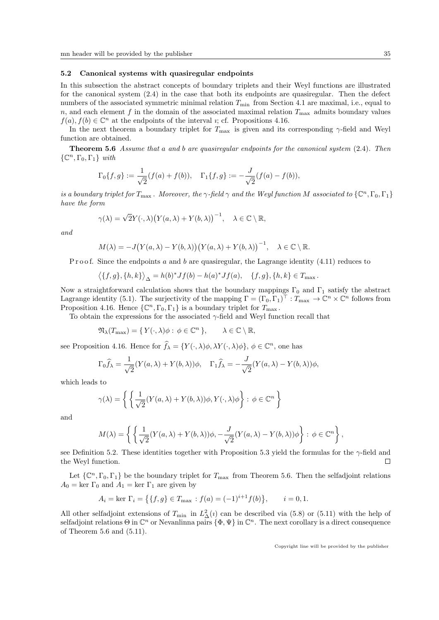#### 5.2 Canonical systems with quasiregular endpoints

In this subsection the abstract concepts of boundary triplets and their Weyl functions are illustrated for the canonical system (2.4) in the case that both its endpoints are quasiregular. Then the defect numbers of the associated symmetric minimal relation  $T_{\text{min}}$  from Section 4.1 are maximal, i.e., equal to n, and each element f in the domain of the associated maximal relation  $T_{\text{max}}$  admits boundary values  $f(a), f(b) \in \mathbb{C}^n$  at the endpoints of the interval *i*; cf. Propositions 4.16.

In the next theorem a boundary triplet for  $T_{\text{max}}$  is given and its corresponding  $\gamma$ -field and Weyl function are obtained.

Theorem 5.6 Assume that a and b are quasiregular endpoints for the canonical system (2.4). Then  $\{\mathbb C^n, \Gamma_0, \Gamma_1\}$  with

$$
\Gamma_0\{f,g\} := \frac{1}{\sqrt{2}}(f(a) + f(b)), \quad \Gamma_1\{f,g\} := -\frac{J}{\sqrt{2}}(f(a) - f(b)),
$$

is a boundary triplet for  $T_{\max}$ . Moreover, the  $\gamma$ -field  $\gamma$  and the Weyl function M associated to  $\{\mathbb C^n, \Gamma_0, \Gamma_1\}$ have the form

$$
\gamma(\lambda) = \sqrt{2}Y(\cdot, \lambda)\big(Y(a, \lambda) + Y(b, \lambda)\big)^{-1}, \quad \lambda \in \mathbb{C} \setminus \mathbb{R},
$$

and

$$
M(\lambda) = -J(Y(a,\lambda) - Y(b,\lambda))(Y(a,\lambda) + Y(b,\lambda))^{-1}, \quad \lambda \in \mathbb{C} \setminus \mathbb{R}.
$$

P r o o f. Since the endpoints a and b are quasiregular, the Lagrange identity  $(4.11)$  reduces to

$$
\langle \{f,g\}, \{h,k\} \rangle_{\Delta} = h(b)^* Jf(b) - h(a)^* Jf(a), \quad \{f,g\}, \{h,k\} \in T_{\max}.
$$

Now a straightforward calculation shows that the boundary mappings  $\Gamma_0$  and  $\Gamma_1$  satisfy the abstract Lagrange identity (5.1). The surjectivity of the mapping  $\Gamma = (\Gamma_0, \Gamma_1)^{\top} : T_{\max} \to \mathbb{C}^n \times \mathbb{C}^n$  follows from Proposition 4.16. Hence  $\{\mathbb{C}^n, \Gamma_0, \Gamma_1\}$  is a boundary triplet for  $T_{\text{max}}$ .

To obtain the expressions for the associated  $\gamma$ -field and Weyl function recall that

$$
\mathfrak{N}_{\lambda}(T_{\max}) = \{ Y(\cdot, \lambda)\phi : \phi \in \mathbb{C}^n \}, \qquad \lambda \in \mathbb{C} \setminus \mathbb{R},
$$

see Proposition 4.16. Hence for  $\hat{f}_{\lambda} = \{Y(\cdot, \lambda)\phi, \lambda Y(\cdot, \lambda)\phi\}, \phi \in \mathbb{C}^{n}$ , one has

$$
\Gamma_0 \widehat{f}_{\lambda} = \frac{1}{\sqrt{2}} (Y(a,\lambda) + Y(b,\lambda))\phi, \quad \Gamma_1 \widehat{f}_{\lambda} = -\frac{J}{\sqrt{2}} (Y(a,\lambda) - Y(b,\lambda))\phi,
$$

which leads to

$$
\gamma(\lambda) = \left\{ \left\{ \frac{1}{\sqrt{2}} (Y(a,\lambda) + Y(b,\lambda))\phi, Y(\cdot,\lambda)\phi \right\} : \phi \in \mathbb{C}^n \right\}
$$

and

$$
M(\lambda) = \left\{ \left\{ \frac{1}{\sqrt{2}} (Y(a,\lambda) + Y(b,\lambda))\phi, -\frac{J}{\sqrt{2}} (Y(a,\lambda) - Y(b,\lambda))\phi \right\} : \phi \in \mathbb{C}^n \right\},
$$

see Definition 5.2. These identities together with Proposition 5.3 yield the formulas for the  $\gamma$ -field and the Weyl function.  $\Box$ 

Let  $\{\mathbb{C}^n,\Gamma_0,\Gamma_1\}$  be the boundary triplet for  $T_{\text{max}}$  from Theorem 5.6. Then the selfadjoint relations  $A_0 = \text{ker } \Gamma_0$  and  $A_1 = \text{ker } \Gamma_1$  are given by

$$
A_i = \ker \Gamma_i = \left\{ \{f, g\} \in T_{\max} : f(a) = (-1)^{i+1} f(b) \right\}, \qquad i = 0, 1.
$$

All other selfadjoint extensions of  $T_{\min}$  in  $L^2_{\Delta}(i)$  can be described via (5.8) or (5.11) with the help of selfadjoint relations  $\Theta$  in  $\mathbb{C}^n$  or Nevanlinna pairs  $\{\Phi, \Psi\}$  in  $\mathbb{C}^n$ . The next corollary is a direct consequence of Theorem 5.6 and (5.11).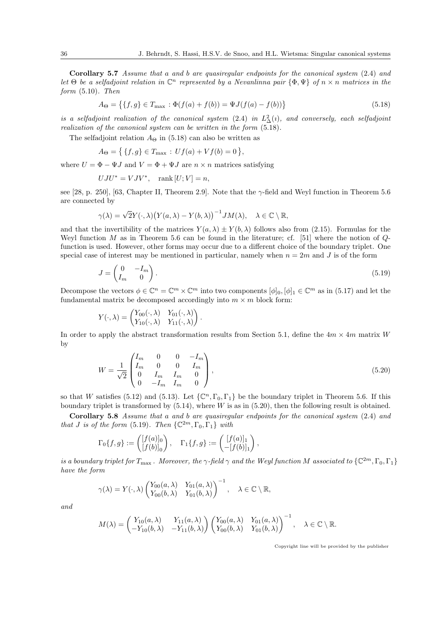Corollary 5.7 Assume that a and b are quasiregular endpoints for the canonical system (2.4) and let  $\Theta$  be a selfadjoint relation in  $\mathbb{C}^n$  represented by a Nevanlinna pair  $\{\Phi, \Psi\}$  of  $n \times n$  matrices in the form (5.10). Then

$$
A_{\Theta} = \{ \{f, g\} \in T_{\text{max}} : \Phi(f(a) + f(b)) = \Psi J(f(a) - f(b)) \}
$$
\n(5.18)

is a selfadjoint realization of the canonical system  $(2.4)$  in  $L^2_{\Delta}(i)$ , and conversely, each selfadjoint realization of the canonical system can be written in the form (5.18).

The selfadjoint relation  $A_{\Theta}$  in (5.18) can also be written as

$$
A_{\Theta} = \{ \{f, g\} \in T_{\text{max}} : Uf(a) + Vf(b) = 0 \},
$$

where  $U = \Phi - \Psi J$  and  $V = \Phi + \Psi J$  are  $n \times n$  matrices satisfying

$$
UJU^* = VJV^*, \quad \text{rank}[U;V] = n,
$$

see [28, p. 250], [63, Chapter II, Theorem 2.9]. Note that the γ-field and Weyl function in Theorem 5.6 are connected by

$$
\gamma(\lambda) = \sqrt{2}Y(\cdot, \lambda)\big(Y(a, \lambda) - Y(b, \lambda)\big)^{-1}JM(\lambda), \quad \lambda \in \mathbb{C} \setminus \mathbb{R},
$$

and that the invertibility of the matrices  $Y(a, \lambda) \pm Y(b, \lambda)$  follows also from (2.15). Formulas for the Weyl function  $M$  as in Theorem 5.6 can be found in the literature; cf. [51] where the notion of  $Q$ function is used. However, other forms may occur due to a different choice of the boundary triplet. One special case of interest may be mentioned in particular, namely when  $n = 2m$  and J is of the form

$$
J = \begin{pmatrix} 0 & -I_m \\ I_m & 0 \end{pmatrix} . \tag{5.19}
$$

Decompose the vectors  $\phi \in \mathbb{C}^n = \mathbb{C}^m \times \mathbb{C}^m$  into two components  $[\phi]_0, [\phi]_1 \in \mathbb{C}^m$  as in (5.17) and let the fundamental matrix be decomposed accordingly into  $m \times m$  block form:

$$
Y(\cdot,\lambda)=\begin{pmatrix}Y_{00}(\cdot,\lambda)&Y_{01}(\cdot,\lambda)\\Y_{10}(\cdot,\lambda)&Y_{11}(\cdot,\lambda)\end{pmatrix}.
$$

In order to apply the abstract transformation results from Section 5.1, define the  $4m \times 4m$  matrix W by

$$
W = \frac{1}{\sqrt{2}} \begin{pmatrix} I_m & 0 & 0 & -I_m \\ I_m & 0 & 0 & I_m \\ 0 & I_m & I_m & 0 \\ 0 & -I_m & I_m & 0 \end{pmatrix},
$$
(5.20)

so that W satisfies (5.12) and (5.13). Let  $\{\mathbb{C}^n, \Gamma_0, \Gamma_1\}$  be the boundary triplet in Theorem 5.6. If this boundary triplet is transformed by  $(5.14)$ , where W is as in  $(5.20)$ , then the following result is obtained.

Corollary 5.8 Assume that a and b are quasiregular endpoints for the canonical system (2.4) and that J is of the form (5.19). Then  $\{ \mathbb{C}^{2m}, \Gamma_0, \Gamma_1 \}$  with

$$
\Gamma_0\{f,g\} := \begin{pmatrix} [f(a)]_0 \\ [f(b)]_0 \end{pmatrix}, \quad \Gamma_1\{f,g\} := \begin{pmatrix} [f(a)]_1 \\ -[f(b)]_1 \end{pmatrix},
$$

is a boundary triplet for  $T_{\max}$ . Moreover, the  $\gamma$ -field  $\gamma$  and the Weyl function M associated to  $\{ \mathbb{C}^{2m}, \Gamma_0, \Gamma_1 \}$ have the form

$$
\gamma(\lambda) = Y(\cdot, \lambda) \begin{pmatrix} Y_{00}(a, \lambda) & Y_{01}(a, \lambda) \\ Y_{00}(b, \lambda) & Y_{01}(b, \lambda) \end{pmatrix}^{-1}, \quad \lambda \in \mathbb{C} \setminus \mathbb{R},
$$

and

$$
M(\lambda) = \begin{pmatrix} Y_{10}(a,\lambda) & Y_{11}(a,\lambda) \\ -Y_{10}(b,\lambda) & -Y_{11}(b,\lambda) \end{pmatrix} \begin{pmatrix} Y_{00}(a,\lambda) & Y_{01}(a,\lambda) \\ Y_{00}(b,\lambda) & Y_{01}(b,\lambda) \end{pmatrix}^{-1}, \quad \lambda \in \mathbb{C} \setminus \mathbb{R}.
$$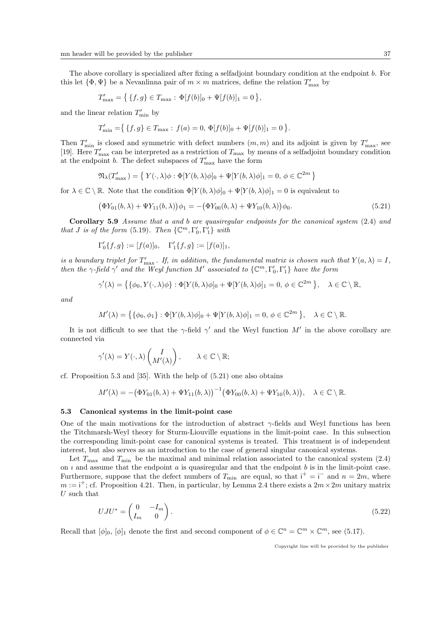The above corollary is specialized after fixing a selfadjoint boundary condition at the endpoint b. For this let  $\{\Phi, \Psi\}$  be a Nevanlinna pair of  $m \times m$  matrices, define the relation  $T'_{\text{max}}$  by

$$
T'_{\max} = \{ \{f, g\} \in T_{\max} : \Phi[f(b)]_0 + \Psi[f(b)]_1 = 0 \},
$$

and the linear relation  $T'_{\min}$  by

$$
T'_{\min} = \{ \{f, g\} \in T_{\max} : f(a) = 0, \, \Phi[f(b)]_0 + \Psi[f(b)]_1 = 0 \}.
$$

Then  $T'_{\min}$  is closed and symmetric with defect numbers  $(m, m)$  and its adjoint is given by  $T'_{\max}$ , see [19]. Here  $T'_{\text{max}}$  can be interpreted as a restriction of  $T_{\text{max}}$  by means of a selfadjoint boundary condition at the endpoint *b*. The defect subspaces of  $T'_{\text{max}}$  have the form

$$
\mathfrak{N}_{\lambda}(T'_{\max}) = \{ Y(\cdot, \lambda)\phi : \Phi[Y(b, \lambda)\phi]_0 + \Psi[Y(b, \lambda)\phi]_1 = 0, \phi \in \mathbb{C}^{2m} \}
$$

for  $\lambda \in \mathbb{C} \setminus \mathbb{R}$ . Note that the condition  $\Phi[Y(b,\lambda)\phi]_0 + \Psi[Y(b,\lambda)\phi]_1 = 0$  is equivalent to

$$
(\Phi Y_{01}(b,\lambda) + \Psi Y_{11}(b,\lambda))\phi_1 = -(\Phi Y_{00}(b,\lambda) + \Psi Y_{10}(b,\lambda))\phi_0.
$$
\n(5.21)

Corollary 5.9 Assume that a and b are quasiregular endpoints for the canonical system (2.4) and that *J* is of the form (5.19). Then  $\{ \mathbb{C}^m, \Gamma'_0, \Gamma'_1 \}$  with

$$
\Gamma'_0\{f,g\} := [f(a)]_0, \quad \Gamma'_1\{f,g\} := [f(a)]_1,
$$

is a boundary triplet for  $T'_{\text{max}}$ . If, in addition, the fundamental matrix is chosen such that  $Y(a,\lambda) = I$ , then the  $\gamma$ -field  $\gamma'$  and the Weyl function M' associated to  $\{\mathbb{C}^m,\Gamma'_0,\Gamma'_1\}$  have the form

$$
\gamma'(\lambda) = \left\{ \{\phi_0, Y(\cdot, \lambda)\phi\} : \Phi[Y(b, \lambda)\phi]_0 + \Psi[Y(b, \lambda)\phi]_1 = 0, \ \phi \in \mathbb{C}^{2m} \right\}, \quad \lambda \in \mathbb{C} \setminus \mathbb{R},
$$

and

$$
M'(\lambda) = \left\{ \{\phi_0, \phi_1\} : \Phi[Y(b, \lambda)\phi]_0 + \Psi[Y(b, \lambda)\phi]_1 = 0, \ \phi \in \mathbb{C}^{2m} \right\}, \quad \lambda \in \mathbb{C} \setminus \mathbb{R}.
$$

It is not difficult to see that the  $\gamma$ -field  $\gamma'$  and the Weyl function M' in the above corollary are connected via

$$
\gamma'(\lambda) = Y(\cdot, \lambda) \begin{pmatrix} I \\ M'(\lambda) \end{pmatrix}, \qquad \lambda \in \mathbb{C} \setminus \mathbb{R};
$$

cf. Proposition 5.3 and [35]. With the help of (5.21) one also obtains

$$
M'(\lambda) = -(\Phi Y_{01}(b,\lambda) + \Psi Y_{11}(b,\lambda))^{-1}(\Phi Y_{00}(b,\lambda) + \Psi Y_{10}(b,\lambda)), \quad \lambda \in \mathbb{C} \setminus \mathbb{R}.
$$

### 5.3 Canonical systems in the limit-point case

One of the main motivations for the introduction of abstract  $\gamma$ -fields and Weyl functions has been the Titchmarsh-Weyl theory for Sturm-Liouville equations in the limit-point case. In this subsection the corresponding limit-point case for canonical systems is treated. This treatment is of independent interest, but also serves as an introduction to the case of general singular canonical systems.

Let  $T_{\text{max}}$  and  $T_{\text{min}}$  be the maximal and minimal relation associated to the canonical system (2.4) on  $i$  and assume that the endpoint  $a$  is quasiregular and that the endpoint  $b$  is in the limit-point case. Furthermore, suppose that the defect numbers of  $T_{\min}$  are equal, so that  $i^+ = i^-$  and  $n = 2m$ , where  $m := i^{+}$ ; cf. Proposition 4.21. Then, in particular, by Lemma 2.4 there exists a  $2m \times 2m$  unitary matrix  $U$  such that

$$
UJU^* = \begin{pmatrix} 0 & -I_m \\ I_m & 0 \end{pmatrix}.
$$
\n(5.22)

Recall that  $[\phi]_0$ ,  $[\phi]_1$  denote the first and second component of  $\phi \in \mathbb{C}^n = \mathbb{C}^m \times \mathbb{C}^m$ , see (5.17).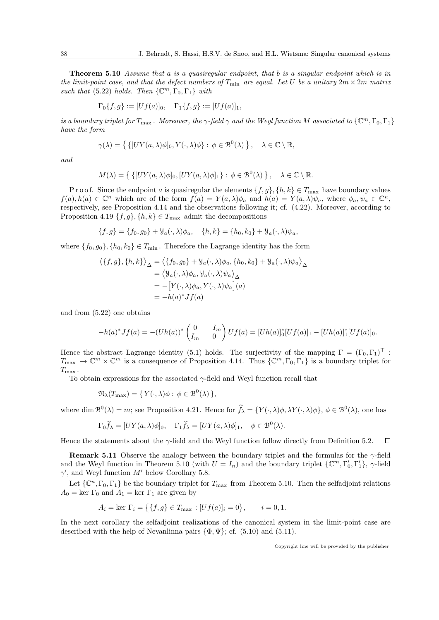Theorem 5.10 Assume that a is a quasiregular endpoint, that b is a singular endpoint which is in the limit-point case, and that the defect numbers of  $T_{\min}$  are equal. Let U be a unitary  $2m \times 2m$  matrix such that (5.22) holds. Then  $\{\mathbb{C}^m, \Gamma_0, \Gamma_1\}$  with

$$
\Gamma_0\{f,g\} := [Uf(a)]_0, \quad \Gamma_1\{f,g\} := [Uf(a)]_1,
$$

is a boundary triplet for  $T_{\max}$ . Moreover, the  $\gamma$ -field  $\gamma$  and the Weyl function M associated to  $\{ \mathbb{C}^m, \Gamma_0, \Gamma_1 \}$ have the form

$$
\gamma(\lambda) = \left\{ \left\{ [UY(a,\lambda)\phi]_0, Y(\cdot,\lambda)\phi \right\} : \phi \in \mathcal{B}^0(\lambda) \right\}, \quad \lambda \in \mathbb{C} \setminus \mathbb{R},
$$

and

$$
M(\lambda) = \left\{ \left\{ [UY(a, \lambda)\phi]_0, [UY(a, \lambda)\phi]_1 \right\} : \phi \in \mathcal{B}^0(\lambda) \right\}, \quad \lambda \in \mathbb{C} \setminus \mathbb{R}.
$$

P r o o f. Since the endpoint a is quasiregular the elements  $\{f, g\}, \{h, k\} \in T_{\text{max}}$  have boundary values  $f(a), h(a) \in \mathbb{C}^n$  which are of the form  $f(a) = Y(a, \lambda)\phi_a$  and  $h(a) = Y(a, \lambda)\psi_a$ , where  $\phi_a, \psi_a \in \mathbb{C}^n$ , respectively, see Proposition 4.14 and the observations following it; cf. (4.22). Moreover, according to Proposition 4.19  $\{f, g\}, \{h, k\} \in T_{\text{max}}$  admit the decompositions

$$
\{f, g\} = \{f_0, g_0\} + \mathcal{Y}_a(\cdot, \lambda)\phi_a, \quad \{h, k\} = \{h_0, k_0\} + \mathcal{Y}_a(\cdot, \lambda)\psi_a,
$$

where  $\{f_0, g_0\}, \{h_0, k_0\} \in T_{\min}$ . Therefore the Lagrange identity has the form

$$
\langle \{f,g\}, \{h,k\} \rangle_{\Delta} = \langle \{f_0, g_0\} + \mathcal{Y}_a(\cdot, \lambda)\phi_a, \{h_0, k_0\} + \mathcal{Y}_a(\cdot, \lambda)\psi_a \rangle_{\Delta}
$$
  
=  $\langle \mathcal{Y}_a(\cdot, \lambda)\phi_a, \mathcal{Y}_a(\cdot, \lambda)\psi_a \rangle_{\Delta}$   
=  $-[Y(\cdot, \lambda)\phi_a, Y(\cdot, \lambda)\psi_a](a)$   
=  $-h(a)^* Jf(a)$ 

and from (5.22) one obtains

$$
-h(a)^* Jf(a) = -(Uh(a))^* \begin{pmatrix} 0 & -I_m \ I_m & 0 \end{pmatrix} Uf(a) = [Uh(a)]_0^* [Uf(a)]_1 - [Uh(a)]_1^* [Uf(a)]_0.
$$

Hence the abstract Lagrange identity (5.1) holds. The surjectivity of the mapping  $\Gamma = (\Gamma_0, \Gamma_1)^T$ :  $T_{\max} \to \mathbb{C}^m \times \mathbb{C}^m$  is a consequence of Proposition 4.14. Thus  $\{\mathbb{C}^m,\Gamma_0,\Gamma_1\}$  is a boundary triplet for  $T_{\rm max}$ .

To obtain expressions for the associated  $\gamma$ -field and Weyl function recall that

$$
\mathfrak{N}_{\lambda}(T_{\max}) = \{ Y(\cdot, \lambda)\phi : \phi \in \mathcal{B}^{0}(\lambda) \},
$$

 $\mathcal{L}^{\text{max}}$ 

where dim  $\mathcal{B}^0(\lambda) = m$ ; see Proposition 4.21. Hence for  $\hat{f}_{\lambda} = \{Y(\cdot,\lambda)\phi,\lambda Y(\cdot,\lambda)\phi\}, \phi \in \mathcal{B}^0(\lambda)$ , one has

$$
\Gamma_0 \widehat{f}_{\lambda} = [UY(a, \lambda)\phi]_0, \quad \Gamma_1 \widehat{f}_{\lambda} = [UY(a, \lambda)\phi]_1, \quad \phi \in \mathcal{B}^0(\lambda).
$$

Hence the statements about the  $\gamma$ -field and the Weyl function follow directly from Definition 5.2.  $\Box$ 

**Remark 5.11** Observe the analogy between the boundary triplet and the formulas for the  $\gamma$ -field and the Weyl function in Theorem 5.10 (with  $U = I_n$ ) and the boundary triplet  $\{\mathbb{C}^m, \Gamma'_0, \Gamma'_1\}, \gamma$ -field  $\gamma'$ , and Weyl function M' below Corollary 5.8.

Let  $\{\mathbb{C}^n,\Gamma_0,\Gamma_1\}$  be the boundary triplet for  $T_{\text{max}}$  from Theorem 5.10. Then the selfadjoint relations  $A_0 = \text{ker } \Gamma_0$  and  $A_1 = \text{ker } \Gamma_1$  are given by

$$
A_i = \ker \Gamma_i = \{ \{ f, g \} \in T_{\max} : [Uf(a)]_i = 0 \}, \quad i = 0, 1.
$$

In the next corollary the selfadjoint realizations of the canonical system in the limit-point case are described with the help of Nevanlinna pairs  $\{\Phi, \Psi\}$ ; cf. (5.10) and (5.11).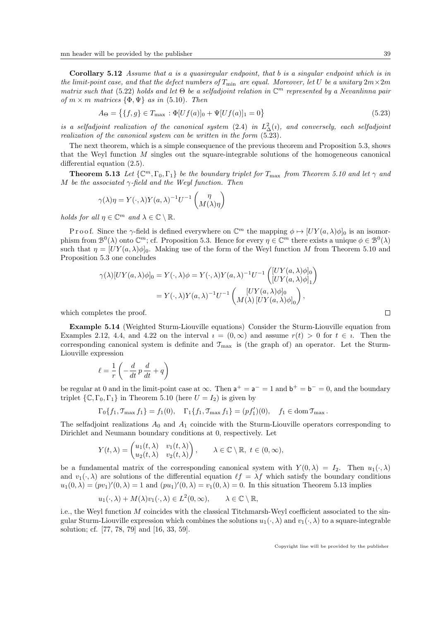Corollary 5.12 Assume that a is a quasiregular endpoint, that b is a singular endpoint which is in the limit-point case, and that the defect numbers of  $T_{\min}$  are equal. Moreover, let U be a unitary  $2m \times 2m$ matrix such that (5.22) holds and let  $\Theta$  be a selfadjoint relation in  $\mathbb{C}^m$  represented by a Nevanlinna pair of  $m \times m$  matrices  $\{\Phi, \Psi\}$  as in (5.10). Then

$$
A_{\Theta} = \{ \{f, g\} \in T_{\text{max}} : \Phi[Uf(a)]_0 + \Psi[Uf(a)]_1 = 0 \}
$$
\n(5.23)

is a selfadjoint realization of the canonical system  $(2.4)$  in  $L^2_{\Delta}(i)$ , and conversely, each selfadjoint realization of the canonical system can be written in the form (5.23).

The next theorem, which is a simple consequence of the previous theorem and Proposition 5.3, shows that the Weyl function M singles out the square-integrable solutions of the homogeneous canonical differential equation (2.5).

**Theorem 5.13** Let  $\{ \mathbb{C}^m, \Gamma_0, \Gamma_1 \}$  be the boundary triplet for  $T_{\text{max}}$  from Theorem 5.10 and let  $\gamma$  and M be the associated  $\gamma$ -field and the Weyl function. Then

$$
\gamma(\lambda)\eta = Y(\cdot, \lambda)Y(a, \lambda)^{-1}U^{-1}\begin{pmatrix} \eta \\ M(\lambda)\eta \end{pmatrix}
$$

holds for all  $\eta \in \mathbb{C}^m$  and  $\lambda \in \mathbb{C} \setminus \mathbb{R}$ .

Proof. Since the  $\gamma$ -field is defined everywhere on  $\mathbb{C}^m$  the mapping  $\phi \mapsto [UY(a,\lambda)\phi]_0$  is an isomorphism from  $\mathcal{B}^0(\lambda)$  onto  $\mathbb{C}^m$ ; cf. Proposition 5.3. Hence for every  $\eta \in \mathbb{C}^m$  there exists a unique  $\phi \in \mathcal{B}^0(\lambda)$ such that  $\eta = [UY(a, \lambda)\phi]_0$ . Making use of the form of the Weyl function M from Theorem 5.10 and Proposition 5.3 one concludes

$$
\gamma(\lambda)[UY(a,\lambda)\phi]_0 = Y(\cdot,\lambda)\phi = Y(\cdot,\lambda)Y(a,\lambda)^{-1}U^{-1}\begin{pmatrix} [UY(a,\lambda)\phi]_0 \\ [UY(a,\lambda)\phi]_1 \end{pmatrix}
$$

$$
= Y(\cdot,\lambda)Y(a,\lambda)^{-1}U^{-1}\begin{pmatrix} [UY(a,\lambda)\phi]_0 \\ M(\lambda) [UY(a,\lambda)\phi]_0 \end{pmatrix},
$$

which completes the proof.

Example 5.14 (Weighted Sturm-Liouville equations) Consider the Sturm-Liouville equation from Examples 2.12, 4.4, and 4.22 on the interval  $i = (0, \infty)$  and assume  $r(t) > 0$  for  $t \in i$ . Then the corresponding canonical system is definite and  $\mathcal{T}_{\text{max}}$  is (the graph of) an operator. Let the Sturm-Liouville expression

$$
\ell = \frac{1}{r} \left( -\frac{d}{dt} p \frac{d}{dt} + q \right)
$$

be regular at 0 and in the limit-point case at  $\infty$ . Then  $a^+ = a^- = 1$  and  $b^+ = b^- = 0$ , and the boundary triplet  $\{C, \Gamma_0, \Gamma_1\}$  in Theorem 5.10 (here  $U = I_2$ ) is given by

$$
\Gamma_0\{f_1, \mathfrak{T}_{\max} f_1\} = f_1(0), \quad \Gamma_1\{f_1, \mathfrak{T}_{\max} f_1\} = (pf'_1)(0), \quad f_1 \in \text{dom}\,\mathfrak{T}_{\max}.
$$

The selfadjoint realizations  $A_0$  and  $A_1$  coincide with the Sturm-Liouville operators corresponding to Dirichlet and Neumann boundary conditions at 0, respectively. Let

$$
Y(t,\lambda) = \begin{pmatrix} u_1(t,\lambda) & v_1(t,\lambda) \\ u_2(t,\lambda) & v_2(t,\lambda) \end{pmatrix}, \quad \lambda \in \mathbb{C} \setminus \mathbb{R}, \ t \in (0,\infty),
$$

be a fundamental matrix of the corresponding canonical system with  $Y(0, \lambda) = I_2$ . Then  $u_1(\cdot, \lambda)$ and  $v_1(\cdot, \lambda)$  are solutions of the differential equation  $\ell f = \lambda f$  which satisfy the boundary conditions  $u_1(0,\lambda) = (pv_1)'(0,\lambda) = 1$  and  $(pu_1)'(0,\lambda) = v_1(0,\lambda) = 0$ . In this situation Theorem 5.13 implies

$$
u_1(\cdot, \lambda) + M(\lambda)v_1(\cdot, \lambda) \in L^2(0, \infty), \quad \lambda \in \mathbb{C} \setminus \mathbb{R},
$$

i.e., the Weyl function M coincides with the classical Titchmarsh-Weyl coefficient associated to the singular Sturm-Liouville expression which combines the solutions  $u_1(\cdot, \lambda)$  and  $v_1(\cdot, \lambda)$  to a square-integrable solution; cf. [77, 78, 79] and [16, 33, 59].

Copyright line will be provided by the publisher

 $\Box$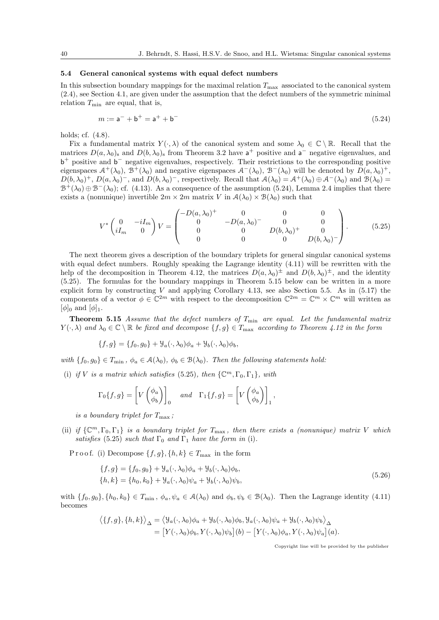#### 5.4 General canonical systems with equal defect numbers

In this subsection boundary mappings for the maximal relation  $T_{\text{max}}$  associated to the canonical system (2.4), see Section 4.1, are given under the assumption that the defect numbers of the symmetric minimal relation  $T_{\min}$  are equal, that is,

$$
m := \mathsf{a}^- + \mathsf{b}^+ = \mathsf{a}^+ + \mathsf{b}^- \tag{5.24}
$$

holds; cf. (4.8).

Fix a fundamental matrix  $Y(\cdot, \lambda)$  of the canonical system and some  $\lambda_0 \in \mathbb{C} \setminus \mathbb{R}$ . Recall that the matrices  $D(a, \lambda_0)$  and  $D(b, \lambda_0)$  from Theorem 3.2 have  $a^+$  positive and  $a^-$  negative eigenvalues, and b<sup>+</sup> positive and b<sup>-</sup> negative eigenvalues, respectively. Their restrictions to the corresponding positive eigenspaces  $\mathcal{A}^+(\lambda_0)$ ,  $\mathcal{B}^+(\lambda_0)$  and negative eigenspaces  $\mathcal{A}^-(\lambda_0)$ ,  $\mathcal{B}^-(\lambda_0)$  will be denoted by  $D(a,\lambda_0)^+$ ,  $D(b, \lambda_0)^+$ ,  $D(a, \lambda_0)^-$ , and  $D(b, \lambda_0)^-$ , respectively. Recall that  $\mathcal{A}(\lambda_0) = \mathcal{A}^+(\lambda_0) \oplus \mathcal{A}^-(\lambda_0)$  and  $\mathcal{B}(\lambda_0) =$  $\mathcal{B}^+(\lambda_0) \oplus \mathcal{B}^-(\lambda_0)$ ; cf. (4.13). As a consequence of the assumption (5.24), Lemma 2.4 implies that there exists a (nonunique) invertible  $2m \times 2m$  matrix V in  $\mathcal{A}(\lambda_0) \times \mathcal{B}(\lambda_0)$  such that

$$
V^* \begin{pmatrix} 0 & -iI_m \\ iI_m & 0 \end{pmatrix} V = \begin{pmatrix} -D(a,\lambda_0)^+ & 0 & 0 & 0 \\ 0 & -D(a,\lambda_0)^- & 0 & 0 \\ 0 & 0 & D(b,\lambda_0)^+ & 0 \\ 0 & 0 & 0 & D(b,\lambda_0)^- \end{pmatrix}.
$$
 (5.25)

The next theorem gives a description of the boundary triplets for general singular canonical systems with equal defect numbers. Roughly speaking the Lagrange identity  $(4.11)$  will be rewritten with the help of the decomposition in Theorem 4.12, the matrices  $D(a,\lambda_0)^{\pm}$  and  $D(b,\lambda_0)^{\pm}$ , and the identity (5.25). The formulas for the boundary mappings in Theorem 5.15 below can be written in a more explicit form by constructing V and applying Corollary 4.13, see also Section 5.5. As in  $(5.17)$  the components of a vector  $\phi \in \mathbb{C}^{2m}$  with respect to the decomposition  $\mathbb{C}^{2m} = \mathbb{C}^m \times \mathbb{C}^m$  will written as  $[\phi]_0$  and  $[\phi]_1$ .

**Theorem 5.15** Assume that the defect numbers of  $T_{\min}$  are equal. Let the fundamental matrix  $Y(\cdot, \lambda)$  and  $\lambda_0 \in \mathbb{C} \setminus \mathbb{R}$  be fixed and decompose  $\{f, g\} \in T_{\text{max}}$  according to Theorem 4.12 in the form

$$
\{f,g\} = \{f_0,g_0\} + \mathcal{Y}_a(\cdot,\lambda_0)\phi_a + \mathcal{Y}_b(\cdot,\lambda_0)\phi_b,
$$

with  $\{f_0, g_0\} \in T_{\min}$ ,  $\phi_a \in \mathcal{A}(\lambda_0)$ ,  $\phi_b \in \mathcal{B}(\lambda_0)$ . Then the following statements hold:

(i) if V is a matrix which satisfies (5.25), then  $\{\mathbb{C}^m, \Gamma_0, \Gamma_1\}$ , with

$$
\Gamma_0\{f,g\} = \left[V\begin{pmatrix} \phi_a \\ \phi_b \end{pmatrix}\right]_0 \quad and \quad \Gamma_1\{f,g\} = \left[V\begin{pmatrix} \phi_a \\ \phi_b \end{pmatrix}\right]_1,
$$

is a boundary triplet for  $T_{\text{max}}$ ;

(ii) if  $\{ \mathbb{C}^m, \Gamma_0, \Gamma_1 \}$  is a boundary triplet for  $T_{\text{max}}$ , then there exists a (nonunique) matrix V which satisfies (5.25) such that  $\Gamma_0$  and  $\Gamma_1$  have the form in (i).

P r o o f. (i) Decompose  $\{f, g\}, \{h, k\} \in T_{\text{max}}$  in the form

$$
\{f,g\} = \{f_0, g_0\} + \mathcal{Y}_a(\cdot, \lambda_0)\phi_a + \mathcal{Y}_b(\cdot, \lambda_0)\phi_b, \{h,k\} = \{h_0, k_0\} + \mathcal{Y}_a(\cdot, \lambda_0)\psi_a + \mathcal{Y}_b(\cdot, \lambda_0)\psi_b,
$$
\n(5.26)

with  $\{f_0, g_0\}, \{h_0, k_0\} \in T_{\min}$ ,  $\phi_a, \psi_a \in \mathcal{A}(\lambda_0)$  and  $\phi_b, \psi_b \in \mathcal{B}(\lambda_0)$ . Then the Lagrange identity (4.11) becomes

$$
\langle \{f,g\}, \{h,k\} \rangle_{\Delta} = \langle \mathcal{Y}_a(\cdot,\lambda_0)\phi_a + \mathcal{Y}_b(\cdot,\lambda_0)\phi_b, \mathcal{Y}_a(\cdot,\lambda_0)\psi_a + \mathcal{Y}_b(\cdot,\lambda_0)\psi_b \rangle_{\Delta}
$$
  
= 
$$
[Y(\cdot,\lambda_0)\phi_b, Y(\cdot,\lambda_0)\psi_b](b) - [Y(\cdot,\lambda_0)\phi_a, Y(\cdot,\lambda_0)\psi_a](a).
$$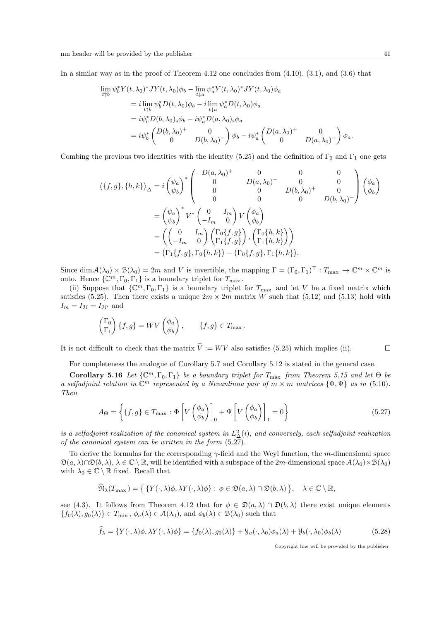In a similar way as in the proof of Theorem 4.12 one concludes from  $(4.10)$ ,  $(3.1)$ , and  $(3.6)$  that

$$
\lim_{t \uparrow b} \psi_b^* Y(t, \lambda_0)^* JY(t, \lambda_0) \phi_b - \lim_{t \downarrow a} \psi_a^* Y(t, \lambda_0)^* JY(t, \lambda_0) \phi_a
$$
\n
$$
= i \lim_{t \uparrow b} \psi_b^* D(t, \lambda_0) \phi_b - i \lim_{t \downarrow a} \psi_a^* D(t, \lambda_0) \phi_a
$$
\n
$$
= i \psi_b^* D(b, \lambda_0)_s \phi_b - i \psi_a^* D(a, \lambda_0)_s \phi_a
$$
\n
$$
= i \psi_b^* \begin{pmatrix} D(b, \lambda_0)^+ & 0 \\ 0 & D(b, \lambda_0)^- \end{pmatrix} \phi_b - i \psi_a^* \begin{pmatrix} D(a, \lambda_0)^+ & 0 \\ 0 & D(a, \lambda_0)^- \end{pmatrix} \phi_a.
$$

Combing the previous two identities with the identity (5.25) and the definition of  $\Gamma_0$  and  $\Gamma_1$  one gets

$$
\langle \{f,g\},\{h,k\} \rangle_{\Delta} = i \begin{pmatrix} \psi_a \\ \psi_b \end{pmatrix}^* \begin{pmatrix} -D(a,\lambda_0)^+ & 0 & 0 & 0 \\ 0 & -D(a,\lambda_0)^- & 0 & 0 \\ 0 & 0 & D(b,\lambda_0)^+ & 0 \\ 0 & 0 & 0 & D(b,\lambda_0)^- \end{pmatrix} \begin{pmatrix} \phi_a \\ \phi_b \end{pmatrix}
$$
  
= 
$$
\begin{pmatrix} \psi_a \\ \psi_b \end{pmatrix}^* V^* \begin{pmatrix} 0 & I_m \\ -I_m & 0 \end{pmatrix} V \begin{pmatrix} \phi_a \\ \phi_b \end{pmatrix}
$$
  
= 
$$
\begin{pmatrix} 0 & I_m \\ -I_m & 0 \end{pmatrix} \begin{pmatrix} \Gamma_0\{f,g\} \\ \Gamma_1\{f,g\} \end{pmatrix}, \begin{pmatrix} \Gamma_0\{h,k\} \\ \Gamma_1\{h,k\} \end{pmatrix} \end{pmatrix}
$$
  
= 
$$
(\Gamma_1\{f,g\},\Gamma_0\{h,k\}) - (\Gamma_0\{f,g\},\Gamma_1\{h,k\}).
$$

Since  $\dim \mathcal{A}(\lambda_0) \times \mathcal{B}(\lambda_0) = 2m$  and V is invertible, the mapping  $\Gamma = (\Gamma_0, \Gamma_1)^\top : T_{\max} \to \mathbb{C}^m \times \mathbb{C}^m$  is onto. Hence  $\{\mathbb{C}^m, \Gamma_0, \Gamma_1\}$  is a boundary triplet for  $T_{\text{max}}$ .

(ii) Suppose that  $\{\mathbb{C}^m,\Gamma_0,\Gamma_1\}$  is a boundary triplet for  $T_{\text{max}}$  and let V be a fixed matrix which satisfies (5.25). Then there exists a unique  $2m \times 2m$  matrix W such that (5.12) and (5.13) hold with  $I_m = I_{\mathcal{H}} = I_{\mathcal{H}'}$  and

$$
\begin{pmatrix} \Gamma_0 \\ \Gamma_1 \end{pmatrix} \{f, g\} = WV \begin{pmatrix} \phi_a \\ \phi_b \end{pmatrix}, \qquad \{f, g\} \in T_{\text{max}}.
$$

It is not difficult to check that the matrix  $\tilde{V} := W V$  also satisfies (5.25) which implies (ii).  $\Box$ 

For completeness the analogue of Corollary 5.7 and Corollary 5.12 is stated in the general case.

Corollary 5.16 Let  $\{\mathbb{C}^m,\Gamma_0,\Gamma_1\}$  be a boundary triplet for  $T_{\text{max}}$  from Theorem 5.15 and let  $\Theta$  be a selfadjoint relation in  $\mathbb{C}^m$  represented by a Nevanlinna pair of  $m \times m$  matrices  $\{\Phi, \Psi\}$  as in (5.10). Then

$$
A_{\Theta} = \left\{ \{f, g\} \in T_{\text{max}} : \Phi \left[ V \begin{pmatrix} \phi_a \\ \phi_b \end{pmatrix} \right]_0 + \Psi \left[ V \begin{pmatrix} \phi_a \\ \phi_b \end{pmatrix} \right]_1 = 0 \right\}
$$
(5.27)

is a selfadjoint realization of the canonical system in  $L^2_{\Delta}(i)$ , and conversely, each selfadjoint realization of the canonical system can be written in the form (5.27).

To derive the formulas for the corresponding  $\gamma$ -field and the Weyl function, the m-dimensional space  $\mathfrak{D}(a, \lambda)\cap\mathfrak{D}(b, \lambda), \lambda \in \mathbb{C}\setminus\mathbb{R}$ , will be identified with a subspace of the 2m-dimensional space  $\mathcal{A}(\lambda_0)\times\mathcal{B}(\lambda_0)$ with  $\lambda_0 \in \mathbb{C} \setminus \mathbb{R}$  fixed. Recall that

$$
\widehat{\mathfrak{N}}_{\lambda}(T_{\max}) = \{ \{ Y(\cdot, \lambda)\phi, \lambda Y(\cdot, \lambda)\phi \} : \phi \in \mathfrak{D}(a, \lambda) \cap \mathfrak{D}(b, \lambda) \}, \quad \lambda \in \mathbb{C} \setminus \mathbb{R},
$$

see (4.3). It follows from Theorem 4.12 that for  $\phi \in \mathfrak{D}(a,\lambda) \cap \mathfrak{D}(b,\lambda)$  there exist unique elements  ${f_0(\lambda), g_0(\lambda)} \in T_{\min}, \phi_a(\lambda) \in \mathcal{A}(\lambda_0), \text{ and } \phi_b(\lambda) \in \mathcal{B}(\lambda_0) \text{ such that}$ 

$$
\hat{f}_{\lambda} = \{ Y(\cdot, \lambda)\phi, \lambda Y(\cdot, \lambda)\phi \} = \{ f_0(\lambda), g_0(\lambda) \} + \mathcal{Y}_a(\cdot, \lambda_0)\phi_a(\lambda) + \mathcal{Y}_b(\cdot, \lambda_0)\phi_b(\lambda) \tag{5.28}
$$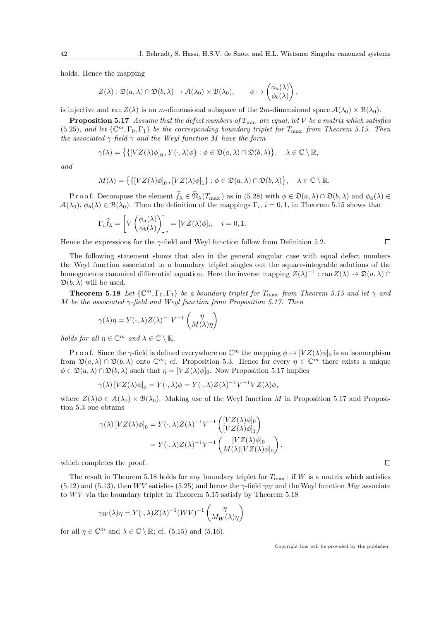holds. Hence the mapping

$$
Z(\lambda) : \mathfrak{D}(a,\lambda) \cap \mathfrak{D}(b,\lambda) \to \mathcal{A}(\lambda_0) \times \mathcal{B}(\lambda_0), \qquad \phi \mapsto \begin{pmatrix} \phi_a(\lambda) \\ \phi_b(\lambda) \end{pmatrix},
$$

is injective and ran  $Z(\lambda)$  is an m-dimensional subspace of the 2m-dimensional space  $\mathcal{A}(\lambda_0) \times \mathcal{B}(\lambda_0)$ .

**Proposition 5.17** Assume that the defect numbers of  $T_{\min}$  are equal, let V be a matrix which satisfies (5.25), and let  $\{\mathbb{C}^m,\Gamma_0,\Gamma_1\}$  be the corresponding boundary triplet for  $T_{\text{max}}$  from Theorem 5.15. Then the associated  $\gamma$ -field  $\gamma$  and the Weyl function M have the form

$$
\gamma(\lambda) = \big\{ \{ [VZ(\lambda)\phi]_0, Y(\cdot,\lambda)\phi \} : \phi \in \mathfrak{D}(a,\lambda) \cap \mathfrak{D}(b,\lambda) \big\}, \quad \lambda \in \mathbb{C} \setminus \mathbb{R},
$$

and

$$
M(\lambda) = \big\{ \{ [VZ(\lambda)\phi]_0, [VZ(\lambda)\phi]_1 \} : \phi \in \mathfrak{D}(a,\lambda) \cap \mathfrak{D}(b,\lambda) \big\}, \quad \lambda \in \mathbb{C} \setminus \mathbb{R}.
$$

Proof. Decompose the element  $\widehat{f}_\lambda \in \widehat{\mathfrak{N}}_\lambda(T_{\max})$  as in (5.28) with  $\phi \in \mathfrak{D}(a, \lambda) \cap \mathfrak{D}(b, \lambda)$  and  $\phi_a(\lambda) \in$  $A(\lambda_0), \phi_b(\lambda) \in B(\lambda_0)$ . Then the definition of the mappings  $\Gamma_i$ ,  $i = 0, 1$ , in Theorem 5.15 shows that

$$
\Gamma_i \widehat{f}_{\lambda} = \left[ V \begin{pmatrix} \phi_a(\lambda) \\ \phi_b(\lambda) \end{pmatrix} \right]_i = [VZ(\lambda)\phi]_i, \quad i = 0, 1.
$$

Hence the expressions for the  $\gamma$ -field and Weyl function follow from Definition 5.2.

 $\Box$ 

 $\Box$ 

The following statement shows that also in the general singular case with equal defect numbers the Weyl function associated to a boundary triplet singles out the square-integrable solutions of the homogeneous canonical differential equation. Here the inverse mapping  $Z(\lambda)^{-1}$ : ran  $Z(\lambda) \to \mathfrak{D}(a,\lambda) \cap$  $\mathfrak{D}(b,\lambda)$  will be used.

**Theorem 5.18** Let  $\{\mathbb{C}^m,\Gamma_0,\Gamma_1\}$  be a boundary triplet for  $T_{\text{max}}$  from Theorem 5.15 and let  $\gamma$  and M be the associated  $\gamma$ -field and Weyl function from Proposition 5.17. Then

$$
\gamma(\lambda)\eta = Y(\cdot, \lambda)Z(\lambda)^{-1}V^{-1}\begin{pmatrix} \eta \\ M(\lambda)\eta \end{pmatrix}
$$

holds for all  $\eta \in \mathbb{C}^m$  and  $\lambda \in \mathbb{C} \setminus \mathbb{R}$ .

P r o o f. Since the  $\gamma$ -field is defined everywhere on  $\mathbb{C}^m$  the mapping  $\phi \mapsto [VZ(\lambda)\phi]_0$  is an isomorphism from  $\mathfrak{D}(a,\lambda) \cap \mathfrak{D}(b,\lambda)$  onto  $\mathbb{C}^m$ ; cf. Proposition 5.3. Hence for every  $\eta \in \mathbb{C}^m$  there exists a unique  $\phi \in \mathfrak{D}(a, \lambda) \cap \mathfrak{D}(b, \lambda)$  such that  $\eta = [VZ(\lambda)\phi]_0$ . Now Proposition 5.17 implies

$$
\gamma(\lambda) \left[ VZ(\lambda)\phi \right]_0 = Y(\cdot, \lambda)\phi = Y(\cdot, \lambda)Z(\lambda)^{-1}V^{-1}VZ(\lambda)\phi,
$$

where  $Z(\lambda)\phi \in \mathcal{A}(\lambda_0) \times \mathcal{B}(\lambda_0)$ . Making use of the Weyl function M in Proposition 5.17 and Proposition 5.3 one obtains

$$
\gamma(\lambda) \left[ VZ(\lambda)\phi \right]_0 = Y(\cdot, \lambda)Z(\lambda)^{-1}V^{-1} \begin{pmatrix} \left[ VZ(\lambda)\phi \right]_0 \\ \left[ VZ(\lambda)\phi \right]_1 \end{pmatrix}
$$

$$
= Y(\cdot, \lambda)Z(\lambda)^{-1}V^{-1} \begin{pmatrix} \left[ VZ(\lambda)\phi \right]_0 \\ M(\lambda) \left[ VZ(\lambda)\phi \right]_0 \end{pmatrix},
$$

which completes the proof.

The result in Theorem 5.18 holds for any boundary triplet for  $T_{\text{max}}$ : if W is a matrix which satisfies (5.12) and (5.13), then WV satisfies (5.25) and hence the  $\gamma$ -field  $\gamma_W$  and the Weyl function  $M_W$  associate to  $WV$  via the boundary triplet in Theorem 5.15 satisfy by Theorem 5.18

$$
\gamma_W(\lambda)\eta = Y(\cdot, \lambda)Z(\lambda)^{-1}(WV)^{-1}\begin{pmatrix} \eta \\ M_W(\lambda)\eta \end{pmatrix}
$$

for all  $\eta \in \mathbb{C}^m$  and  $\lambda \in \mathbb{C} \setminus \mathbb{R}$ ; cf. (5.15) and (5.16).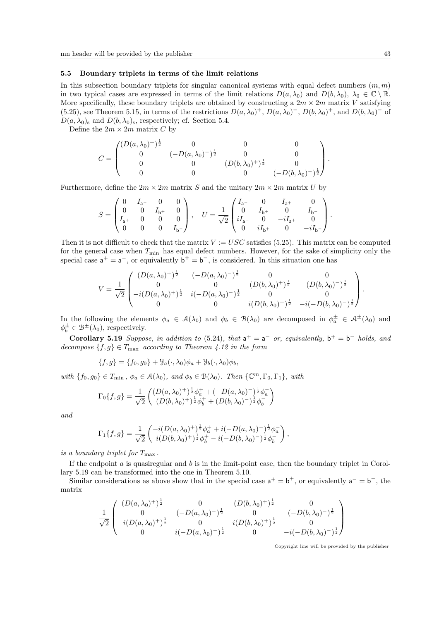#### 5.5 Boundary triplets in terms of the limit relations

In this subsection boundary triplets for singular canonical systems with equal defect numbers  $(m, m)$ in two typical cases are expressed in terms of the limit relations  $D(a, \lambda_0)$  and  $D(b, \lambda_0)$ ,  $\lambda_0 \in \mathbb{C} \setminus \mathbb{R}$ . More specifically, these boundary triplets are obtained by constructing a  $2m \times 2m$  matrix V satisfying (5.25), see Theorem 5.15, in terms of the restrictions  $D(a, \lambda_0)^+$ ,  $D(a, \lambda_0)^-$ ,  $D(b, \lambda_0)^+$ , and  $D(b, \lambda_0)^-$  of  $D(a, \lambda_0)$  and  $D(b, \lambda_0)$  s, respectively; cf. Section 5.4.

Define the  $2m \times 2m$  matrix C by

$$
C = \begin{pmatrix} (D(a,\lambda_0)^+)^{\frac{1}{2}} & 0 & 0 & 0 \\ 0 & (-D(a,\lambda_0)^-)^{\frac{1}{2}} & 0 & 0 \\ 0 & 0 & (D(b,\lambda_0)^+)^{\frac{1}{2}} & 0 \\ 0 & 0 & 0 & (-D(b,\lambda_0)^-)^{\frac{1}{2}} \end{pmatrix}.
$$

Furthermore, define the  $2m \times 2m$  matrix S and the unitary  $2m \times 2m$  matrix U by

$$
S = \begin{pmatrix} 0 & I_{\sf a^-} & 0 & 0 \\ 0 & 0 & I_{\sf b^+} & 0 \\ I_{\sf a^+} & 0 & 0 & 0 \\ 0 & 0 & 0 & I_{\sf b^-} \end{pmatrix}, \quad U = \frac{1}{\sqrt{2}} \begin{pmatrix} I_{\sf a^-} & 0 & I_{\sf a^+} & 0 \\ 0 & I_{\sf b^+} & 0 & I_{\sf b^-} \\ iI_{\sf a^-} & 0 & -iI_{\sf a^+} & 0 \\ 0 & iI_{\sf b^+} & 0 & -iI_{\sf b^-} \end{pmatrix}.
$$

Then it is not difficult to check that the matrix  $V := USC$  satisfies (5.25). This matrix can be computed for the general case when  $T_{\min}$  has equal defect numbers. However, for the sake of simplicity only the special case  $a^+ = a^-$ , or equivalently  $b^+ = b^-$ , is considered. In this situation one has

$$
V = \frac{1}{\sqrt{2}} \begin{pmatrix} (D(a,\lambda_0)^+)^{\frac{1}{2}} & (-D(a,\lambda_0)^-)^{\frac{1}{2}} & 0 & 0 \\ 0 & 0 & (D(b,\lambda_0)^+)^{\frac{1}{2}} & (D(b,\lambda_0)^-)^{\frac{1}{2}} \\ -i(D(a,\lambda_0)^+)^{\frac{1}{2}} & i(-D(a,\lambda_0)^-)^{\frac{1}{2}} & 0 & 0 \\ 0 & 0 & i(D(b,\lambda_0)^+)^{\frac{1}{2}} & -i(-D(b,\lambda_0)^-)^{\frac{1}{2}} \end{pmatrix}.
$$

In the following the elements  $\phi_a \in \mathcal{A}(\lambda_0)$  and  $\phi_b \in \mathcal{B}(\lambda_0)$  are decomposed in  $\phi_a^{\pm} \in \mathcal{A}^{\pm}(\lambda_0)$  and  $\phi_b^{\pm} \in \mathcal{B}^{\pm}(\lambda_0)$ , respectively.

Corollary 5.19 Suppose, in addition to (5.24), that  $a^+ = a^-$  or, equivalently,  $b^+ = b^-$  holds, and decompose  $\{f, g\} \in T_{\text{max}}$  according to Theorem 4.12 in the form

$$
\{f,g\} = \{f_0,g_0\} + \mathcal{Y}_a(\cdot,\lambda_0)\phi_a + \mathcal{Y}_b(\cdot,\lambda_0)\phi_b,
$$

with  $\{f_0, g_0\} \in T_{\min}$ ,  $\phi_a \in \mathcal{A}(\lambda_0)$ , and  $\phi_b \in \mathcal{B}(\lambda_0)$ . Then  $\{\mathbb{C}^m, \Gamma_0, \Gamma_1\}$ , with

$$
\Gamma_0\{f,g\} = \frac{1}{\sqrt{2}} \begin{pmatrix} (D(a,\lambda_0)^+)^{\frac{1}{2}}\phi_a^+ + (-D(a,\lambda_0)^-)^{\frac{1}{2}}\phi_a^-\\ (D(b,\lambda_0)^+)^{\frac{1}{2}}\phi_b^+ + (D(b,\lambda_0)^-)^{\frac{1}{2}}\phi_b^- \end{pmatrix}
$$

and

$$
\Gamma_1\{f,g\} = \frac{1}{\sqrt{2}} \begin{pmatrix} -i(D(a,\lambda_0)^+)^{\frac{1}{2}}\phi_a^+ + i(-D(a,\lambda_0)^-)^{\frac{1}{2}}\phi_a^-\\ i(D(b,\lambda_0)^+)^{\frac{1}{2}}\phi_b^+ - i(-D(b,\lambda_0)^-)^{\frac{1}{2}}\phi_b^- \end{pmatrix},
$$

is a boundary triplet for  $T_{\text{max}}$ .

If the endpoint  $a$  is quasiregular and  $b$  is in the limit-point case, then the boundary triplet in Corollary 5.19 can be transformed into the one in Theorem 5.10.

Similar considerations as above show that in the special case  $a^+ = b^+$ , or equivalently  $a^- = b^-$ , the matrix

$$
\frac{1}{\sqrt{2}}\begin{pmatrix}\n(D(a,\lambda_0)^+)^{\frac{1}{2}} & 0 & (D(b,\lambda_0)^+)^{\frac{1}{2}} & 0 \\
0 & (-D(a,\lambda_0)^-)^{\frac{1}{2}} & 0 & (-D(b,\lambda_0)^-)^{\frac{1}{2}} \\
-i(D(a,\lambda_0)^+)^{\frac{1}{2}} & 0 & i(D(b,\lambda_0)^+)^{\frac{1}{2}} & 0 \\
0 & i(-D(a,\lambda_0)^-)^{\frac{1}{2}} & 0 & -i(-D(b,\lambda_0)^-)^{\frac{1}{2}}\n\end{pmatrix}
$$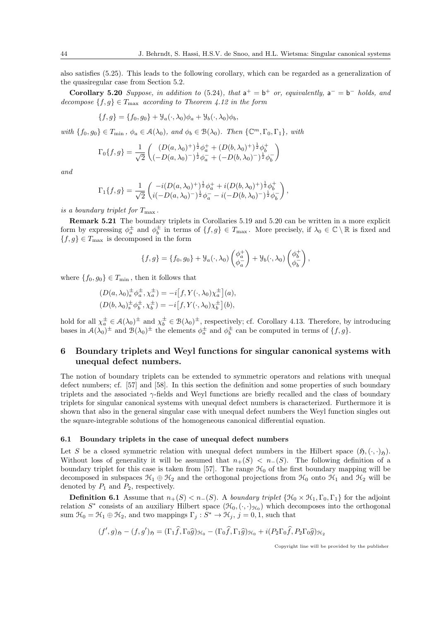also satisfies (5.25). This leads to the following corollary, which can be regarded as a generalization of the quasiregular case from Section 5.2.

Corollary 5.20 Suppose, in addition to (5.24), that  $a^+ = b^+$  or, equivalently,  $a^- = b^-$  holds, and decompose  $\{f, g\} \in T_{\text{max}}$  according to Theorem 4.12 in the form

$$
\{f,g\} = \{f_0,g_0\} + \mathcal{Y}_a(\cdot,\lambda_0)\phi_a + \mathcal{Y}_b(\cdot,\lambda_0)\phi_b,
$$

with  $\{f_0, g_0\} \in T_{\min}$ ,  $\phi_a \in \mathcal{A}(\lambda_0)$ , and  $\phi_b \in \mathcal{B}(\lambda_0)$ . Then  $\{\mathbb{C}^m, \Gamma_0, \Gamma_1\}$ , with

$$
\Gamma_0\{f,g\} = \frac{1}{\sqrt{2}} \begin{pmatrix} (D(a,\lambda_0)^+)^{\frac{1}{2}} \phi_a^+ + (D(b,\lambda_0)^+)^{\frac{1}{2}} \phi_b^+ \\ (-D(a,\lambda_0)^-)^{\frac{1}{2}} \phi_a^- + (-D(b,\lambda_0)^-)^{\frac{1}{2}} \phi_b^- \end{pmatrix}
$$

and

$$
\Gamma_1\{f,g\} = \frac{1}{\sqrt{2}} \begin{pmatrix} -i(D(a,\lambda_0)^+)^\frac{1}{2}\phi_a^+ + i(D(b,\lambda_0)^+)^\frac{1}{2}\phi_b^+\\ i(-D(a,\lambda_0)^-)^\frac{1}{2}\phi_a^- - i(-D(b,\lambda_0)^-)^\frac{1}{2}\phi_b^- \end{pmatrix},
$$

is a boundary triplet for  $T_{\text{max}}$ .

Remark 5.21 The boundary triplets in Corollaries 5.19 and 5.20 can be written in a more explicit form by expressing  $\phi_a^{\pm}$  and  $\phi_b^{\pm}$  in terms of  $\{f, g\} \in T_{\max}$ . More precisely, if  $\lambda_0 \in \mathbb{C} \setminus \mathbb{R}$  is fixed and  ${f, g} \in T_{\text{max}}$  is decomposed in the form

$$
\{f,g\} = \{f_0,g_0\} + \mathcal{Y}_a(\cdot,\lambda_0) \begin{pmatrix} \phi_a^+ \\ \phi_a^- \end{pmatrix} + \mathcal{Y}_b(\cdot,\lambda_0) \begin{pmatrix} \phi_b^+ \\ \phi_b^- \end{pmatrix},\
$$

where  $\{f_0, g_0\} \in T_{\min}$ , then it follows that

$$
(D(a, \lambda_0)_{\mathbf{s}}^{\pm} \phi_a^{\pm}, \chi_a^{\pm}) = -i[f, Y(\cdot, \lambda_0) \chi_a^{\pm}](a), (D(b, \lambda_0)_{\mathbf{s}}^{\pm} \phi_b^{\pm}, \chi_b^{\pm}) = -i[f, Y(\cdot, \lambda_0) \chi_b^{\pm}](b),
$$

hold for all  $\chi_a^{\pm} \in \mathcal{A}(\lambda_0)^{\pm}$  and  $\chi_b^{\pm} \in \mathcal{B}(\lambda_0)^{\pm}$ , respectively; cf. Corollary 4.13. Therefore, by introducing bases in  $\mathcal{A}(\lambda_0)^{\pm}$  and  $\mathcal{B}(\lambda_0)^{\pm}$  the elements  $\phi_a^{\pm}$  and  $\phi_b^{\pm}$  can be computed in terms of  $\{f, g\}$ .

# 6 Boundary triplets and Weyl functions for singular canonical systems with unequal defect numbers.

The notion of boundary triplets can be extended to symmetric operators and relations with unequal defect numbers; cf. [57] and [58]. In this section the definition and some properties of such boundary triplets and the associated γ-fields and Weyl functions are briefly recalled and the class of boundary triplets for singular canonical systems with unequal defect numbers is characterized. Furthermore it is shown that also in the general singular case with unequal defect numbers the Weyl function singles out the square-integrable solutions of the homogeneous canonical differential equation.

#### 6.1 Boundary triplets in the case of unequal defect numbers

Let S be a closed symmetric relation with unequal defect numbers in the Hilbert space  $(\mathfrak{H}, (\cdot, \cdot)_{\mathfrak{H}})$ . Without loss of generality it will be assumed that  $n_{+}(S) < n_{-}(S)$ . The following definition of a boundary triplet for this case is taken from [57]. The range  $\mathcal{H}_0$  of the first boundary mapping will be decomposed in subspaces  $\mathcal{H}_1 \oplus \mathcal{H}_2$  and the orthogonal projections from  $\mathcal{H}_0$  onto  $\mathcal{H}_1$  and  $\mathcal{H}_2$  will be denoted by  $P_1$  and  $P_2$ , respectively.

**Definition 6.1** Assume that  $n_{+}(S) < n_{-}(S)$ . A boundary triplet  $\{\mathcal{H}_0 \times \mathcal{H}_1, \Gamma_0, \Gamma_1\}$  for the adjoint relation  $S^*$  consists of an auxiliary Hilbert space  $(\mathcal{H}_0, (\cdot, \cdot)_{\mathcal{H}_0})$  which decomposes into the orthogonal sum  $\mathcal{H}_0 = \mathcal{H}_1 \oplus \mathcal{H}_2$ , and two mappings  $\Gamma_j : S^* \to \mathcal{H}_j$ ,  $j = 0, 1$ , such that

$$
(f', g)_{\mathfrak{H}} - (f, g')_{\mathfrak{H}} = (\Gamma_1 \widehat{f}, \Gamma_0 \widehat{g})_{\mathfrak{H}_0} - (\Gamma_0 \widehat{f}, \Gamma_1 \widehat{g})_{\mathfrak{H}_0} + i(P_2 \Gamma_0 \widehat{f}, P_2 \Gamma_0 \widehat{g})_{\mathfrak{H}_2}
$$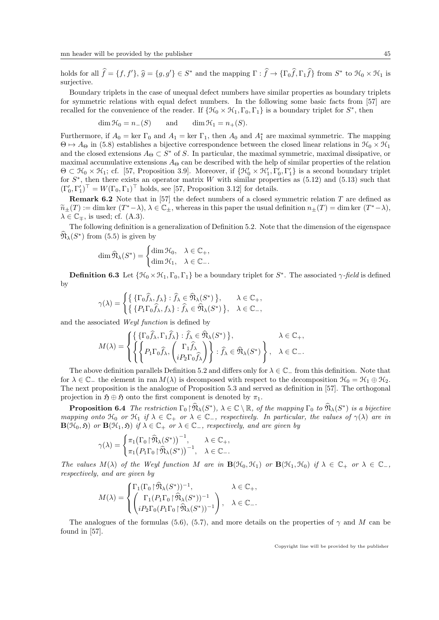holds for all  $\hat{f} = \{f, f'\}, \hat{g} = \{g, g'\} \in S^*$  and the mapping  $\Gamma : \hat{f} \to \{\Gamma_0 \hat{f}, \Gamma_1 \hat{f}\}$  from  $S^*$  to  $\mathfrak{H}_0 \times \mathfrak{H}_1$  is surjective.

Boundary triplets in the case of unequal defect numbers have similar properties as boundary triplets for symmetric relations with equal defect numbers. In the following some basic facts from [57] are recalled for the convenience of the reader. If  $\{\mathcal{H}_0 \times \mathcal{H}_1, \Gamma_0, \Gamma_1\}$  is a boundary triplet for  $S^*$ , then

$$
\dim \mathcal{H}_0 = n_-(S) \qquad \text{and} \qquad \dim \mathcal{H}_1 = n_+(S).
$$

Furthermore, if  $A_0 = \text{ker } \Gamma_0$  and  $A_1 = \text{ker } \Gamma_1$ , then  $A_0$  and  $A_1^*$  are maximal symmetric. The mapping  $\Theta \mapsto A_{\Theta}$  in (5.8) establishes a bijective correspondence between the closed linear relations in  $\mathcal{H}_0 \times \mathcal{H}_1$ and the closed extensions  $A_{\Theta} \subset S^*$  of S. In particular, the maximal symmetric, maximal dissipative, or maximal accumulative extensions  $A_{\Theta}$  can be described with the help of similar properties of the relation  $\Theta \subset \mathcal{H}_0 \times \mathcal{H}_1$ ; cf. [57, Proposition 3.9]. Moreover, if  $\{\mathcal{H}'_0 \times \mathcal{H}'_1, \Gamma'_0, \Gamma'_1\}$  is a second boundary triplet for  $S^*$ , then there exists an operator matrix W with similar properties as  $(5.12)$  and  $(5.13)$  such that  $(\Gamma_0', \Gamma_1')^{\top} = W(\Gamma_0, \Gamma_1)^{\top}$  holds, see [57, Proposition 3.12] for details.

**Remark 6.2** Note that in [57] the defect numbers of a closed symmetric relation  $T$  are defined as  $\widetilde{n}_{\pm}(T) := \dim \ker (T^* - \lambda), \ \lambda \in \mathbb{C}_{\pm},$  whereas in this paper the usual definition  $n_{\pm}(T) = \dim \ker (T^* - \lambda),$  $\lambda \in \mathbb{C}_{\mp}$ , is used; cf. (A.3).

The following definition is a generalization of Definition 5.2. Note that the dimension of the eigenspace  $\widehat{\mathfrak{N}}_{\lambda}(S^*)$  from (5.5) is given by

$$
\dim \widehat{\mathfrak{N}}_{\lambda}(S^*) = \begin{cases} \dim \mathfrak{H}_0, & \lambda \in \mathbb{C}_+, \\ \dim \mathfrak{H}_1, & \lambda \in \mathbb{C}_-.\end{cases}
$$

**Definition 6.3** Let  $\{\mathcal{H}_0 \times \mathcal{H}_1, \Gamma_0, \Gamma_1\}$  be a boundary triplet for  $S^*$ . The associated  $\gamma$ -field is defined by

$$
\gamma(\lambda) = \begin{cases} \{ \{ \Gamma_0 \hat{f}_\lambda, f_\lambda \} : \hat{f}_\lambda \in \hat{\mathfrak{N}}_\lambda(S^*) \}, & \lambda \in \mathbb{C}_+, \\ \{ \{ P_1 \Gamma_0 \hat{f}_\lambda, f_\lambda \} : \hat{f}_\lambda \in \hat{\mathfrak{N}}_\lambda(S^*) \}, & \lambda \in \mathbb{C}_-, \end{cases}
$$

and the associated Weyl function is defined by

$$
M(\lambda) = \begin{cases} \left\{ \left\{ \Gamma_0 \hat{f}_{\lambda}, \Gamma_1 \hat{f}_{\lambda} \right\} : \hat{f}_{\lambda} \in \widehat{\mathfrak{N}}_{\lambda}(S^*) \right\}, & \lambda \in \mathbb{C}_+, \\ \left\{ \left\{ P_1 \Gamma_0 \hat{f}_{\lambda}, \left( \begin{matrix} \Gamma_1 \hat{f}_{\lambda} \\ i P_2 \Gamma_0 \hat{f}_{\lambda} \end{matrix} \right) \right\} : \hat{f}_{\lambda} \in \widehat{\mathfrak{N}}_{\lambda}(S^*) \right\}, & \lambda \in \mathbb{C}_-. \end{cases}
$$

The above definition parallels Definition 5.2 and differs only for  $\lambda \in \mathbb{C}^-$  from this definition. Note that for  $\lambda \in \mathbb{C}_-$  the element in ran  $M(\lambda)$  is decomposed with respect to the decomposition  $\mathcal{H}_0 = \mathcal{H}_1 \oplus \mathcal{H}_2$ . The next proposition is the analogue of Proposition 5.3 and served as definition in [57]. The orthogonal projection in  $\mathfrak{H} \oplus \mathfrak{H}$  onto the first component is denoted by  $\pi_1$ .

**Proposition 6.4** The restriction  $\Gamma_0 \upharpoonright \hat{\mathfrak{N}}_{\lambda}(S^*)$ ,  $\lambda \in \mathbb{C} \setminus \mathbb{R}$ , of the mapping  $\Gamma_0$  to  $\hat{\mathfrak{N}}_{\lambda}(S^*)$  is a bijective mapping onto  $\mathfrak{H}_0$  or  $\mathfrak{H}_1$  if  $\lambda \in \mathbb{C}_+$  or  $\lambda \in \mathbb{C}_-$ , respectively. In particular, the values of  $\gamma(\lambda)$  are in  $\mathbf{B}(\mathcal{H}_0, \tilde{\mathfrak{H}})$  or  $\mathbf{B}(\mathcal{H}_1, \tilde{\mathfrak{H}})$  if  $\lambda \in \mathbb{C}_+$  or  $\lambda \in \mathbb{C}_-$ , respectively, and are given by

$$
\gamma(\lambda) = \begin{cases} \pi_1 (\Gamma_0 \upharpoonright \widehat{\mathfrak{N}}_{\lambda}(S^*))^{-1}, & \lambda \in \mathbb{C}_+, \\ \pi_1 (P_1 \Gamma_0 \upharpoonright \widehat{\mathfrak{N}}_{\lambda}(S^*))^{-1}, & \lambda \in \mathbb{C}_-. \end{cases}
$$

The values  $M(\lambda)$  of the Weyl function M are in  $\mathbf{B}(\mathcal{H}_0, \mathcal{H}_1)$  or  $\mathbf{B}(\mathcal{H}_1, \mathcal{H}_0)$  if  $\lambda \in \mathbb{C}_+$  or  $\lambda \in \mathbb{C}_-$ , respectively, and are given by

$$
M(\lambda) = \begin{cases} \Gamma_1(\Gamma_0 \upharpoonright \widehat{\mathfrak{N}}_{\lambda}(S^*))^{-1}, & \lambda \in \mathbb{C}_+, \\ \left( \Gamma_1(P_1 \Gamma_0 \upharpoonright \widehat{\mathfrak{N}}_{\lambda}(S^*))^{-1} \\ i P_2 \Gamma_0(P_1 \Gamma_0 \upharpoonright \widehat{\mathfrak{N}}_{\lambda}(S^*))^{-1} \right), & \lambda \in \mathbb{C}_-. \end{cases}
$$

The analogues of the formulas (5.6), (5.7), and more details on the properties of  $\gamma$  and M can be found in [57].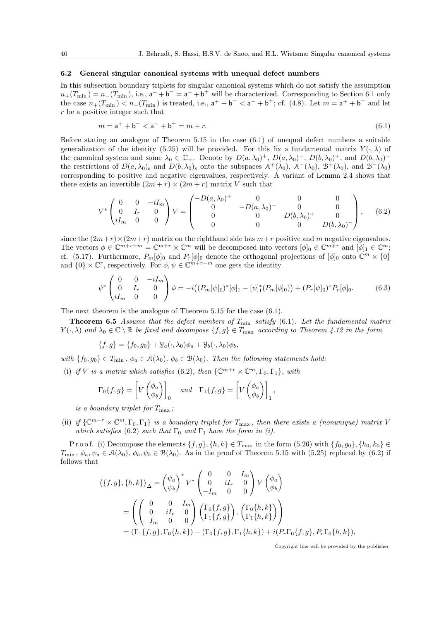### 6.2 General singular canonical systems with unequal defect numbers

In this subsection boundary triplets for singular canonical systems which do not satisfy the assumption  $n_{+}(T_{\min}) = n_{-}(T_{\min})$ , i.e.,  $a^{+} + b^{-} = a^{-} + b^{+}$  will be characterized. Corresponding to Section 6.1 only the case  $n_{+}(T_{\min}) < n_{-}(T_{\min})$  is treated, i.e.,  $a^{+} + b^{-} < a^{-} + b^{+}$ ; cf. (4.8). Let  $m = a^{+} + b^{-}$  and let r be a positive integer such that

$$
m = \mathsf{a}^+ + \mathsf{b}^- < \mathsf{a}^- + \mathsf{b}^+ = m + r. \tag{6.1}
$$

Before stating an analogue of Theorem 5.15 in the case (6.1) of unequal defect numbers a suitable generalization of the identity (5.25) will be provided. For this fix a fundamental matrix  $Y(\cdot, \lambda)$  of the canonical system and some  $\lambda_0 \in \mathbb{C}_+$ . Denote by  $D(a, \lambda_0)^+$ ,  $D(a, \lambda_0)^-$ ,  $D(b, \lambda_0)^+$ , and  $D(b, \lambda_0)^$ the restrictions of  $D(a, \lambda_0)$  and  $D(b, \lambda_0)$  onto the subspaces  $\mathcal{A}^+(\lambda_0)$ ,  $\mathcal{A}^-(\lambda_0)$ ,  $\mathcal{B}^+(\lambda_0)$ , and  $\mathcal{B}^-(\lambda_0)$ corresponding to positive and negative eigenvalues, respectively. A variant of Lemma 2.4 shows that there exists an invertible  $(2m + r) \times (2m + r)$  matrix V such that

$$
V^* \begin{pmatrix} 0 & 0 & -iI_m \\ 0 & I_r & 0 \\ iI_m & 0 & 0 \end{pmatrix} V = \begin{pmatrix} -D(a,\lambda_0)^+ & 0 & 0 & 0 \\ 0 & -D(a,\lambda_0)^- & 0 & 0 \\ 0 & 0 & D(b,\lambda_0)^+ & 0 \\ 0 & 0 & 0 & D(b,\lambda_0)^- \end{pmatrix}, \quad (6.2)
$$

since the  $(2m+r)\times(2m+r)$  matrix on the righthand side has  $m+r$  positive and m negative eigenvalues. The vectors  $\phi \in \mathbb{C}^{m+r+m} = \mathbb{C}^{m+r} \times \mathbb{C}^m$  will be decomposed into vectors  $[\phi]_0 \in \mathbb{C}^{m+r}$  and  $[\phi]_1 \in \mathbb{C}^m$ ; cf. (5.17). Furthermore,  $P_m[\phi]_0$  and  $P_r[\phi]_0$  denote the orthogonal projections of  $[\phi]_0$  onto  $\mathbb{C}^m \times \{0\}$ and  $\{0\} \times \mathbb{C}^r$ , respectively. For  $\phi, \psi \in \mathbb{C}^{m+r+m}$  one gets the identity

$$
\psi^* \begin{pmatrix} 0 & 0 & -iI_m \\ 0 & I_r & 0 \\ iI_m & 0 & 0 \end{pmatrix} \phi = -i \big( (P_m[\psi]_0)^*[\phi]_1 - [\psi]_1^* (P_m[\phi]_0) \big) + (P_r[\psi]_0)^* P_r[\phi]_0. \tag{6.3}
$$

The next theorem is the analogue of Theorem 5.15 for the case (6.1).

**Theorem 6.5** Assume that the defect numbers of  $T_{\min}$  satisfy (6.1). Let the fundamental matrix  $Y(\cdot,\lambda)$  and  $\lambda_0 \in \mathbb{C} \setminus \mathbb{R}$  be fixed and decompose  $\{f,g\} \in T_{\text{max}}$  according to Theorem 4.12 in the form

 ${f,g} = {f_0, g_0} + \mathcal{Y}_a(\cdot, \lambda_0)\phi_a + \mathcal{Y}_b(\cdot, \lambda_0)\phi_b$ 

with  $\{f_0, g_0\} \in T_{\min}$ ,  $\phi_a \in \mathcal{A}(\lambda_0)$ ,  $\phi_b \in \mathcal{B}(\lambda_0)$ . Then the following statements hold:

(i) if V is a matrix which satisfies (6.2), then  $\{ \mathbb{C}^{m+r} \times \mathbb{C}^m, \Gamma_0, \Gamma_1 \}$ , with

$$
\Gamma_0\{f,g\} = \left[V\begin{pmatrix} \phi_a \\ \phi_b \end{pmatrix}\right]_0 \quad and \quad \Gamma_1\{f,g\} = \left[V\begin{pmatrix} \phi_a \\ \phi_b \end{pmatrix}\right]_1,
$$

is a boundary triplet for  $T_{\text{max}}$ ;

(ii) if  $\{ \mathbb{C}^{m+r} \times \mathbb{C}^m, \Gamma_0, \Gamma_1 \}$  is a boundary triplet for  $T_{\text{max}}$ , then there exists a (nonunique) matrix V which satisfies (6.2) such that  $\Gamma_0$  and  $\Gamma_1$  have the form in (i).

Proof. (i) Decompose the elements  $\{f, g\}$ ,  $\{h, k\} \in T_{\text{max}}$  in the form  $(5.26)$  with  $\{f_0, g_0\}$ ,  $\{h_0, k_0\} \in$  $T_{\min}$ ,  $\phi_a$ ,  $\psi_a \in \mathcal{A}(\lambda_0)$ ,  $\phi_b$ ,  $\psi_b \in \mathcal{B}(\lambda_0)$ . As in the proof of Theorem 5.15 with (5.25) replaced by (6.2) if follows that

$$
\langle \{f,g\}, \{h,k\} \rangle_{\Delta} = \begin{pmatrix} \psi_a \\ \psi_b \end{pmatrix}^* V^* \begin{pmatrix} 0 & 0 & I_m \\ 0 & iI_r & 0 \\ -I_m & 0 & 0 \end{pmatrix} V \begin{pmatrix} \phi_a \\ \phi_b \end{pmatrix}
$$
  
= 
$$
\begin{pmatrix} 0 & 0 & I_m \\ 0 & iI_r & 0 \\ -I_m & 0 & 0 \end{pmatrix} \begin{pmatrix} \Gamma_0 \{f,g\} \\ \Gamma_1 \{f,g\} \end{pmatrix}, \begin{pmatrix} \Gamma_0 \{h,k\} \\ \Gamma_1 \{h,k\} \end{pmatrix} \end{pmatrix}
$$
  
= 
$$
(\Gamma_1 \{f,g\}, \Gamma_0 \{h,k\}) - (\Gamma_0 \{f,g\}, \Gamma_1 \{h,k\}) + i(P_r \Gamma_0 \{f,g\}, P_r \Gamma_0 \{h,k\}),
$$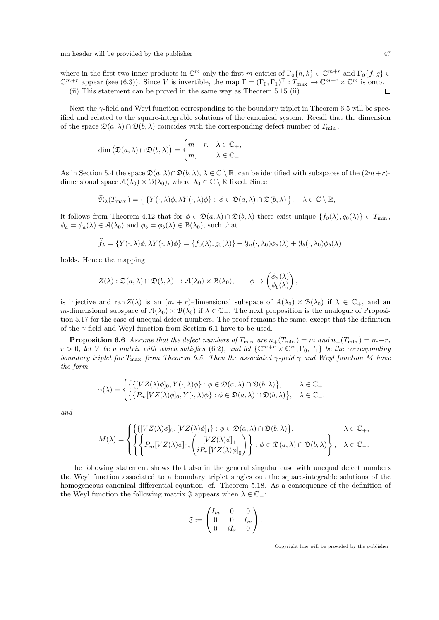where in the first two inner products in  $\mathbb{C}^m$  only the first m entries of  $\Gamma_0\{h, k\} \in \mathbb{C}^{m+r}$  and  $\Gamma_0\{f, g\} \in$  $\mathbb{C}^{m+r}$  appear (see (6.3)). Since V is invertible, the map  $\Gamma = (\Gamma_0, \Gamma_1)^{\top} : \tilde{T}_{\max} \to \mathbb{C}^{m+r} \times \mathbb{C}^m$  is onto. (ii) This statement can be proved in the same way as Theorem 5.15 (ii).  $\Box$ 

Next the  $\gamma$ -field and Weyl function corresponding to the boundary triplet in Theorem 6.5 will be specified and related to the square-integrable solutions of the canonical system. Recall that the dimension of the space  $\mathfrak{D}(a, \lambda) \cap \mathfrak{D}(b, \lambda)$  coincides with the corresponding defect number of  $T_{\min}$ ,

$$
\dim (\mathfrak{D}(a, \lambda) \cap \mathfrak{D}(b, \lambda)) = \begin{cases} m + r, & \lambda \in \mathbb{C}_+, \\ m, & \lambda \in \mathbb{C}_-.\end{cases}
$$

As in Section 5.4 the space  $\mathfrak{D}(a, \lambda) \cap \mathfrak{D}(b, \lambda), \lambda \in \mathbb{C} \setminus \mathbb{R}$ , can be identified with subspaces of the  $(2m+r)$ dimensional space  $\mathcal{A}(\lambda_0) \times \mathcal{B}(\lambda_0)$ , where  $\lambda_0 \in \mathbb{C} \setminus \mathbb{R}$  fixed. Since

$$
\widehat{\mathfrak{N}}_{\lambda}(T_{\max}) = \{ \{ Y(\cdot, \lambda)\phi, \lambda Y(\cdot, \lambda)\phi \} : \phi \in \mathfrak{D}(a, \lambda) \cap \mathfrak{D}(b, \lambda) \}, \quad \lambda \in \mathbb{C} \setminus \mathbb{R},
$$

it follows from Theorem 4.12 that for  $\phi \in \mathfrak{D}(a, \lambda) \cap \mathfrak{D}(b, \lambda)$  there exist unique  $\{f_0(\lambda), g_0(\lambda)\}\in T_{\min}$ ,  $\phi_a = \phi_a(\lambda) \in \mathcal{A}(\lambda_0)$  and  $\phi_b = \phi_b(\lambda) \in \mathcal{B}(\lambda_0)$ , such that

$$
\widehat{f}_{\lambda} = \{ Y(\cdot, \lambda)\phi, \lambda Y(\cdot, \lambda)\phi \} = \{ f_0(\lambda), g_0(\lambda) \} + \mathcal{Y}_a(\cdot, \lambda_0)\phi_a(\lambda) + \mathcal{Y}_b(\cdot, \lambda_0)\phi_b(\lambda)
$$

holds. Hence the mapping

$$
Z(\lambda) : \mathfrak{D}(a,\lambda) \cap \mathfrak{D}(b,\lambda) \to \mathcal{A}(\lambda_0) \times \mathcal{B}(\lambda_0), \qquad \phi \mapsto \begin{pmatrix} \phi_a(\lambda) \\ \phi_b(\lambda) \end{pmatrix},
$$

is injective and ran  $Z(\lambda)$  is an  $(m + r)$ -dimensional subspace of  $\mathcal{A}(\lambda_0) \times \mathcal{B}(\lambda_0)$  if  $\lambda \in \mathbb{C}_+$ , and an m-dimensional subspace of  $\mathcal{A}(\lambda_0) \times \mathcal{B}(\lambda_0)$  if  $\lambda \in \mathbb{C}_-$ . The next proposition is the analogue of Proposition 5.17 for the case of unequal defect numbers. The proof remains the same, except that the definition of the  $\gamma$ -field and Weyl function from Section 6.1 have to be used.

**Proposition 6.6** Assume that the defect numbers of  $T_{\min}$  are  $n_{+}(T_{\min}) = m$  and  $n_{-}(T_{\min}) = m+r$ ,  $r > 0$ , let V be a matrix with which satisfies (6.2), and let  $\{ \mathbb{C}^{m+r} \times \mathbb{C}^m, \Gamma_0, \Gamma_1 \}$  be the corresponding boundary triplet for  $T_{\text{max}}$  from Theorem 6.5. Then the associated  $\gamma$ -field  $\gamma$  and Weyl function M have the form

$$
\gamma(\lambda) = \begin{cases} \{ \{ [VZ(\lambda)\phi]_0, Y(\cdot,\lambda)\phi \} : \phi \in \mathfrak{D}(a,\lambda) \cap \mathfrak{D}(b,\lambda) \}, & \lambda \in \mathbb{C}_+, \\ \{ \{ P_m[VZ(\lambda)\phi]_0, Y(\cdot,\lambda)\phi \} : \phi \in \mathfrak{D}(a,\lambda) \cap \mathfrak{D}(b,\lambda) \}, & \lambda \in \mathbb{C}_-, \end{cases}
$$

and

$$
M(\lambda) = \begin{cases} \left\{ \left\{ [VZ(\lambda)\phi]_0, [VZ(\lambda)\phi]_1 \right\} : \phi \in \mathfrak{D}(a,\lambda) \cap \mathfrak{D}(b,\lambda) \right\}, & \lambda \in \mathbb{C}_+, \\ \left\{ \left\{ P_m[VZ(\lambda)\phi]_0, \left( \begin{matrix} [VZ(\lambda)\phi]_1 \\ iP_r[VZ(\lambda)\phi]_0 \end{matrix} \right) \right\} : \phi \in \mathfrak{D}(a,\lambda) \cap \mathfrak{D}(b,\lambda) \right\}, & \lambda \in \mathbb{C}_-. \end{cases}
$$

The following statement shows that also in the general singular case with unequal defect numbers the Weyl function associated to a boundary triplet singles out the square-integrable solutions of the homogeneous canonical differential equation; cf. Theorem 5.18. As a consequence of the definition of the Weyl function the following matrix  $\mathfrak{J}$  appears when  $\lambda \in \mathbb{C}$  :

$$
\mathfrak{J}:=\begin{pmatrix}I_m&0&0\\0&0&I_m\\0&iI_r&0\end{pmatrix}.
$$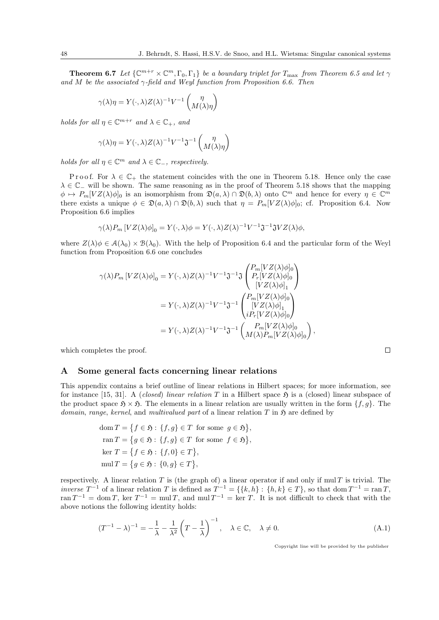**Theorem 6.7** Let  $\{ \mathbb{C}^{m+r} \times \mathbb{C}^m, \Gamma_0, \Gamma_1 \}$  be a boundary triplet for  $T_{\text{max}}$  from Theorem 6.5 and let  $\gamma$ and M be the associated  $\gamma$ -field and Weyl function from Proposition 6.6. Then

$$
\gamma(\lambda)\eta = Y(\cdot, \lambda)Z(\lambda)^{-1}V^{-1}\begin{pmatrix} \eta \\ M(\lambda)\eta \end{pmatrix}
$$

holds for all  $\eta \in \mathbb{C}^{m+r}$  and  $\lambda \in \mathbb{C}_+$ , and

$$
\gamma(\lambda)\eta = Y(\cdot, \lambda)Z(\lambda)^{-1}V^{-1}\mathfrak{J}^{-1}\begin{pmatrix} \eta \\ M(\lambda)\eta \end{pmatrix}
$$

holds for all  $\eta \in \mathbb{C}^m$  and  $\lambda \in \mathbb{C}_-$ , respectively.

P r o o f. For  $\lambda \in \mathbb{C}_+$  the statement coincides with the one in Theorem 5.18. Hence only the case  $\lambda \in \mathbb{C}_-$  will be shown. The same reasoning as in the proof of Theorem 5.18 shows that the mapping  $\phi \mapsto P_m[VZ(\lambda)\phi]_0$  is an isomorphism from  $\mathfrak{D}(a,\lambda) \cap \mathfrak{D}(b,\lambda)$  onto  $\mathbb{C}^m$  and hence for every  $\eta \in \mathbb{C}^m$ there exists a unique  $\phi \in \mathfrak{D}(a,\lambda) \cap \mathfrak{D}(b,\lambda)$  such that  $\eta = P_m[VZ(\lambda)\phi]_0$ ; cf. Proposition 6.4. Now Proposition 6.6 implies

$$
\gamma(\lambda)P_m[VZ(\lambda)\phi]_0 = Y(\cdot,\lambda)\phi = Y(\cdot,\lambda)Z(\lambda)^{-1}V^{-1}\mathfrak{J}^{-1}\mathfrak{J}VZ(\lambda)\phi,
$$

where  $Z(\lambda)\phi \in \mathcal{A}(\lambda_0) \times \mathcal{B}(\lambda_0)$ . With the help of Proposition 6.4 and the particular form of the Weyl function from Proposition 6.6 one concludes

$$
\gamma(\lambda)P_m \left[ VZ(\lambda)\phi \right]_0 = Y(\cdot, \lambda)Z(\lambda)^{-1}V^{-1}\mathfrak{J}^{-1}\mathfrak{J}\begin{pmatrix} P_m[VZ(\lambda)\phi]_0\\ P_r[VZ(\lambda)\phi]_0\\ [VZ(\lambda)\phi]_1\end{pmatrix}
$$
  
=  $Y(\cdot, \lambda)Z(\lambda)^{-1}V^{-1}\mathfrak{J}^{-1}\begin{pmatrix} P_m[VZ(\lambda)\phi]_0\\ [VZ(\lambda)\phi]_1\\ iP_r[VZ(\lambda)\phi]_0\end{pmatrix}$   
=  $Y(\cdot, \lambda)Z(\lambda)^{-1}V^{-1}\mathfrak{J}^{-1}\begin{pmatrix} P_m[VZ(\lambda)\phi]_0\\ M(\lambda)P_m[VZ(\lambda)\phi]_0\end{pmatrix},$ 

which completes the proof.

# A Some general facts concerning linear relations

This appendix contains a brief outline of linear relations in Hilbert spaces; for more information, see for instance [15, 31]. A *(closed) linear relation T* in a Hilbert space  $\mathfrak{H}$  is a *(closed)* linear subspace of the product space  $\mathfrak{H} \times \mathfrak{H}$ . The elements in a linear relation are usually written in the form  $\{f, g\}$ . The domain, range, kernel, and multivalued part of a linear relation  $T$  in  $\mathfrak{H}$  are defined by

$$
dom T = \{f \in \mathfrak{H} : \{f, g\} \in T \text{ for some } g \in \mathfrak{H}\},\
$$

$$
ran T = \{g \in \mathfrak{H} : \{f, g\} \in T \text{ for some } f \in \mathfrak{H}\},\
$$

$$
ker T = \{f \in \mathfrak{H} : \{f, 0\} \in T\},\
$$

$$
mul T = \{g \in \mathfrak{H} : \{0, g\} \in T\},
$$

respectively. A linear relation  $T$  is (the graph of) a linear operator if and only if mul  $T$  is trivial. The inverse  $T^{-1}$  of a linear relation T is defined as  $T^{-1} = \{\{k, h\} : \{h, k\} \in T\}$ , so that dom  $T^{-1} = \text{ran } T$ , ran  $T^{-1} = \text{dom } T$ , ker  $T^{-1} = \text{mul } T$ , and mul  $T^{-1} = \text{ker } T$ . It is not difficult to check that with the above notions the following identity holds:

$$
(T^{-1} - \lambda)^{-1} = -\frac{1}{\lambda} - \frac{1}{\lambda^2} \left( T - \frac{1}{\lambda} \right)^{-1}, \quad \lambda \in \mathbb{C}, \quad \lambda \neq 0.
$$
 (A.1)

Copyright line will be provided by the publisher

 $\Box$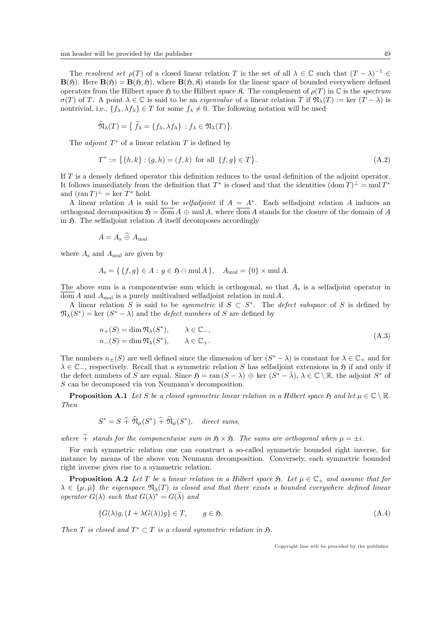The resolvent set  $\rho(T)$  of a closed linear relation T is the set of all  $\lambda \in \mathbb{C}$  such that  $(T - \lambda)^{-1} \in$  $B(\mathfrak{H})$ . Here  $B(\mathfrak{H}) = B(\mathfrak{H}, \mathfrak{H})$ , where  $B(\mathfrak{H}, \mathfrak{K})$  stands for the linear space of bounded everywhere defined operators from the Hilbert space  $\mathfrak{H}$  to the Hilbert space  $\mathfrak{K}$ . The complement of  $\rho(T)$  in  $\mathbb C$  is the spectrum  $\sigma(T)$  of T. A point  $\lambda \in \mathbb{C}$  is said to be an *eigenvalue* of a linear relation T if  $\mathfrak{N}_{\lambda}(T) := \text{ker } (T - \lambda)$  is nontrivial, i.e.,  $\{f_{\lambda}, \lambda f_{\lambda}\} \in T$  for some  $f_{\lambda} \neq 0$ . The following notation will be used

$$
\widehat{\mathfrak{N}}_{\lambda}(T) = \big\{ \widehat{f}_{\lambda} = \{ f_{\lambda}, \lambda f_{\lambda} \} : f_{\lambda} \in \mathfrak{N}_{\lambda}(T) \big\}.
$$

The *adjoint*  $T^*$  of a linear relation  $T$  is defined by

$$
T^* := \{ \{h, k\} : (g, h) = (f, k) \text{ for all } \{f, g\} \in T \}. \tag{A.2}
$$

If T is a densely defined operator this definition reduces to the usual definition of the adjoint operator. It follows immediately from the definition that  $T^*$  is closed and that the identities  $(\text{dom } T)^{\perp} = \text{mul } T^*$ and  $(\operatorname{ran} T)^{\perp} = \ker T^*$  hold.

A linear relation A is said to be *selfadjoint* if  $A = A^*$ . Each selfadjoint relation A induces an orthogonal decomposition  $\mathfrak{H} = \overline{\text{dom }A} \oplus \text{mul }A$ , where  $\overline{\text{dom }A}$  stands for the closure of the domain of A in  $\mathfrak{H}$ . The selfadjoint relation A itself decomposes accordingly

$$
A = A_{\rm s} \widehat{\oplus} A_{\rm mul}
$$

where  $A_s$  and  $A_{mul}$  are given by

$$
A_{\mathbf{s}} = \{ \{f, g\} \in A : g \in \mathfrak{H} \ominus \text{mul } A \}, \quad A_{\text{mul}} = \{0\} \times \text{mul } A.
$$

The above sum is a componentwise sum which is orthogonal, so that  $A_s$  is a selfadjoint operator in  $\overline{\text{dom}} A$  and  $A_{\text{mul}}$  is a purely multivalued selfadjoint relation in mul A.

A linear relation S is said to be *symmetric* if  $S \subset S^*$ . The *defect subspace* of S is defined by  $\mathfrak{N}_{\lambda}(S^*) = \text{ker} (S^* - \lambda)$  and the *defect numbers* of S are defined by

$$
n_{+}(S) = \dim \mathfrak{N}_{\lambda}(S^{*}), \qquad \lambda \in \mathbb{C}_{-},
$$
  
\n
$$
n_{-}(S) = \dim \mathfrak{N}_{\lambda}(S^{*}), \qquad \lambda \in \mathbb{C}_{+}.
$$
  
\n(A.3)

The numbers  $n_{\pm}(S)$  are well defined since the dimension of ker  $(S^* - \lambda)$  is constant for  $\lambda \in \mathbb{C}_+$  and for  $\lambda \in \mathbb{C}$ <sub>−</sub>, respectively. Recall that a symmetric relation S has selfadjoint extensions in  $\mathfrak H$  if and only if the defect numbers of S are equal. Since  $\mathfrak{H} = \text{ran}(S - \lambda) \oplus \text{ker}(S^* - \overline{\lambda}), \lambda \in \mathbb{C} \setminus \mathbb{R}$ , the adjoint  $S^*$  of S can be decomposed via von Neumann's decomposition.

**Proposition A.1** Let S be a closed symmetric linear relation in a Hilbert space  $\mathfrak{H}$  and let  $\mu \in \mathbb{C} \setminus \mathbb{R}$ . Then

$$
S^* = S + \widehat{\mathfrak{N}}_{\mu}(S^*) + \widehat{\mathfrak{N}}_{\bar{\mu}}(S^*), \quad direct \ sums,
$$

where  $\hat{+}$  stands for the componentwise sum in  $\mathfrak{H} \times \mathfrak{H}$ . The sums are orthogonal when  $\mu = \pm i$ .

For each symmetric relation one can construct a so-called symmetric bounded right inverse, for instance by means of the above von Neumann decomposition. Conversely, each symmetric bounded right inverse gives rise to a symmetric relation.

**Proposition A.2** Let T be a linear relation in a Hilbert space  $\mathfrak{H}$ . Let  $\mu \in \mathbb{C}_+$  and assume that for  $\lambda \in \{\mu, \bar{\mu}\}\$  the eigenspace  $\mathfrak{N}_{\lambda}(T)$  is closed and that there exists a bounded everywhere defined linear operator  $G(\lambda)$  such that  $G(\lambda)^* = G(\overline{\lambda})$  and

$$
\{G(\lambda)g, (I + \lambda G(\lambda))g\} \in T, \qquad g \in \mathfrak{H}.\tag{A.4}
$$

Then T is closed and  $T^* \subset T$  is a closed symmetric relation in  $\mathfrak{H}$ .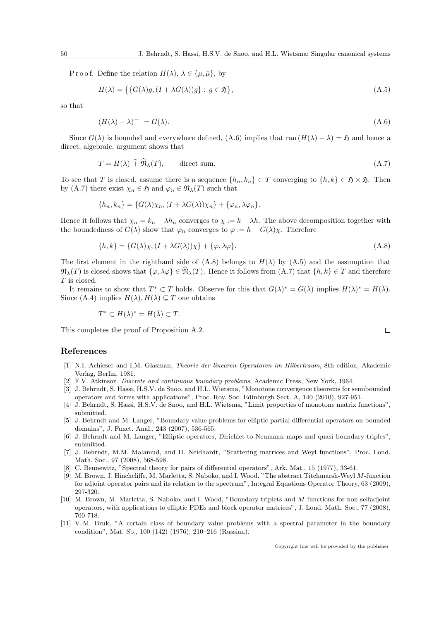P r o o f. Define the relation  $H(\lambda)$ ,  $\lambda \in {\{\mu, \bar{\mu}\}}$ , by

 $\sim$   $\sim$ 

$$
H(\lambda) = \{ G(\lambda)g, (I + \lambda G(\lambda))g \} : g \in \mathfrak{H} \},\tag{A.5}
$$

so that

$$
(H(\lambda) - \lambda)^{-1} = G(\lambda). \tag{A.6}
$$

Since  $G(\lambda)$  is bounded and everywhere defined, (A.6) implies that ran  $(H(\lambda) - \lambda) = \mathfrak{H}$  and hence a direct, algebraic, argument shows that

$$
T = H(\lambda) + \mathfrak{N}_{\lambda}(T), \qquad \text{direct sum.} \tag{A.7}
$$

To see that T is closed, assume there is a sequence  $\{h_n, k_n\} \in T$  converging to  $\{h, k\} \in \mathfrak{H} \times \mathfrak{H}$ . Then by (A.7) there exist  $\chi_n \in \mathfrak{H}$  and  $\varphi_n \in \mathfrak{N}_{\lambda}(T)$  such that

$$
\{h_n, k_n\} = \{G(\lambda)\chi_n, (I + \lambda G(\lambda))\chi_n\} + \{\varphi_n, \lambda\varphi_n\}.
$$

Hence it follows that  $\chi_n = k_n - \lambda h_n$  converges to  $\chi := k - \lambda h$ . The above decomposition together with the boundedness of  $G(\lambda)$  show that  $\varphi_n$  converges to  $\varphi := h - G(\lambda)\chi$ . Therefore

$$
\{h,k\} = \{G(\lambda)\chi, (I + \lambda G(\lambda))\chi\} + \{\varphi, \lambda\varphi\}.
$$
\n(A.8)

The first element in the righthand side of  $(A.8)$  belongs to  $H(\lambda)$  by  $(A.5)$  and the assumption that  $\mathfrak{N}_{\lambda}(T)$  is closed shows that  $\{\varphi, \lambda \varphi\} \in \widehat{\mathfrak{N}}_{\lambda}(T)$ . Hence it follows from  $(A.7)$  that  $\{h, k\} \in T$  and therefore T is closed.

It remains to show that  $T^* \subset T$  holds. Observe for this that  $G(\lambda)^* = G(\overline{\lambda})$  implies  $H(\lambda)^* = H(\overline{\lambda})$ . Since (A.4) implies  $H(\lambda)$ ,  $H(\overline{\lambda}) \subseteq T$  one obtains

$$
T^* \subset H(\lambda)^* = H(\bar{\lambda}) \subset T.
$$

This completes the proof of Proposition A.2.

# References

- [1] N.I. Achieser and I.M. Glasman, Theorie der linearen Operatoren im Hilbertraum, 8th edition, Akademie Verlag, Berlin, 1981.
- [2] F.V. Atkinson, Discrete and continuous boundary problems, Academic Press, New York, 1964.
- [3] J. Behrndt, S. Hassi, H.S.V. de Snoo, and H.L. Wietsma, "Monotone convergence theorems for semibounded operators and forms with applications", Proc. Roy. Soc. Edinburgh Sect. A, 140 (2010), 927-951.
- [4] J. Behrndt, S. Hassi, H.S.V. de Snoo, and H.L. Wietsma, "Limit properties of monotone matrix functions", submitted.
- [5] J. Behrndt and M. Langer, "Boundary value problems for elliptic partial differential operators on bounded domains", J. Funct. Anal., 243 (2007), 536-565.
- [6] J. Behrndt and M. Langer, "Elliptic operators, Dirichlet-to-Neumann maps and quasi boundary triples", submitted.
- [7] J. Behrndt, M.M. Malamud, and H. Neidhardt, "Scattering matrices and Weyl functions", Proc. Lond. Math. Soc., 97 (2008), 568-598.
- [8] C. Bennewitz, "Spectral theory for pairs of differential operators", Ark. Mat., 15 (1977), 33-61.
- [9] M. Brown, J. Hinchcliffe, M. Marletta, S. Naboko, and I. Wood, "The abstract Titchmarsh-Weyl M-function for adjoint operator pairs and its relation to the spectrum", Integral Equations Operator Theory, 63 (2009), 297-320.
- [10] M. Brown, M. Marletta, S. Naboko, and I. Wood, "Boundary triplets and M-functions for non-selfadjoint operators, with applications to elliptic PDEs and block operator matrices", J. Lond. Math. Soc., 77 (2008), 700-718.
- [11] V. M. Bruk, "A certain class of boundary value problems with a spectral parameter in the boundary condition", Mat. Sb., 100 (142) (1976), 210–216 (Russian).

Copyright line will be provided by the publisher

 $\Box$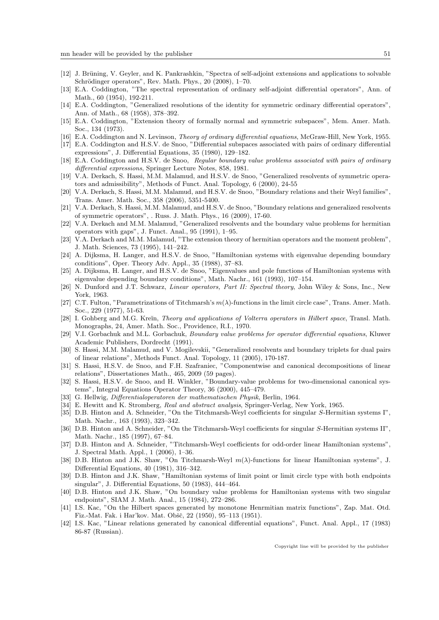- [12] J. Brüning, V. Geyler, and K. Pankrashkin, "Spectra of self-adjoint extensions and applications to solvable Schrödinger operators", Rev. Math. Phys., 20 (2008), 1–70.
- [13] E.A. Coddington, "The spectral representation of ordinary self-adjoint differential operators", Ann. of Math., 60 (1954), 192-211.
- [14] E.A. Coddington, "Generalized resolutions of the identity for symmetric ordinary differential operators", Ann. of Math., 68 (1958), 378–392.
- [15] E.A. Coddington, "Extension theory of formally normal and symmetric subspaces", Mem. Amer. Math. Soc., 134 (1973).
- [16] E.A. Coddington and N. Levinson, Theory of ordinary differential equations, McGraw-Hill, New York, 1955.
- [17] E.A. Coddington and H.S.V. de Snoo, "Differential subspaces associated with pairs of ordinary differential expressions", J. Differential Equations, 35 (1980), 129–182.
- [18] E.A. Coddington and H.S.V. de Snoo, Regular boundary value problems associated with pairs of ordinary differential expressions, Springer Lecture Notes, 858, 1981.
- [19] V.A. Derkach, S. Hassi, M.M. Malamud, and H.S.V. de Snoo, "Generalized resolvents of symmetric operators and admissibility", Methods of Funct. Anal. Topology, 6 (2000), 24-55
- [20] V.A. Derkach, S. Hassi, M.M. Malamud, and H.S.V. de Snoo, "Boundary relations and their Weyl families", Trans. Amer. Math. Soc., 358 (2006), 5351-5400.
- [21] V.A. Derkach, S. Hassi, M.M. Malamud, and H.S.V. de Snoo, "Boundary relations and generalized resolvents of symmetric operators", . Russ. J. Math. Phys., 16 (2009), 17-60.
- [22] V.A. Derkach and M.M. Malamud, "Generalized resolvents and the boundary value problems for hermitian operators with gaps", J. Funct. Anal., 95 (1991), 1–95.
- [23] V.A. Derkach and M.M. Malamud, "The extension theory of hermitian operators and the moment problem", J. Math. Sciences, 73 (1995), 141–242.
- [24] A. Dijksma, H. Langer, and H.S.V. de Snoo, "Hamiltonian systems with eigenvalue depending boundary conditions", Oper. Theory Adv. Appl., 35 (1988), 37–83.
- [25] A. Dijksma, H. Langer, and H.S.V. de Snoo, "Eigenvalues and pole functions of Hamiltonian systems with eigenvalue depending boundary conditions", Math. Nachr., 161 (1993), 107–154.
- [26] N. Dunford and J.T. Schwarz, Linear operators, Part II: Spectral theory, John Wiley & Sons, Inc., New York, 1963.
- [27] C.T. Fulton, "Parametrizations of Titchmarsh's  $m(\lambda)$ -functions in the limit circle case", Trans. Amer. Math. Soc., 229 (1977), 51-63.
- [28] I. Gohberg and M.G. Kreĭn, Theory and applications of Volterra operators in Hilbert space, Transl. Math. Monographs, 24, Amer. Math. Soc., Providence, R.I., 1970.
- [29] V.I. Gorbachuk and M.L. Gorbachuk, Boundary value problems for operator differential equations, Kluwer Academic Publishers, Dordrecht (1991).
- [30] S. Hassi, M.M. Malamud, and V. Mogilevskii, "Generalized resolvents and boundary triplets for dual pairs of linear relations", Methods Funct. Anal. Topology, 11 (2005), 170-187.
- [31] S. Hassi, H.S.V. de Snoo, and F.H. Szafraniec, "Componentwise and canonical decompositions of linear relations", Dissertationes Math., 465, 2009 (59 pages).
- [32] S. Hassi, H.S.V. de Snoo, and H. Winkler, "Boundary-value problems for two-dimensional canonical systems", Integral Equations Operator Theory, 36 (2000), 445–479.
- [33] G. Hellwig, Differentialoperatoren der mathematischen Physik, Berlin, 1964.
- [34] E. Hewitt and K. Stromberg, Real and abstract analysis, Springer-Verlag, New York, 1965.
- [35] D.B. Hinton and A. Schneider, "On the Titchmarsh-Weyl coefficients for singular S-Hermitian systems I", Math. Nachr., 163 (1993), 323–342.
- [36] D.B. Hinton and A. Schneider, "On the Titchmarsh-Weyl coefficients for singular S-Hermitian systems II", Math. Nachr., 185 (1997), 67–84.
- [37] D.B. Hinton and A. Schneider, "Titchmarsh-Weyl coefficients for odd-order linear Hamiltonian systems", J. Spectral Math. Appl., 1 (2006), 1–36.
- [38] D.B. Hinton and J.K. Shaw, "On Titchmarsh-Weyl  $m(\lambda)$ -functions for linear Hamiltonian systems", J. Differential Equations, 40 (1981), 316–342.
- [39] D.B. Hinton and J.K. Shaw, "Hamiltonian systems of limit point or limit circle type with both endpoints singular", J. Differential Equations, 50 (1983), 444–464.
- [40] D.B. Hinton and J.K. Shaw, "On boundary value problems for Hamiltonian systems with two singular endpoints", SIAM J. Math. Anal., 15 (1984), 272–286.
- [41] I.S. Kac, "On the Hilbert spaces generated by monotone Henrmitian matrix functions", Zap. Mat. Otd. Fiz.-Mat. Fak. i Har'kov. Mat. Obšč, 22 (1950), 95-113 (1951).
- [42] I.S. Kac, "Linear relations generated by canonical differential equations", Funct. Anal. Appl., 17 (1983) 86-87 (Russian).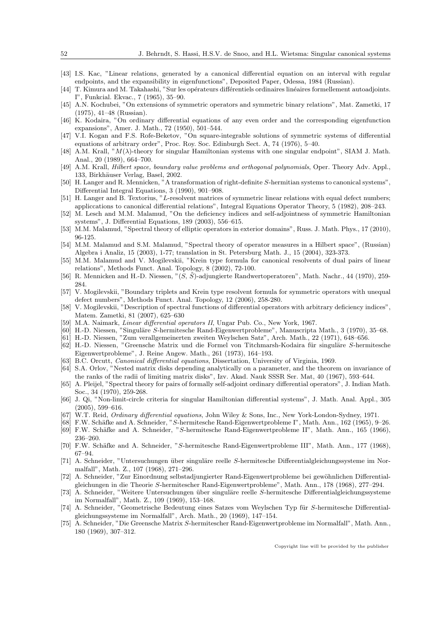- [43] I.S. Kac, "Linear relations, generated by a canonical differential equation on an interval with regular endpoints, and the expansibility in eigenfunctions", Deposited Paper, Odessa, 1984 (Russian).
- [44] T. Kimura and M. Takahashi, "Sur les opérateurs différentiels ordinaires linéaires formellement autoadjoints. I", Funkcial. Ekvac., 7 (1965), 35–90.
- [45] A.N. Kochubei, "On extensions of symmetric operators and symmetric binary relations", Mat. Zametki, 17 (1975), 41–48 (Russian).
- [46] K. Kodaira, "On ordinary differential equations of any even order and the corresponding eigenfunction expansions", Amer. J. Math., 72 (1950), 501–544.
- [47] V.I. Kogan and F.S. Rofe-Beketov, "On square-integrable solutions of symmetric systems of differential equations of arbitrary order", Proc. Roy. Soc. Edinburgh Sect. A, 74 (1976), 5–40.
- [48] A.M. Krall, " $M(\lambda)$ -theory for singular Hamiltonian systems with one singular endpoint", SIAM J. Math. Anal., 20 (1989), 664–700.
- [49] A.M. Krall, Hilbert space, boundary value problems and orthogonal polynomials, Oper. Theory Adv. Appl., 133, Birkhäuser Verlag, Basel, 2002.
- [50] H. Langer and R. Mennicken, "A transformation of right-definite S-hermitian systems to canonical systems", Differential Integral Equations, 3 (1990), 901–908.
- [51] H. Langer and B. Textorius, "L-resolvent matrices of symmetric linear relations with equal defect numbers; appliccations to canonical differential relations", Integral Equations Operator Theory, 5 (1982), 208–243.
- [52] M. Lesch and M.M. Malamud, "On the deficiency indices and self-adjointness of symmetric Hamiltonian systems", J. Differential Equations, 189 (2003), 556–615.
- [53] M.M. Malamud, "Spectral theory of elliptic operators in exterior domains", Russ. J. Math. Phys., 17 (2010), 96-125.
- [54] M.M. Malamud and S.M. Malamud, "Spectral theory of operator measures in a Hilbert space", (Russian) Algebra i Analiz, 15 (2003), 1-77; translation in St. Petersburg Math. J., 15 (2004), 323-373.
- [55] M.M. Malamud and V. Mogilevskii, "Krein type formula for canonical resolvents of dual pairs of linear relations", Methods Funct. Anal. Topology, 8 (2002), 72-100.
- [56] R. Mennicken and H.-D. Niessen, " $(S, \tilde{S})$ -adjungierte Randwertoperatoren", Math. Nachr., 44 (1970), 259-284.
- [57] V. Mogilevskii, "Boundary triplets and Krein type resolvent formula for symmetric operators with unequal defect numbers", Methods Funct. Anal. Topology, 12 (2006), 258-280.
- [58] V. Mogilevskii, "Description of spectral functions of differential operators with arbitrary deficiency indices", Matem. Zametki, 81 (2007), 625–630
- [59] M.A. Naimark, *Linear differential operators II*, Ungar Pub. Co., New York, 1967.
- [60] H.-D. Niessen, "Singuläre S-hermitesche Rand-Eigenwertprobleme", Manuscripta Math., 3 (1970), 35–68.
- [61] H.-D. Niessen, "Zum verallgemeinerten zweiten Weylschen Satz", Arch. Math., 22 (1971), 648–656.
- [62] H.-D. Niessen, "Greensche Matrix und die Formel von Titchmarsh-Kodaira für singuläre S-hermitesche Eigenwertprobleme", J. Reine Angew. Math., 261 (1973), 164–193.
- [63] B.C. Orcutt, Canonical differential equations, Dissertation, University of Virginia, 1969.
- [64] S.A. Orlov, "Nested matrix disks depending analytically on a parameter, and the theorem on invariance of the ranks of the radii of limiting matrix disks", Izv. Akad. Nauk SSSR Ser. Mat, 40 (1967), 593–644.
- [65] A. Pleijel, "Spectral theory for pairs of formally self-adjoint ordinary differential operators", J. Indian Math. Soc., 34 (1970), 259-268.
- [66] J. Qi, "Non-limit-circle criteria for singular Hamiltonian differential systems", J. Math. Anal. Appl., 305 (2005), 599–616.
- [67] W.T. Reid, Ordinary differential equations, John Wiley & Sons, Inc., New York-London-Sydney, 1971.
- [68] F.W. Schäfke and A. Schneider, "S-hermitesche Rand-Eigenwertprobleme I", Math. Ann., 162 (1965), 9–26.
- [69] F.W. Schäfke and A. Schneider, "S-hermitesche Rand-Eigenwertprobleme II", Math. Ann., 165 (1966), 236–260.
- [70] F.W. Schäfke and A. Schneider, "S-hermitesche Rand-Eigenwertprobleme III", Math. Ann., 177 (1968), 67–94.
- [71] A. Schneider, "Untersuchungen über singuläre reelle S-hermitesche Differentialgleichungssysteme im Normalfall", Math. Z., 107 (1968), 271–296.
- [72] A. Schneider, "Zur Einordnung selbstadjungierter Rand-Eigenwertprobleme bei gewöhnlichen Differentialgleichungen in die Theorie S-hermitescher Rand-Eigenwertprobleme", Math. Ann., 178 (1968), 277–294.
- [73] A. Schneider, "Weitere Untersuchungen über singuläre reelle S-hermitesche Differentialgleichungssysteme im Normalfall", Math. Z., 109 (1969), 153–168.
- [74] A. Schneider, "Geometrische Bedeutung eines Satzes vom Weylschen Typ für S-hermitesche Differentialgleichungssysteme im Normalfall", Arch. Math., 20 (1969), 147–154.
- [75] A. Schneider, "Die Greensche Matrix S-hermitescher Rand-Eigenwertprobleme im Normalfall", Math. Ann., 180 (1969), 307–312.